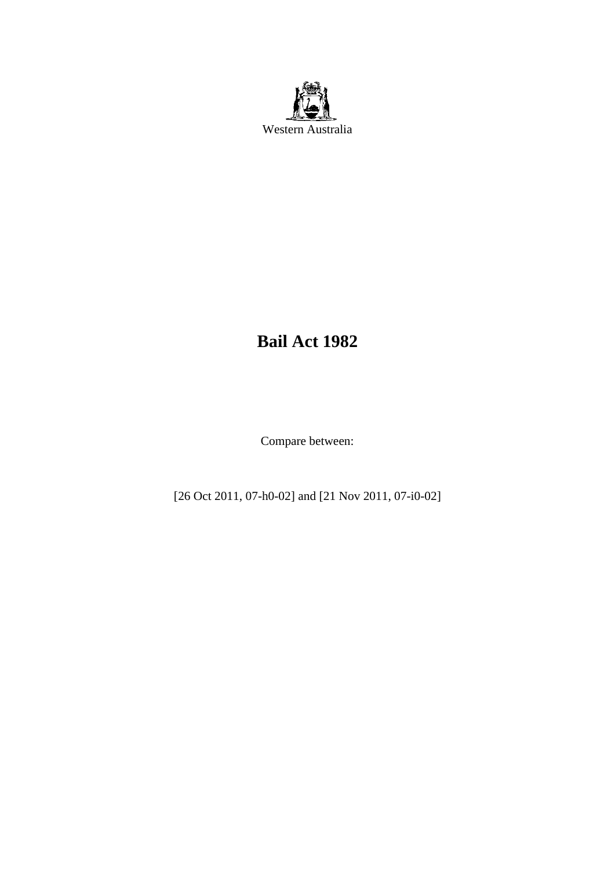

# **Bail Act 1982**

Compare between:

[26 Oct 2011, 07-h0-02] and [21 Nov 2011, 07-i0-02]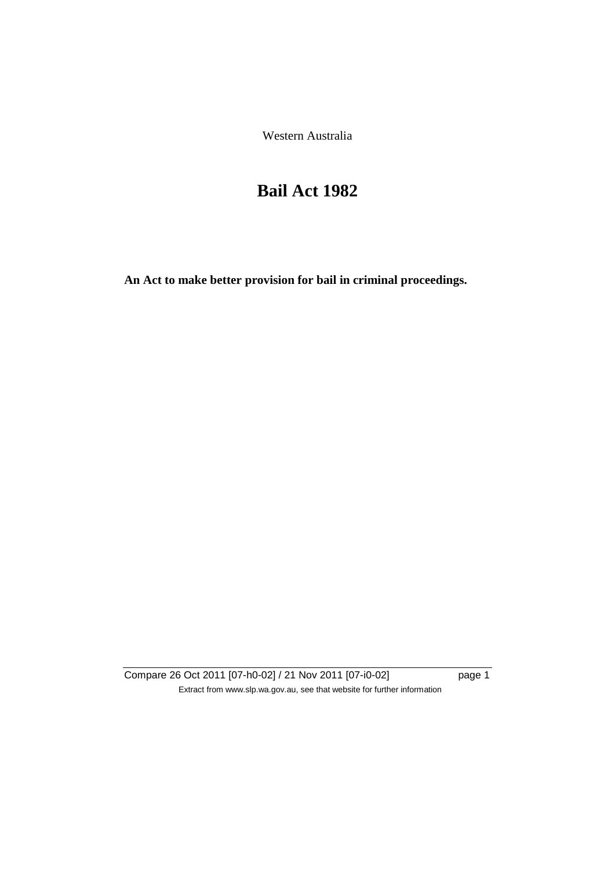Western Australia

# **Bail Act 1982**

**An Act to make better provision for bail in criminal proceedings.** 

Compare 26 Oct 2011 [07-h0-02] / 21 Nov 2011 [07-i0-02] page 1 Extract from www.slp.wa.gov.au, see that website for further information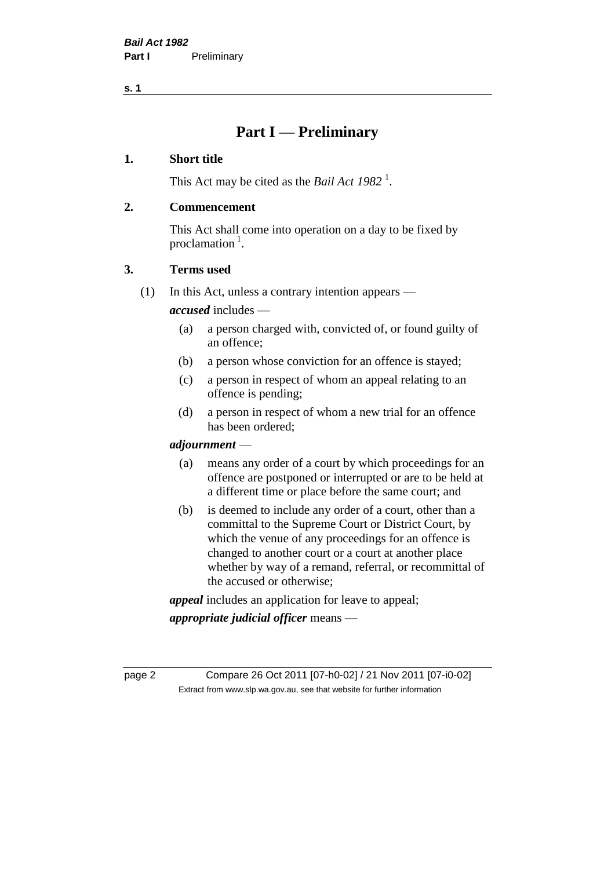**s. 1**

# **Part I — Preliminary**

### **1. Short title**

This Act may be cited as the *Bail Act* 1982<sup>1</sup>.

### **2. Commencement**

This Act shall come into operation on a day to be fixed by proclamation  $<sup>1</sup>$ .</sup>

### **3. Terms used**

(1) In this Act, unless a contrary intention appears —

*accused* includes —

- (a) a person charged with, convicted of, or found guilty of an offence;
- (b) a person whose conviction for an offence is stayed;
- (c) a person in respect of whom an appeal relating to an offence is pending;
- (d) a person in respect of whom a new trial for an offence has been ordered;

### *adjournment* —

- (a) means any order of a court by which proceedings for an offence are postponed or interrupted or are to be held at a different time or place before the same court; and
- (b) is deemed to include any order of a court, other than a committal to the Supreme Court or District Court, by which the venue of any proceedings for an offence is changed to another court or a court at another place whether by way of a remand, referral, or recommittal of the accused or otherwise;

*appeal* includes an application for leave to appeal;

*appropriate judicial officer* means —

page 2 Compare 26 Oct 2011 [07-h0-02] / 21 Nov 2011 [07-i0-02] Extract from www.slp.wa.gov.au, see that website for further information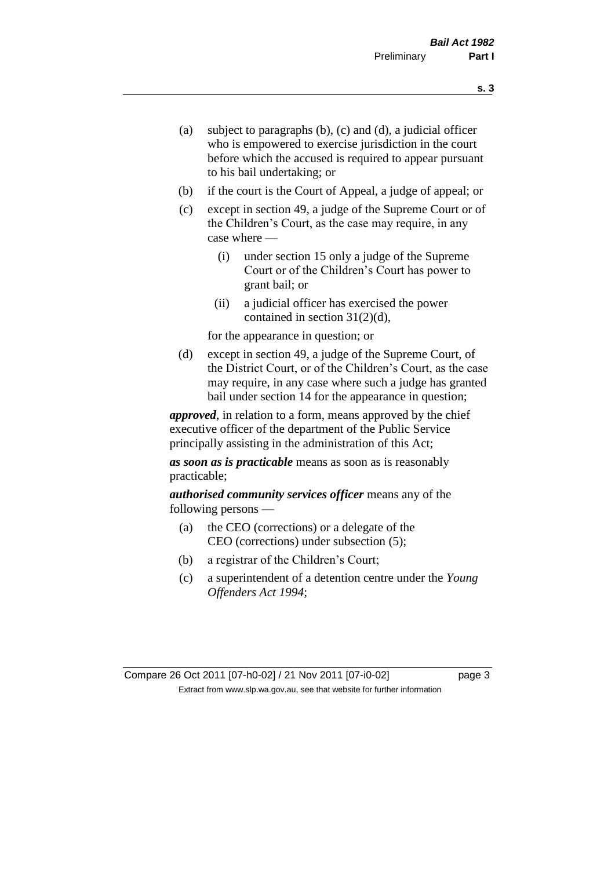- (a) subject to paragraphs (b), (c) and (d), a judicial officer who is empowered to exercise jurisdiction in the court before which the accused is required to appear pursuant to his bail undertaking; or
- (b) if the court is the Court of Appeal, a judge of appeal; or
- (c) except in section 49, a judge of the Supreme Court or of the Children's Court, as the case may require, in any case where —
	- (i) under section 15 only a judge of the Supreme Court or of the Children's Court has power to grant bail; or
	- (ii) a judicial officer has exercised the power contained in section 31(2)(d),

for the appearance in question; or

(d) except in section 49, a judge of the Supreme Court, of the District Court, or of the Children's Court, as the case may require, in any case where such a judge has granted bail under section 14 for the appearance in question;

*approved*, in relation to a form, means approved by the chief executive officer of the department of the Public Service principally assisting in the administration of this Act;

*as soon as is practicable* means as soon as is reasonably practicable;

*authorised community services officer* means any of the following persons —

- (a) the CEO (corrections) or a delegate of the CEO (corrections) under subsection (5);
- (b) a registrar of the Children's Court;
- (c) a superintendent of a detention centre under the *Young Offenders Act 1994*;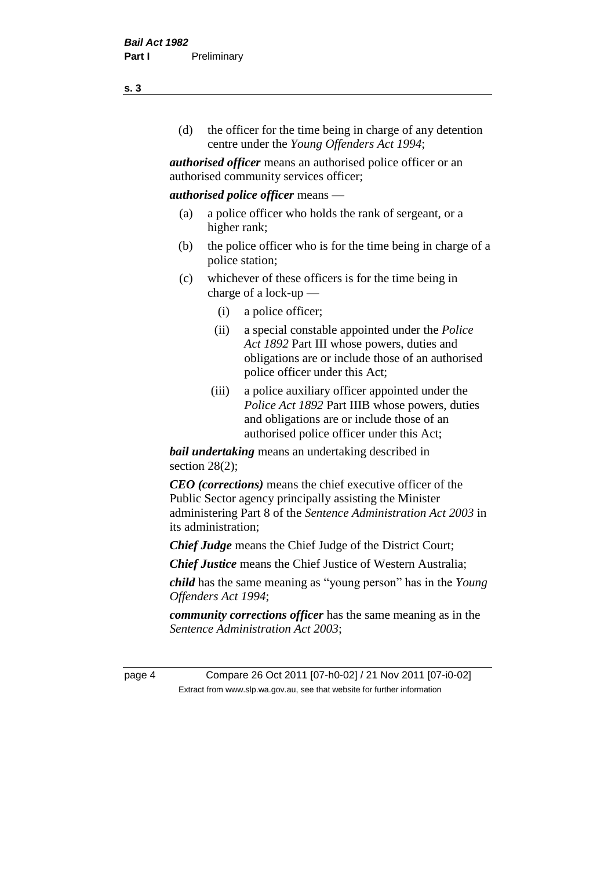(d) the officer for the time being in charge of any detention centre under the *Young Offenders Act 1994*;

*authorised officer* means an authorised police officer or an authorised community services officer;

### *authorised police officer* means —

- (a) a police officer who holds the rank of sergeant, or a higher rank;
- (b) the police officer who is for the time being in charge of a police station;
- (c) whichever of these officers is for the time being in charge of a lock-up —
	- (i) a police officer;
	- (ii) a special constable appointed under the *Police Act 1892* Part III whose powers, duties and obligations are or include those of an authorised police officer under this Act;
	- (iii) a police auxiliary officer appointed under the *Police Act 1892* Part IIIB whose powers, duties and obligations are or include those of an authorised police officer under this Act;

*bail undertaking* means an undertaking described in section  $28(2)$ ;

*CEO (corrections)* means the chief executive officer of the Public Sector agency principally assisting the Minister administering Part 8 of the *Sentence Administration Act 2003* in its administration;

*Chief Judge* means the Chief Judge of the District Court;

*Chief Justice* means the Chief Justice of Western Australia;

*child* has the same meaning as "young person" has in the *Young Offenders Act 1994*;

*community corrections officer* has the same meaning as in the *Sentence Administration Act 2003*;

page 4 Compare 26 Oct 2011 [07-h0-02] / 21 Nov 2011 [07-i0-02] Extract from www.slp.wa.gov.au, see that website for further information

**s. 3**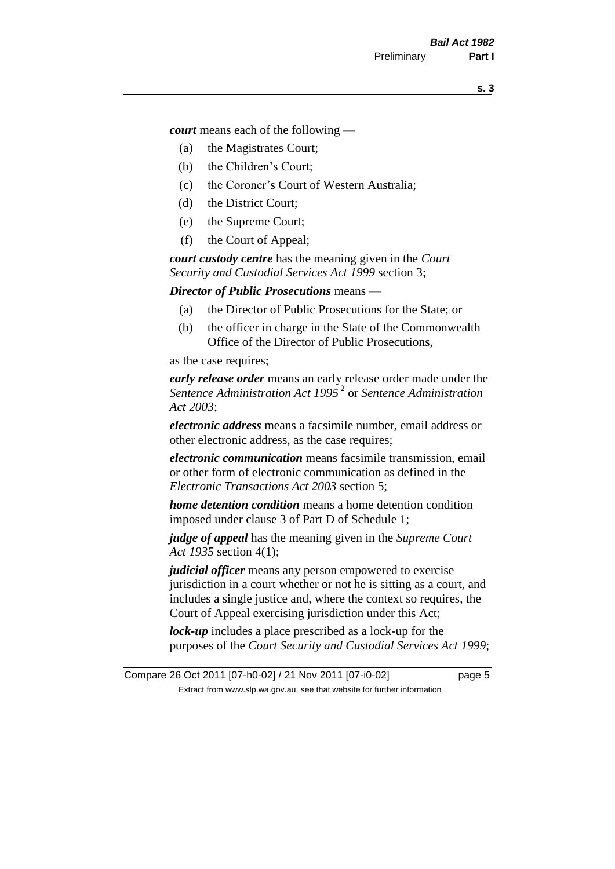*court* means each of the following —

- (a) the Magistrates Court;
- (b) the Children's Court;
- (c) the Coroner's Court of Western Australia;
- (d) the District Court;
- (e) the Supreme Court;
- (f) the Court of Appeal;

*court custody centre* has the meaning given in the *Court Security and Custodial Services Act 1999* section 3;

*Director of Public Prosecutions* means —

- (a) the Director of Public Prosecutions for the State; or
- (b) the officer in charge in the State of the Commonwealth Office of the Director of Public Prosecutions,

as the case requires;

*early release order* means an early release order made under the *Sentence Administration Act 1995* <sup>2</sup> or *Sentence Administration Act 2003*;

*electronic address* means a facsimile number, email address or other electronic address, as the case requires;

*electronic communication* means facsimile transmission, email or other form of electronic communication as defined in the *Electronic Transactions Act 2003* section 5;

*home detention condition* means a home detention condition imposed under clause 3 of Part D of Schedule 1;

*judge of appeal* has the meaning given in the *Supreme Court Act 1935* section 4(1);

*judicial officer* means any person empowered to exercise jurisdiction in a court whether or not he is sitting as a court, and includes a single justice and, where the context so requires, the Court of Appeal exercising jurisdiction under this Act;

*lock-up* includes a place prescribed as a lock-up for the purposes of the *Court Security and Custodial Services Act 1999*;

Compare 26 Oct 2011 [07-h0-02] / 21 Nov 2011 [07-i0-02] page 5 Extract from www.slp.wa.gov.au, see that website for further information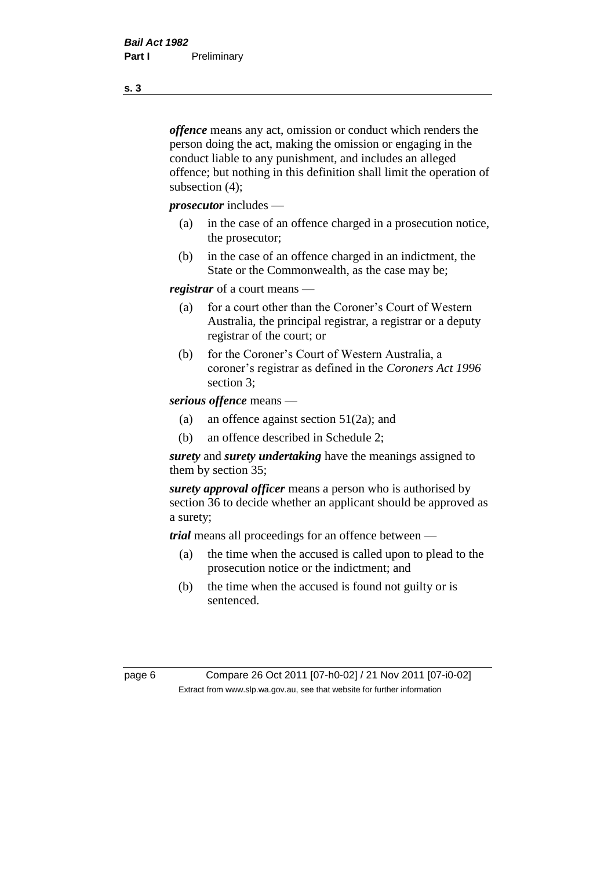*offence* means any act, omission or conduct which renders the person doing the act, making the omission or engaging in the conduct liable to any punishment, and includes an alleged offence; but nothing in this definition shall limit the operation of subsection (4);

*prosecutor* includes —

- (a) in the case of an offence charged in a prosecution notice, the prosecutor;
- (b) in the case of an offence charged in an indictment, the State or the Commonwealth, as the case may be;

*registrar* of a court means —

- (a) for a court other than the Coroner's Court of Western Australia, the principal registrar, a registrar or a deputy registrar of the court; or
- (b) for the Coroner's Court of Western Australia, a coroner's registrar as defined in the *Coroners Act 1996* section 3;

*serious offence* means —

- (a) an offence against section 51(2a); and
- (b) an offence described in Schedule 2;

*surety* and *surety undertaking* have the meanings assigned to them by section 35;

*surety approval officer* means a person who is authorised by section 36 to decide whether an applicant should be approved as a surety;

*trial* means all proceedings for an offence between —

- (a) the time when the accused is called upon to plead to the prosecution notice or the indictment; and
- (b) the time when the accused is found not guilty or is sentenced.

page 6 Compare 26 Oct 2011 [07-h0-02] / 21 Nov 2011 [07-i0-02] Extract from www.slp.wa.gov.au, see that website for further information

**s. 3**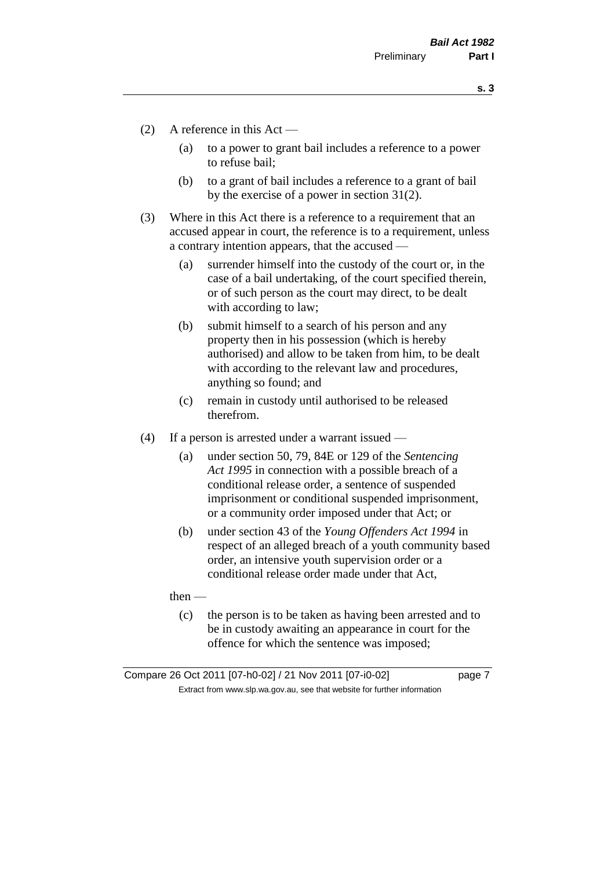**s. 3**

- (2) A reference in this Act
	- (a) to a power to grant bail includes a reference to a power to refuse bail;
	- (b) to a grant of bail includes a reference to a grant of bail by the exercise of a power in section 31(2).
- (3) Where in this Act there is a reference to a requirement that an accused appear in court, the reference is to a requirement, unless a contrary intention appears, that the accused —
	- (a) surrender himself into the custody of the court or, in the case of a bail undertaking, of the court specified therein, or of such person as the court may direct, to be dealt with according to law;
	- (b) submit himself to a search of his person and any property then in his possession (which is hereby authorised) and allow to be taken from him, to be dealt with according to the relevant law and procedures, anything so found; and
	- (c) remain in custody until authorised to be released therefrom.
- (4) If a person is arrested under a warrant issued
	- (a) under section 50, 79, 84E or 129 of the *Sentencing Act 1995* in connection with a possible breach of a conditional release order, a sentence of suspended imprisonment or conditional suspended imprisonment, or a community order imposed under that Act; or
	- (b) under section 43 of the *Young Offenders Act 1994* in respect of an alleged breach of a youth community based order, an intensive youth supervision order or a conditional release order made under that Act,

then —

(c) the person is to be taken as having been arrested and to be in custody awaiting an appearance in court for the offence for which the sentence was imposed;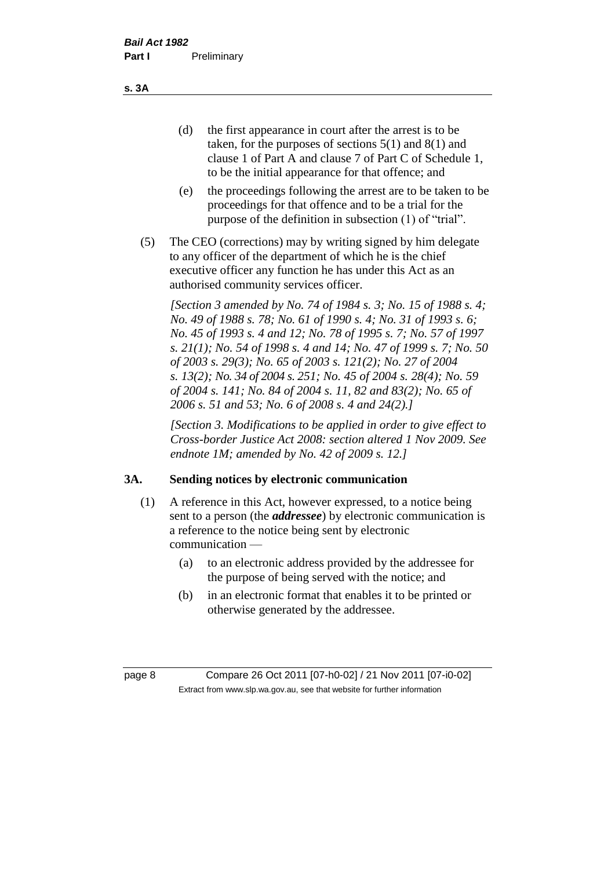(d) the first appearance in court after the arrest is to be taken, for the purposes of sections 5(1) and 8(1) and clause 1 of Part A and clause 7 of Part C of Schedule 1, to be the initial appearance for that offence; and

- (e) the proceedings following the arrest are to be taken to be proceedings for that offence and to be a trial for the purpose of the definition in subsection (1) of "trial".
- (5) The CEO (corrections) may by writing signed by him delegate to any officer of the department of which he is the chief executive officer any function he has under this Act as an authorised community services officer.

*[Section 3 amended by No. 74 of 1984 s. 3; No. 15 of 1988 s. 4; No. 49 of 1988 s. 78; No. 61 of 1990 s. 4; No. 31 of 1993 s. 6; No. 45 of 1993 s. 4 and 12; No. 78 of 1995 s. 7; No. 57 of 1997 s. 21(1); No. 54 of 1998 s. 4 and 14; No. 47 of 1999 s. 7; No. 50 of 2003 s. 29(3); No. 65 of 2003 s. 121(2); No. 27 of 2004 s. 13(2); No. 34 of 2004 s. 251; No. 45 of 2004 s. 28(4); No. 59 of 2004 s. 141; No. 84 of 2004 s. 11, 82 and 83(2); No. 65 of 2006 s. 51 and 53; No. 6 of 2008 s. 4 and 24(2).]* 

*[Section 3. Modifications to be applied in order to give effect to Cross-border Justice Act 2008: section altered 1 Nov 2009. See endnote 1M; amended by No. 42 of 2009 s. 12.]*

### **3A. Sending notices by electronic communication**

- (1) A reference in this Act, however expressed, to a notice being sent to a person (the *addressee*) by electronic communication is a reference to the notice being sent by electronic communication —
	- (a) to an electronic address provided by the addressee for the purpose of being served with the notice; and
	- (b) in an electronic format that enables it to be printed or otherwise generated by the addressee.

page 8 Compare 26 Oct 2011 [07-h0-02] / 21 Nov 2011 [07-i0-02] Extract from www.slp.wa.gov.au, see that website for further information

**s. 3A**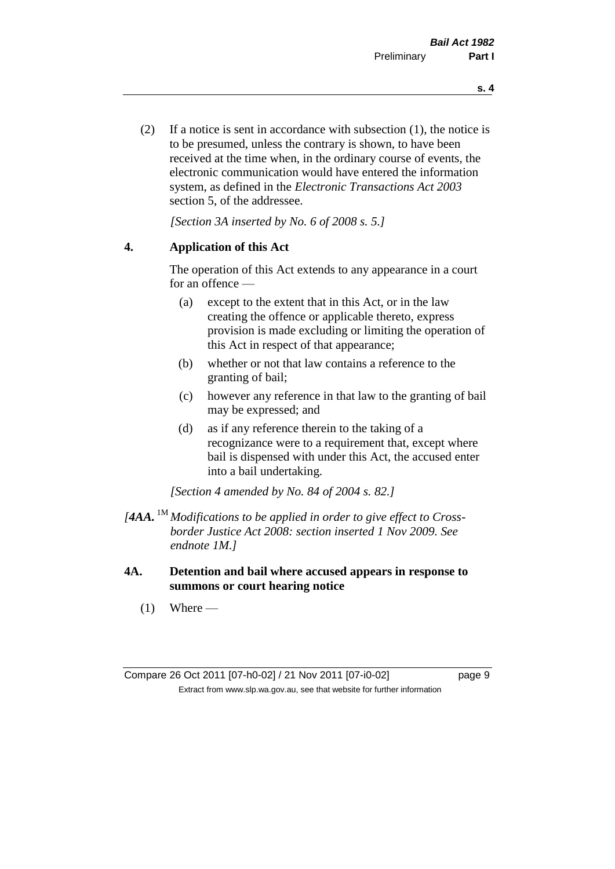(2) If a notice is sent in accordance with subsection (1), the notice is to be presumed, unless the contrary is shown, to have been received at the time when, in the ordinary course of events, the electronic communication would have entered the information system, as defined in the *Electronic Transactions Act 2003* section 5, of the addressee.

*[Section 3A inserted by No. 6 of 2008 s. 5.]*

### **4. Application of this Act**

The operation of this Act extends to any appearance in a court for an offence —

- (a) except to the extent that in this Act, or in the law creating the offence or applicable thereto, express provision is made excluding or limiting the operation of this Act in respect of that appearance;
- (b) whether or not that law contains a reference to the granting of bail;
- (c) however any reference in that law to the granting of bail may be expressed; and
- (d) as if any reference therein to the taking of a recognizance were to a requirement that, except where bail is dispensed with under this Act, the accused enter into a bail undertaking.

*[Section 4 amended by No. 84 of 2004 s. 82.]*

- *[4AA.* 1M *Modifications to be applied in order to give effect to Crossborder Justice Act 2008: section inserted 1 Nov 2009. See endnote 1M.]*
- **4A. Detention and bail where accused appears in response to summons or court hearing notice**
	- $(1)$  Where —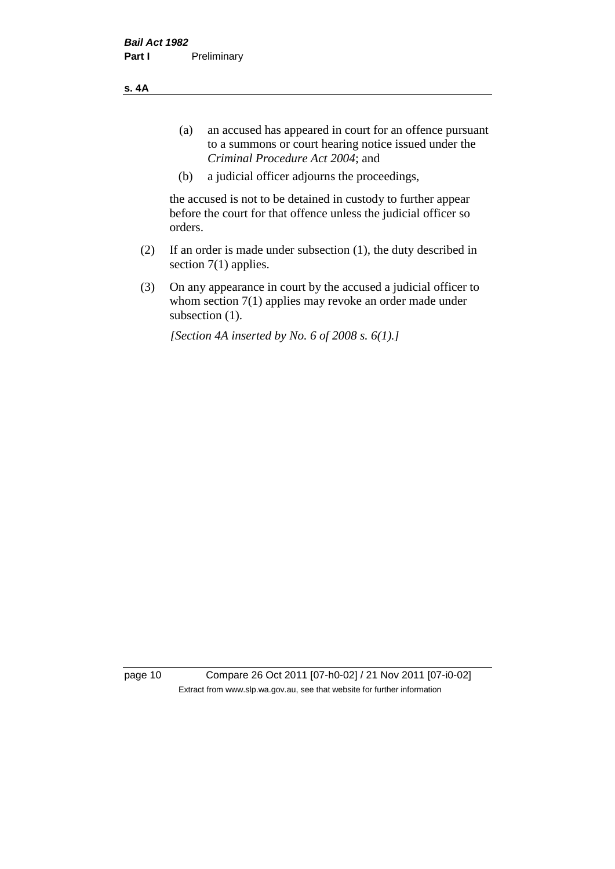**s. 4A**

- (a) an accused has appeared in court for an offence pursuant to a summons or court hearing notice issued under the *Criminal Procedure Act 2004*; and
- (b) a judicial officer adjourns the proceedings,

the accused is not to be detained in custody to further appear before the court for that offence unless the judicial officer so orders.

- (2) If an order is made under subsection (1), the duty described in section 7(1) applies.
- (3) On any appearance in court by the accused a judicial officer to whom section 7(1) applies may revoke an order made under subsection (1).

*[Section 4A inserted by No. 6 of 2008 s. 6(1).]*

page 10 Compare 26 Oct 2011 [07-h0-02] / 21 Nov 2011 [07-i0-02] Extract from www.slp.wa.gov.au, see that website for further information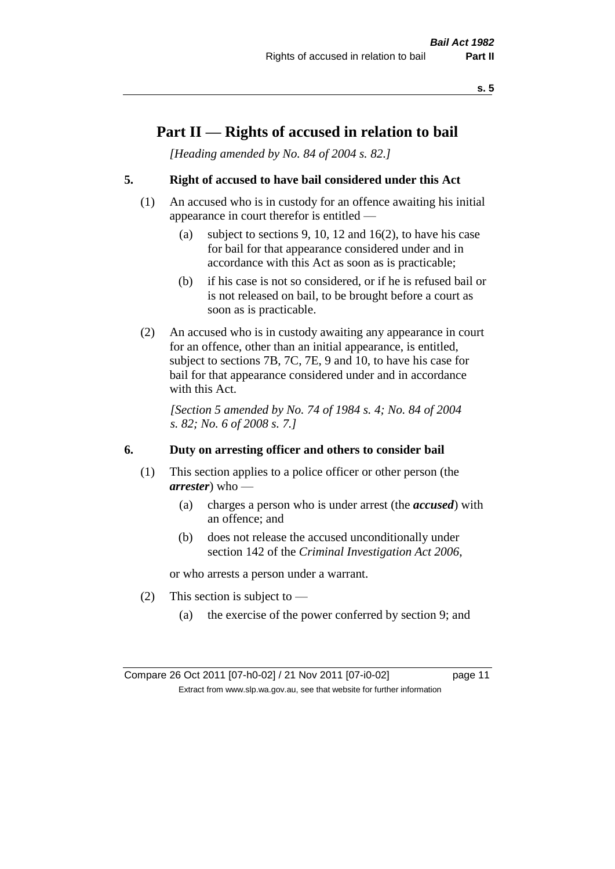## **Part II — Rights of accused in relation to bail**

*[Heading amended by No. 84 of 2004 s. 82.]* 

### **5. Right of accused to have bail considered under this Act**

- (1) An accused who is in custody for an offence awaiting his initial appearance in court therefor is entitled —
	- (a) subject to sections 9, 10, 12 and 16(2), to have his case for bail for that appearance considered under and in accordance with this Act as soon as is practicable;
	- (b) if his case is not so considered, or if he is refused bail or is not released on bail, to be brought before a court as soon as is practicable.
- (2) An accused who is in custody awaiting any appearance in court for an offence, other than an initial appearance, is entitled, subject to sections 7B, 7C, 7E, 9 and 10, to have his case for bail for that appearance considered under and in accordance with this Act.

*[Section 5 amended by No. 74 of 1984 s. 4; No. 84 of 2004 s. 82; No. 6 of 2008 s. 7.]* 

### **6. Duty on arresting officer and others to consider bail**

- (1) This section applies to a police officer or other person (the *arrester*) who —
	- (a) charges a person who is under arrest (the *accused*) with an offence; and
	- (b) does not release the accused unconditionally under section 142 of the *Criminal Investigation Act 2006*,

or who arrests a person under a warrant.

- (2) This section is subject to  $-$ 
	- (a) the exercise of the power conferred by section 9; and

Compare 26 Oct 2011 [07-h0-02] / 21 Nov 2011 [07-i0-02] page 11 Extract from www.slp.wa.gov.au, see that website for further information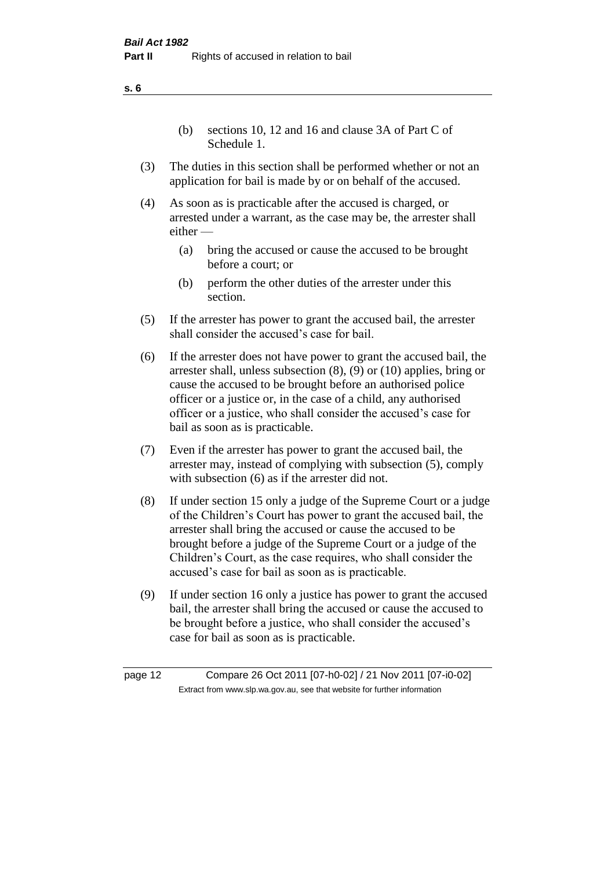(b) sections 10, 12 and 16 and clause 3A of Part C of Schedule 1.

- (3) The duties in this section shall be performed whether or not an application for bail is made by or on behalf of the accused.
- (4) As soon as is practicable after the accused is charged, or arrested under a warrant, as the case may be, the arrester shall either —
	- (a) bring the accused or cause the accused to be brought before a court; or
	- (b) perform the other duties of the arrester under this section.
- (5) If the arrester has power to grant the accused bail, the arrester shall consider the accused's case for bail.
- (6) If the arrester does not have power to grant the accused bail, the arrester shall, unless subsection (8), (9) or (10) applies, bring or cause the accused to be brought before an authorised police officer or a justice or, in the case of a child, any authorised officer or a justice, who shall consider the accused's case for bail as soon as is practicable.
- (7) Even if the arrester has power to grant the accused bail, the arrester may, instead of complying with subsection (5), comply with subsection  $(6)$  as if the arrester did not.
- (8) If under section 15 only a judge of the Supreme Court or a judge of the Children's Court has power to grant the accused bail, the arrester shall bring the accused or cause the accused to be brought before a judge of the Supreme Court or a judge of the Children's Court, as the case requires, who shall consider the accused's case for bail as soon as is practicable.
- (9) If under section 16 only a justice has power to grant the accused bail, the arrester shall bring the accused or cause the accused to be brought before a justice, who shall consider the accused's case for bail as soon as is practicable.

page 12 Compare 26 Oct 2011 [07-h0-02] / 21 Nov 2011 [07-i0-02] Extract from www.slp.wa.gov.au, see that website for further information

**s. 6**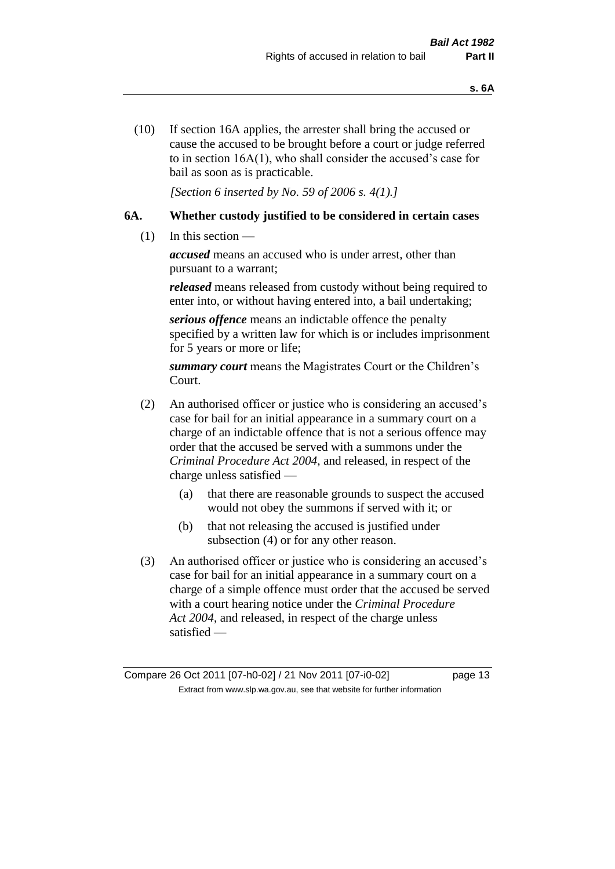(10) If section 16A applies, the arrester shall bring the accused or cause the accused to be brought before a court or judge referred to in section 16A(1), who shall consider the accused's case for bail as soon as is practicable.

*[Section 6 inserted by No. 59 of 2006 s. 4(1).]* 

### **6A. Whether custody justified to be considered in certain cases**

(1) In this section —

*accused* means an accused who is under arrest, other than pursuant to a warrant;

*released* means released from custody without being required to enter into, or without having entered into, a bail undertaking;

*serious offence* means an indictable offence the penalty specified by a written law for which is or includes imprisonment for 5 years or more or life;

*summary court* means the Magistrates Court or the Children's Court.

- (2) An authorised officer or justice who is considering an accused's case for bail for an initial appearance in a summary court on a charge of an indictable offence that is not a serious offence may order that the accused be served with a summons under the *Criminal Procedure Act 2004*, and released, in respect of the charge unless satisfied —
	- (a) that there are reasonable grounds to suspect the accused would not obey the summons if served with it; or
	- (b) that not releasing the accused is justified under subsection (4) or for any other reason.
- (3) An authorised officer or justice who is considering an accused's case for bail for an initial appearance in a summary court on a charge of a simple offence must order that the accused be served with a court hearing notice under the *Criminal Procedure Act 2004*, and released, in respect of the charge unless satisfied —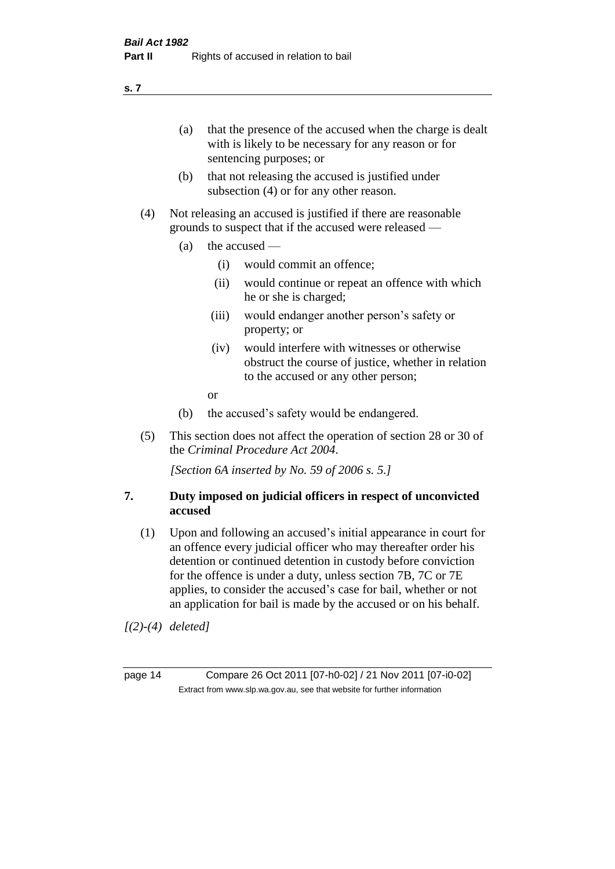(a) that the presence of the accused when the charge is dealt with is likely to be necessary for any reason or for sentencing purposes; or

- (b) that not releasing the accused is justified under subsection (4) or for any other reason.
- (4) Not releasing an accused is justified if there are reasonable grounds to suspect that if the accused were released —
	- (a) the accused
		- (i) would commit an offence;
		- (ii) would continue or repeat an offence with which he or she is charged;
		- (iii) would endanger another person's safety or property; or
		- (iv) would interfere with witnesses or otherwise obstruct the course of justice, whether in relation to the accused or any other person;
		- or
	- (b) the accused's safety would be endangered.
- (5) This section does not affect the operation of section 28 or 30 of the *Criminal Procedure Act 2004*.

*[Section 6A inserted by No. 59 of 2006 s. 5.]* 

### **7. Duty imposed on judicial officers in respect of unconvicted accused**

(1) Upon and following an accused's initial appearance in court for an offence every judicial officer who may thereafter order his detention or continued detention in custody before conviction for the offence is under a duty, unless section 7B, 7C or 7E applies, to consider the accused's case for bail, whether or not an application for bail is made by the accused or on his behalf.

*[(2)-(4) deleted]*

page 14 Compare 26 Oct 2011 [07-h0-02] / 21 Nov 2011 [07-i0-02] Extract from www.slp.wa.gov.au, see that website for further information

**s. 7**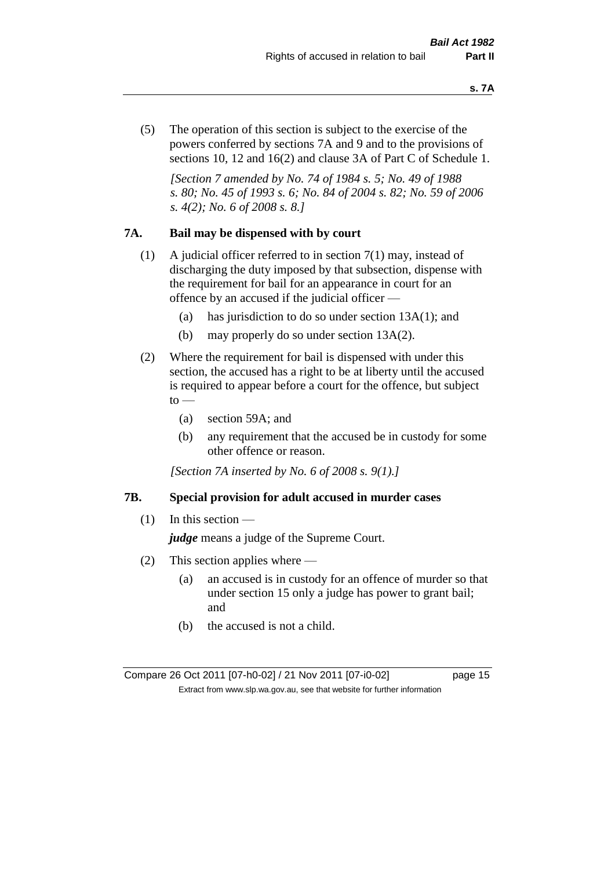(5) The operation of this section is subject to the exercise of the powers conferred by sections 7A and 9 and to the provisions of sections 10, 12 and 16(2) and clause 3A of Part C of Schedule 1.

*[Section 7 amended by No. 74 of 1984 s. 5; No. 49 of 1988 s. 80; No. 45 of 1993 s. 6; No. 84 of 2004 s. 82; No. 59 of 2006 s. 4(2); No. 6 of 2008 s. 8.]* 

### **7A. Bail may be dispensed with by court**

- (1) A judicial officer referred to in section 7(1) may, instead of discharging the duty imposed by that subsection, dispense with the requirement for bail for an appearance in court for an offence by an accused if the judicial officer —
	- (a) has jurisdiction to do so under section 13A(1); and
	- (b) may properly do so under section 13A(2).
- (2) Where the requirement for bail is dispensed with under this section, the accused has a right to be at liberty until the accused is required to appear before a court for the offence, but subject  $\mathrm{to}$  —
	- (a) section 59A; and
	- (b) any requirement that the accused be in custody for some other offence or reason.

*[Section 7A inserted by No. 6 of 2008 s. 9(1).]*

#### **7B. Special provision for adult accused in murder cases**

 $(1)$  In this section —

*judge* means a judge of the Supreme Court.

- (2) This section applies where
	- (a) an accused is in custody for an offence of murder so that under section 15 only a judge has power to grant bail; and
	- (b) the accused is not a child.

Compare 26 Oct 2011 [07-h0-02] / 21 Nov 2011 [07-i0-02] page 15 Extract from www.slp.wa.gov.au, see that website for further information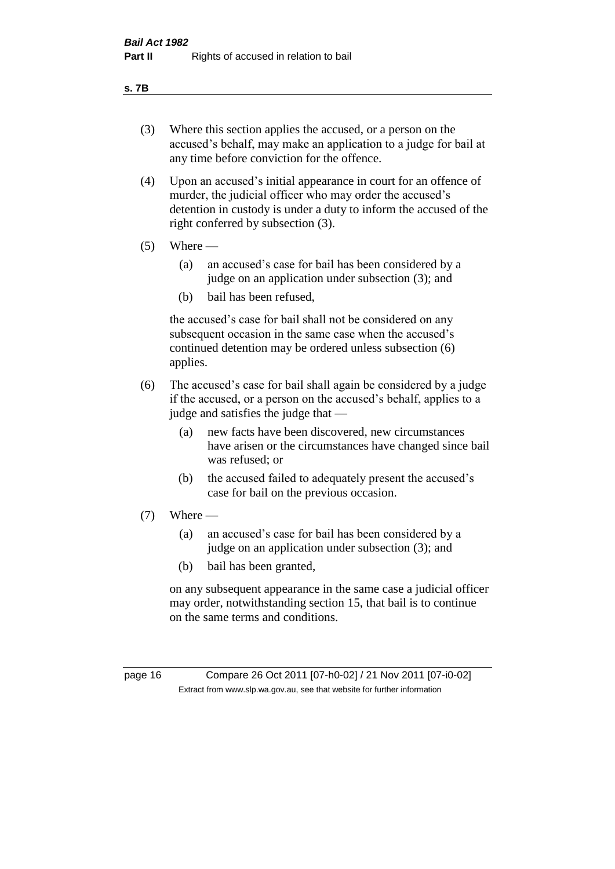#### **s. 7B**

- (3) Where this section applies the accused, or a person on the accused's behalf, may make an application to a judge for bail at any time before conviction for the offence.
- (4) Upon an accused's initial appearance in court for an offence of murder, the judicial officer who may order the accused's detention in custody is under a duty to inform the accused of the right conferred by subsection (3).
- $(5)$  Where
	- (a) an accused's case for bail has been considered by a judge on an application under subsection (3); and
	- (b) bail has been refused,

the accused's case for bail shall not be considered on any subsequent occasion in the same case when the accused's continued detention may be ordered unless subsection (6) applies.

- (6) The accused's case for bail shall again be considered by a judge if the accused, or a person on the accused's behalf, applies to a judge and satisfies the judge that —
	- (a) new facts have been discovered, new circumstances have arisen or the circumstances have changed since bail was refused; or
	- (b) the accused failed to adequately present the accused's case for bail on the previous occasion.
- $(7)$  Where
	- (a) an accused's case for bail has been considered by a judge on an application under subsection (3); and
	- (b) bail has been granted,

on any subsequent appearance in the same case a judicial officer may order, notwithstanding section 15, that bail is to continue on the same terms and conditions.

page 16 Compare 26 Oct 2011 [07-h0-02] / 21 Nov 2011 [07-i0-02] Extract from www.slp.wa.gov.au, see that website for further information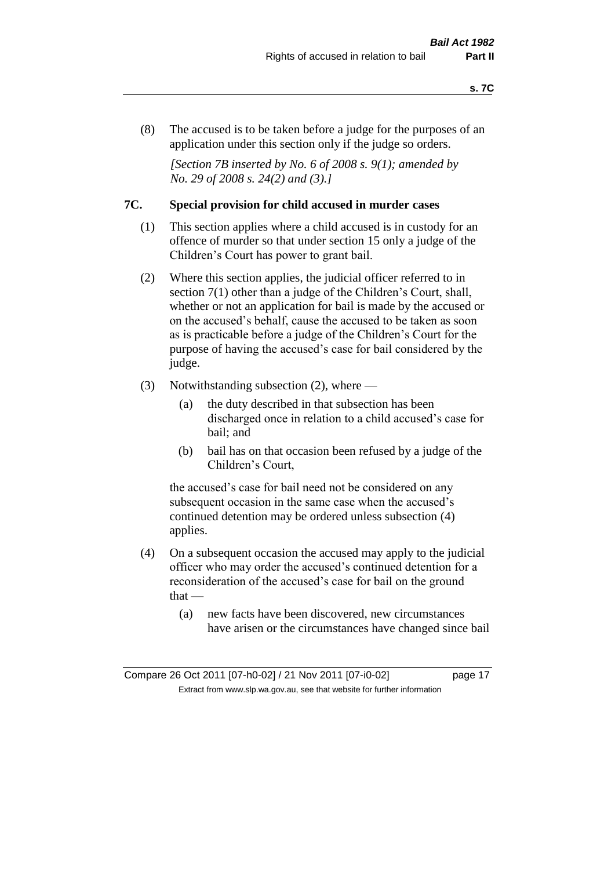(8) The accused is to be taken before a judge for the purposes of an application under this section only if the judge so orders.

*[Section 7B inserted by No. 6 of 2008 s. 9(1); amended by No. 29 of 2008 s. 24(2) and (3).]*

### **7C. Special provision for child accused in murder cases**

- (1) This section applies where a child accused is in custody for an offence of murder so that under section 15 only a judge of the Children's Court has power to grant bail.
- (2) Where this section applies, the judicial officer referred to in section 7(1) other than a judge of the Children's Court, shall, whether or not an application for bail is made by the accused or on the accused's behalf, cause the accused to be taken as soon as is practicable before a judge of the Children's Court for the purpose of having the accused's case for bail considered by the judge.
- (3) Notwithstanding subsection (2), where
	- (a) the duty described in that subsection has been discharged once in relation to a child accused's case for bail; and
	- (b) bail has on that occasion been refused by a judge of the Children's Court,

the accused's case for bail need not be considered on any subsequent occasion in the same case when the accused's continued detention may be ordered unless subsection (4) applies.

- (4) On a subsequent occasion the accused may apply to the judicial officer who may order the accused's continued detention for a reconsideration of the accused's case for bail on the ground  $that -$ 
	- (a) new facts have been discovered, new circumstances have arisen or the circumstances have changed since bail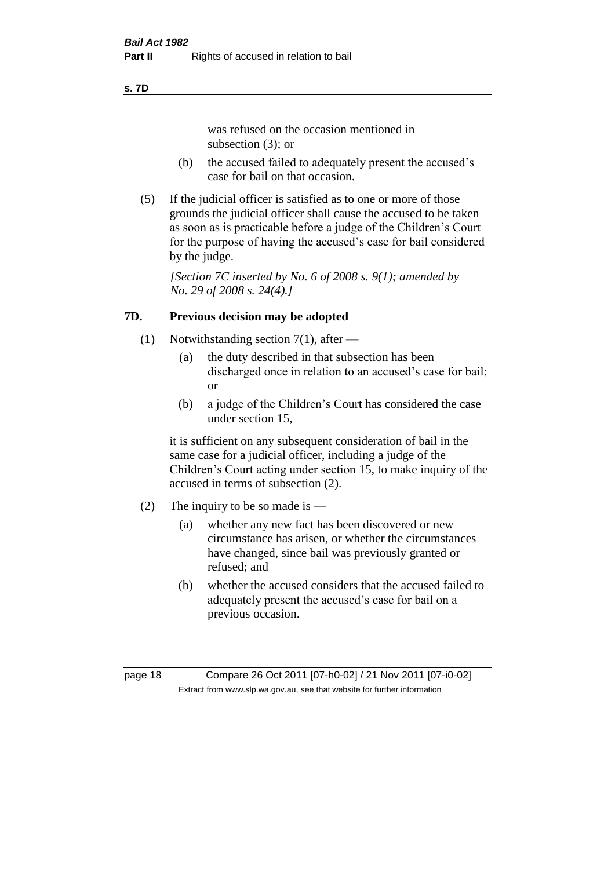#### **s. 7D**

was refused on the occasion mentioned in subsection (3); or

- (b) the accused failed to adequately present the accused's case for bail on that occasion.
- (5) If the judicial officer is satisfied as to one or more of those grounds the judicial officer shall cause the accused to be taken as soon as is practicable before a judge of the Children's Court for the purpose of having the accused's case for bail considered by the judge.

*[Section 7C inserted by No. 6 of 2008 s. 9(1); amended by No. 29 of 2008 s. 24(4).]*

### **7D. Previous decision may be adopted**

- (1) Notwithstanding section 7(1), after
	- (a) the duty described in that subsection has been discharged once in relation to an accused's case for bail; or
	- (b) a judge of the Children's Court has considered the case under section 15,

it is sufficient on any subsequent consideration of bail in the same case for a judicial officer, including a judge of the Children's Court acting under section 15, to make inquiry of the accused in terms of subsection (2).

- (2) The inquiry to be so made is  $-$ 
	- (a) whether any new fact has been discovered or new circumstance has arisen, or whether the circumstances have changed, since bail was previously granted or refused; and
	- (b) whether the accused considers that the accused failed to adequately present the accused's case for bail on a previous occasion.

page 18 Compare 26 Oct 2011 [07-h0-02] / 21 Nov 2011 [07-i0-02] Extract from www.slp.wa.gov.au, see that website for further information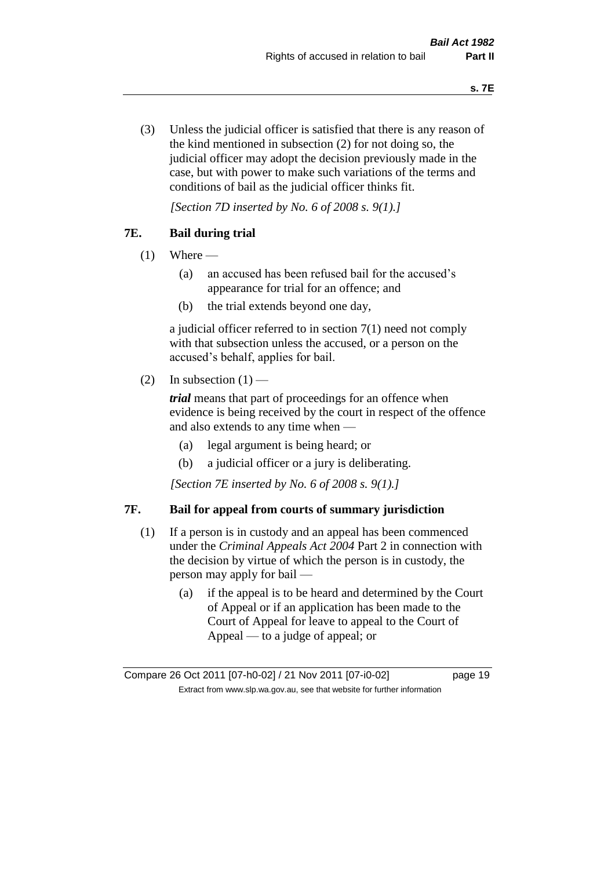(3) Unless the judicial officer is satisfied that there is any reason of the kind mentioned in subsection (2) for not doing so, the judicial officer may adopt the decision previously made in the case, but with power to make such variations of the terms and conditions of bail as the judicial officer thinks fit.

*[Section 7D inserted by No. 6 of 2008 s. 9(1).]*

### **7E. Bail during trial**

- $(1)$  Where
	- (a) an accused has been refused bail for the accused's appearance for trial for an offence; and
	- (b) the trial extends beyond one day,

a judicial officer referred to in section 7(1) need not comply with that subsection unless the accused, or a person on the accused's behalf, applies for bail.

(2) In subsection  $(1)$  —

*trial* means that part of proceedings for an offence when evidence is being received by the court in respect of the offence and also extends to any time when —

- (a) legal argument is being heard; or
- (b) a judicial officer or a jury is deliberating.

*[Section 7E inserted by No. 6 of 2008 s. 9(1).]*

### **7F. Bail for appeal from courts of summary jurisdiction**

- (1) If a person is in custody and an appeal has been commenced under the *Criminal Appeals Act 2004* Part 2 in connection with the decision by virtue of which the person is in custody, the person may apply for bail —
	- (a) if the appeal is to be heard and determined by the Court of Appeal or if an application has been made to the Court of Appeal for leave to appeal to the Court of Appeal — to a judge of appeal; or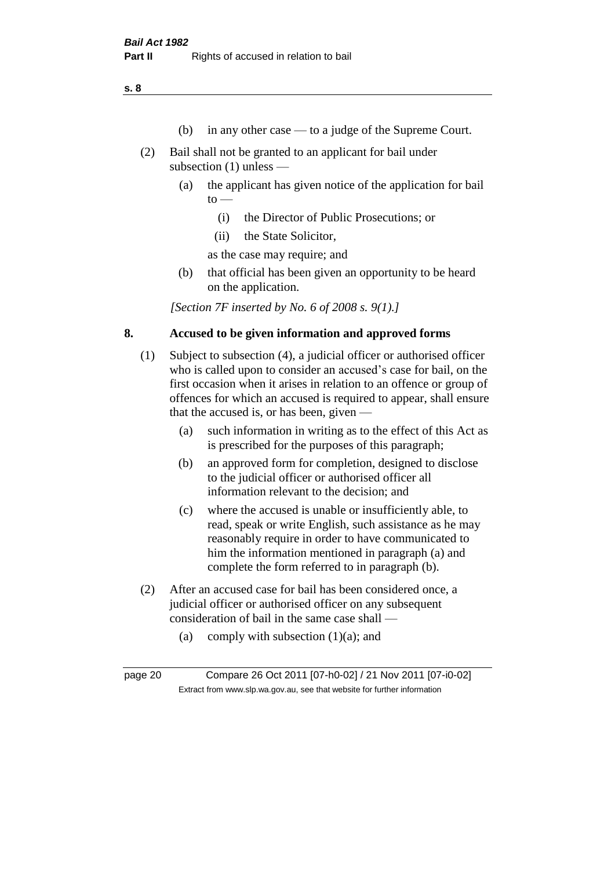**s. 8**

- (b) in any other case to a judge of the Supreme Court.
- (2) Bail shall not be granted to an applicant for bail under subsection (1) unless —
	- (a) the applicant has given notice of the application for bail  $to -$ 
		- (i) the Director of Public Prosecutions; or
		- (ii) the State Solicitor,

as the case may require; and

(b) that official has been given an opportunity to be heard on the application.

*[Section 7F inserted by No. 6 of 2008 s. 9(1).]*

### **8. Accused to be given information and approved forms**

- (1) Subject to subsection (4), a judicial officer or authorised officer who is called upon to consider an accused's case for bail, on the first occasion when it arises in relation to an offence or group of offences for which an accused is required to appear, shall ensure that the accused is, or has been, given —
	- (a) such information in writing as to the effect of this Act as is prescribed for the purposes of this paragraph;
	- (b) an approved form for completion, designed to disclose to the judicial officer or authorised officer all information relevant to the decision; and
	- (c) where the accused is unable or insufficiently able, to read, speak or write English, such assistance as he may reasonably require in order to have communicated to him the information mentioned in paragraph (a) and complete the form referred to in paragraph (b).
- (2) After an accused case for bail has been considered once, a judicial officer or authorised officer on any subsequent consideration of bail in the same case shall —
	- (a) comply with subsection  $(1)(a)$ ; and

page 20 Compare 26 Oct 2011 [07-h0-02] / 21 Nov 2011 [07-i0-02] Extract from www.slp.wa.gov.au, see that website for further information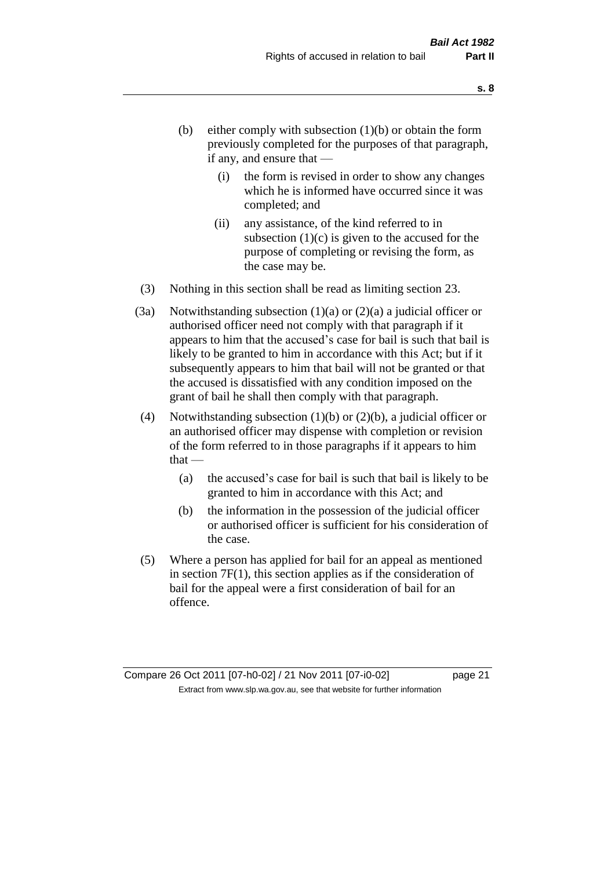- (b) either comply with subsection  $(1)(b)$  or obtain the form previously completed for the purposes of that paragraph, if any, and ensure that —
	- (i) the form is revised in order to show any changes which he is informed have occurred since it was completed; and
	- (ii) any assistance, of the kind referred to in subsection  $(1)(c)$  is given to the accused for the purpose of completing or revising the form, as the case may be.
- (3) Nothing in this section shall be read as limiting section 23.
- (3a) Notwithstanding subsection  $(1)(a)$  or  $(2)(a)$  a judicial officer or authorised officer need not comply with that paragraph if it appears to him that the accused's case for bail is such that bail is likely to be granted to him in accordance with this Act; but if it subsequently appears to him that bail will not be granted or that the accused is dissatisfied with any condition imposed on the grant of bail he shall then comply with that paragraph.
- (4) Notwithstanding subsection (1)(b) or (2)(b), a judicial officer or an authorised officer may dispense with completion or revision of the form referred to in those paragraphs if it appears to him  $that -$ 
	- (a) the accused's case for bail is such that bail is likely to be granted to him in accordance with this Act; and
	- (b) the information in the possession of the judicial officer or authorised officer is sufficient for his consideration of the case.
- (5) Where a person has applied for bail for an appeal as mentioned in section 7F(1), this section applies as if the consideration of bail for the appeal were a first consideration of bail for an offence.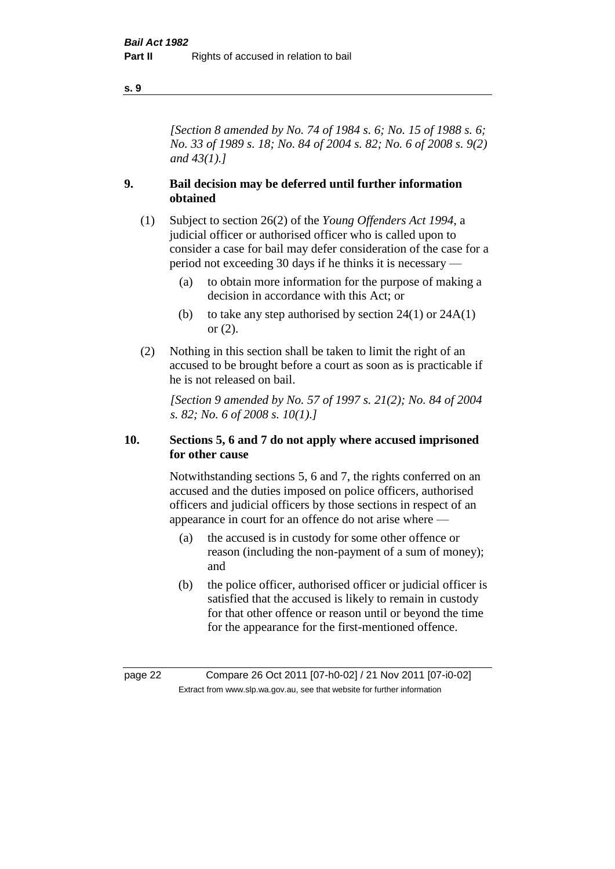#### **s. 9**

*[Section 8 amended by No. 74 of 1984 s. 6; No. 15 of 1988 s. 6; No. 33 of 1989 s. 18; No. 84 of 2004 s. 82; No. 6 of 2008 s. 9(2) and 43(1).]* 

### **9. Bail decision may be deferred until further information obtained**

- (1) Subject to section 26(2) of the *Young Offenders Act 1994*, a judicial officer or authorised officer who is called upon to consider a case for bail may defer consideration of the case for a period not exceeding 30 days if he thinks it is necessary —
	- (a) to obtain more information for the purpose of making a decision in accordance with this Act; or
	- (b) to take any step authorised by section  $24(1)$  or  $24A(1)$ or (2).
- (2) Nothing in this section shall be taken to limit the right of an accused to be brought before a court as soon as is practicable if he is not released on bail.

*[Section 9 amended by No. 57 of 1997 s. 21(2); No. 84 of 2004 s. 82; No. 6 of 2008 s. 10(1).]*

### **10. Sections 5, 6 and 7 do not apply where accused imprisoned for other cause**

Notwithstanding sections 5, 6 and 7, the rights conferred on an accused and the duties imposed on police officers, authorised officers and judicial officers by those sections in respect of an appearance in court for an offence do not arise where —

- (a) the accused is in custody for some other offence or reason (including the non-payment of a sum of money); and
- (b) the police officer, authorised officer or judicial officer is satisfied that the accused is likely to remain in custody for that other offence or reason until or beyond the time for the appearance for the first-mentioned offence.

page 22 Compare 26 Oct 2011 [07-h0-02] / 21 Nov 2011 [07-i0-02] Extract from www.slp.wa.gov.au, see that website for further information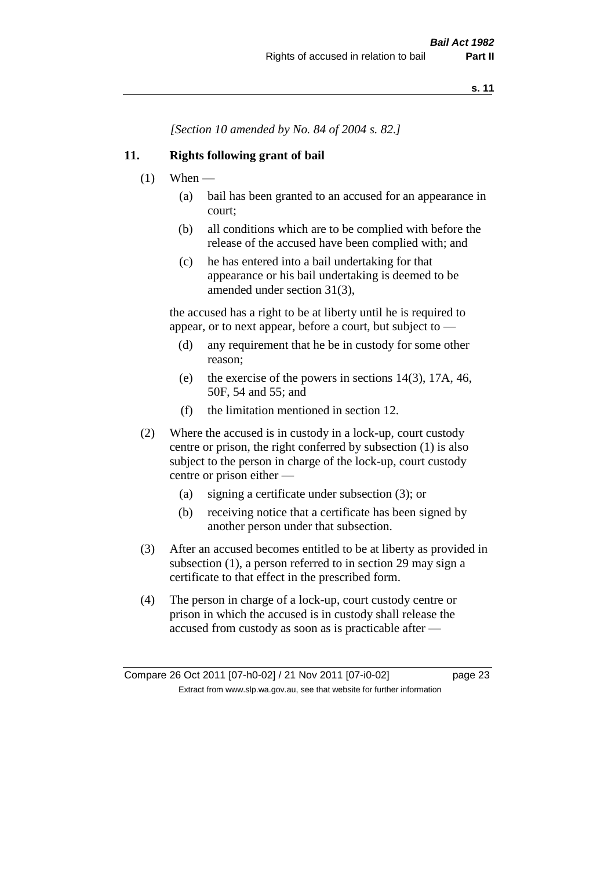*[Section 10 amended by No. 84 of 2004 s. 82.]*

### **11. Rights following grant of bail**

- $(1)$  When
	- (a) bail has been granted to an accused for an appearance in court;
	- (b) all conditions which are to be complied with before the release of the accused have been complied with; and
	- (c) he has entered into a bail undertaking for that appearance or his bail undertaking is deemed to be amended under section 31(3),

the accused has a right to be at liberty until he is required to appear, or to next appear, before a court, but subject to —

- (d) any requirement that he be in custody for some other reason;
- (e) the exercise of the powers in sections 14(3), 17A, 46, 50F, 54 and 55; and
- (f) the limitation mentioned in section 12.
- (2) Where the accused is in custody in a lock-up, court custody centre or prison, the right conferred by subsection (1) is also subject to the person in charge of the lock-up, court custody centre or prison either —
	- (a) signing a certificate under subsection (3); or
	- (b) receiving notice that a certificate has been signed by another person under that subsection.
- (3) After an accused becomes entitled to be at liberty as provided in subsection (1), a person referred to in section 29 may sign a certificate to that effect in the prescribed form.
- (4) The person in charge of a lock-up, court custody centre or prison in which the accused is in custody shall release the accused from custody as soon as is practicable after —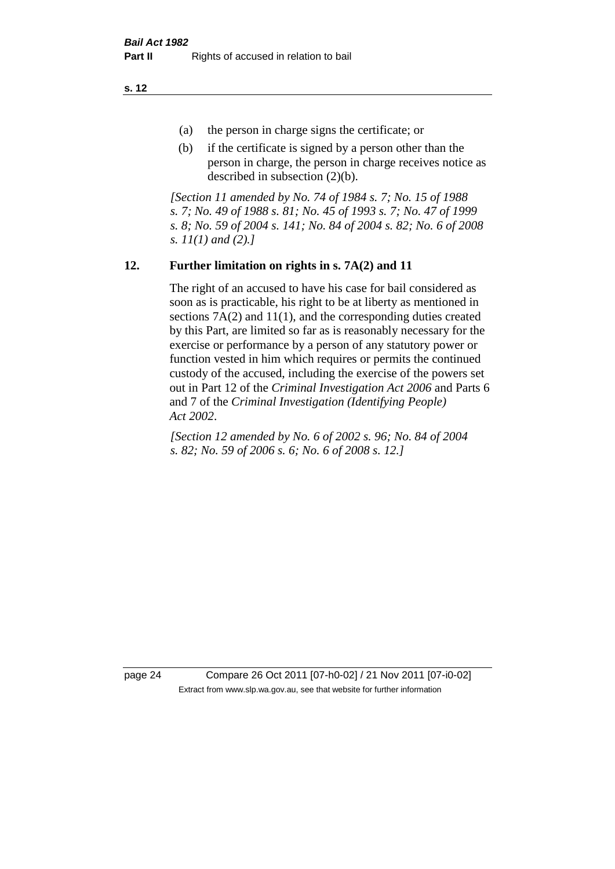**s. 12**

- (a) the person in charge signs the certificate; or
- (b) if the certificate is signed by a person other than the person in charge, the person in charge receives notice as described in subsection (2)(b).

*[Section 11 amended by No. 74 of 1984 s. 7; No. 15 of 1988 s. 7; No. 49 of 1988 s. 81; No. 45 of 1993 s. 7; No. 47 of 1999 s. 8; No. 59 of 2004 s. 141; No. 84 of 2004 s. 82; No. 6 of 2008 s. 11(1) and (2).]* 

### **12. Further limitation on rights in s. 7A(2) and 11**

The right of an accused to have his case for bail considered as soon as is practicable, his right to be at liberty as mentioned in sections 7A(2) and 11(1), and the corresponding duties created by this Part, are limited so far as is reasonably necessary for the exercise or performance by a person of any statutory power or function vested in him which requires or permits the continued custody of the accused, including the exercise of the powers set out in Part 12 of the *Criminal Investigation Act 2006* and Parts 6 and 7 of the *Criminal Investigation (Identifying People) Act 2002*.

*[Section 12 amended by No. 6 of 2002 s. 96; No. 84 of 2004 s. 82; No. 59 of 2006 s. 6; No. 6 of 2008 s. 12.]*

page 24 Compare 26 Oct 2011 [07-h0-02] / 21 Nov 2011 [07-i0-02] Extract from www.slp.wa.gov.au, see that website for further information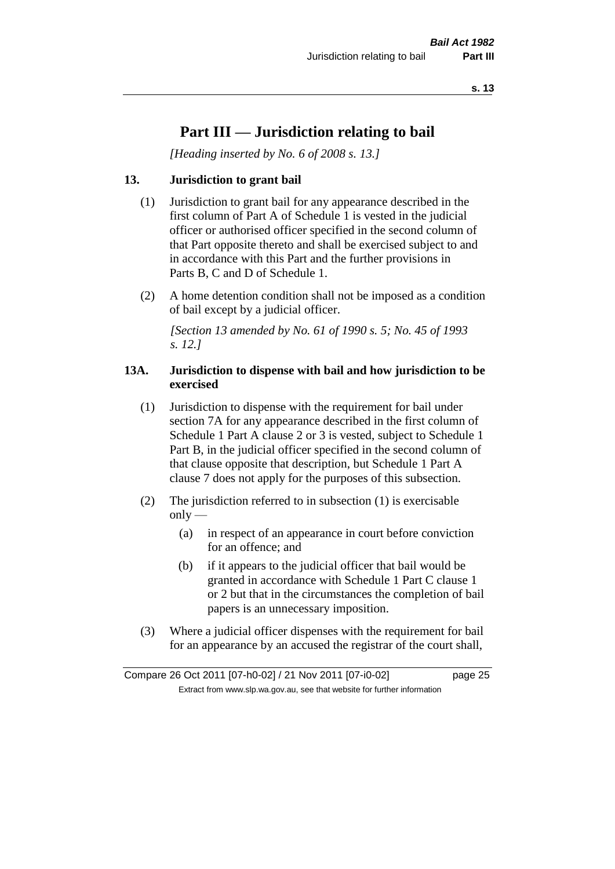# **Part III — Jurisdiction relating to bail**

*[Heading inserted by No. 6 of 2008 s. 13.]*

### **13. Jurisdiction to grant bail**

- (1) Jurisdiction to grant bail for any appearance described in the first column of Part A of Schedule 1 is vested in the judicial officer or authorised officer specified in the second column of that Part opposite thereto and shall be exercised subject to and in accordance with this Part and the further provisions in Parts B, C and D of Schedule 1.
- (2) A home detention condition shall not be imposed as a condition of bail except by a judicial officer.

*[Section 13 amended by No. 61 of 1990 s. 5; No. 45 of 1993 s. 12.]* 

### **13A. Jurisdiction to dispense with bail and how jurisdiction to be exercised**

- (1) Jurisdiction to dispense with the requirement for bail under section 7A for any appearance described in the first column of Schedule 1 Part A clause 2 or 3 is vested, subject to Schedule 1 Part B, in the judicial officer specified in the second column of that clause opposite that description, but Schedule 1 Part A clause 7 does not apply for the purposes of this subsection.
- (2) The jurisdiction referred to in subsection (1) is exercisable  $only$ —
	- (a) in respect of an appearance in court before conviction for an offence; and
	- (b) if it appears to the judicial officer that bail would be granted in accordance with Schedule 1 Part C clause 1 or 2 but that in the circumstances the completion of bail papers is an unnecessary imposition.
- (3) Where a judicial officer dispenses with the requirement for bail for an appearance by an accused the registrar of the court shall,

Compare 26 Oct 2011 [07-h0-02] / 21 Nov 2011 [07-i0-02] page 25 Extract from www.slp.wa.gov.au, see that website for further information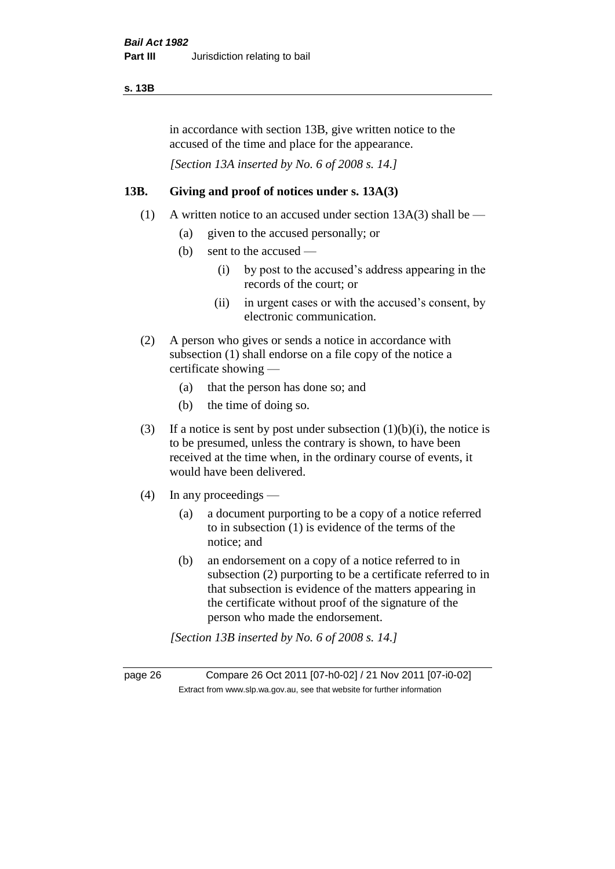#### **s. 13B**

in accordance with section 13B, give written notice to the accused of the time and place for the appearance.

*[Section 13A inserted by No. 6 of 2008 s. 14.]*

### **13B. Giving and proof of notices under s. 13A(3)**

- (1) A written notice to an accused under section  $13A(3)$  shall be
	- (a) given to the accused personally; or
	- (b) sent to the accused
		- (i) by post to the accused's address appearing in the records of the court; or
		- (ii) in urgent cases or with the accused's consent, by electronic communication.
- (2) A person who gives or sends a notice in accordance with subsection (1) shall endorse on a file copy of the notice a certificate showing —
	- (a) that the person has done so; and
	- (b) the time of doing so.
- (3) If a notice is sent by post under subsection  $(1)(b)(i)$ , the notice is to be presumed, unless the contrary is shown, to have been received at the time when, in the ordinary course of events, it would have been delivered.
- (4) In any proceedings
	- (a) a document purporting to be a copy of a notice referred to in subsection (1) is evidence of the terms of the notice; and
	- (b) an endorsement on a copy of a notice referred to in subsection (2) purporting to be a certificate referred to in that subsection is evidence of the matters appearing in the certificate without proof of the signature of the person who made the endorsement.

*[Section 13B inserted by No. 6 of 2008 s. 14.]*

page 26 Compare 26 Oct 2011 [07-h0-02] / 21 Nov 2011 [07-i0-02] Extract from www.slp.wa.gov.au, see that website for further information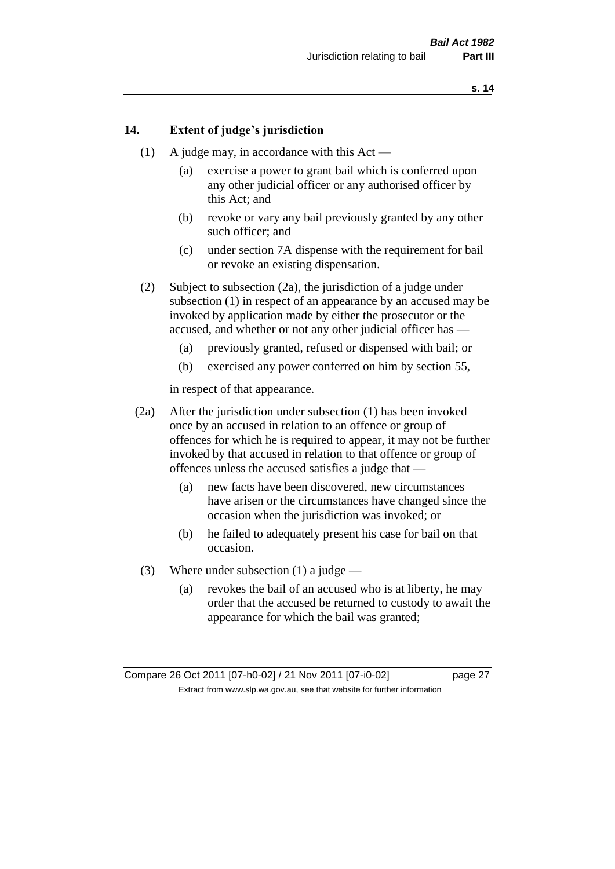### **14. Extent of judge's jurisdiction**

- (1) A judge may, in accordance with this Act
	- (a) exercise a power to grant bail which is conferred upon any other judicial officer or any authorised officer by this Act; and
	- (b) revoke or vary any bail previously granted by any other such officer; and
	- (c) under section 7A dispense with the requirement for bail or revoke an existing dispensation.
- (2) Subject to subsection (2a), the jurisdiction of a judge under subsection (1) in respect of an appearance by an accused may be invoked by application made by either the prosecutor or the accused, and whether or not any other judicial officer has —
	- (a) previously granted, refused or dispensed with bail; or
	- (b) exercised any power conferred on him by section 55,

in respect of that appearance.

- (2a) After the jurisdiction under subsection (1) has been invoked once by an accused in relation to an offence or group of offences for which he is required to appear, it may not be further invoked by that accused in relation to that offence or group of offences unless the accused satisfies a judge that —
	- (a) new facts have been discovered, new circumstances have arisen or the circumstances have changed since the occasion when the jurisdiction was invoked; or
	- (b) he failed to adequately present his case for bail on that occasion.
- (3) Where under subsection (1) a judge
	- (a) revokes the bail of an accused who is at liberty, he may order that the accused be returned to custody to await the appearance for which the bail was granted;

Compare 26 Oct 2011 [07-h0-02] / 21 Nov 2011 [07-i0-02] page 27 Extract from www.slp.wa.gov.au, see that website for further information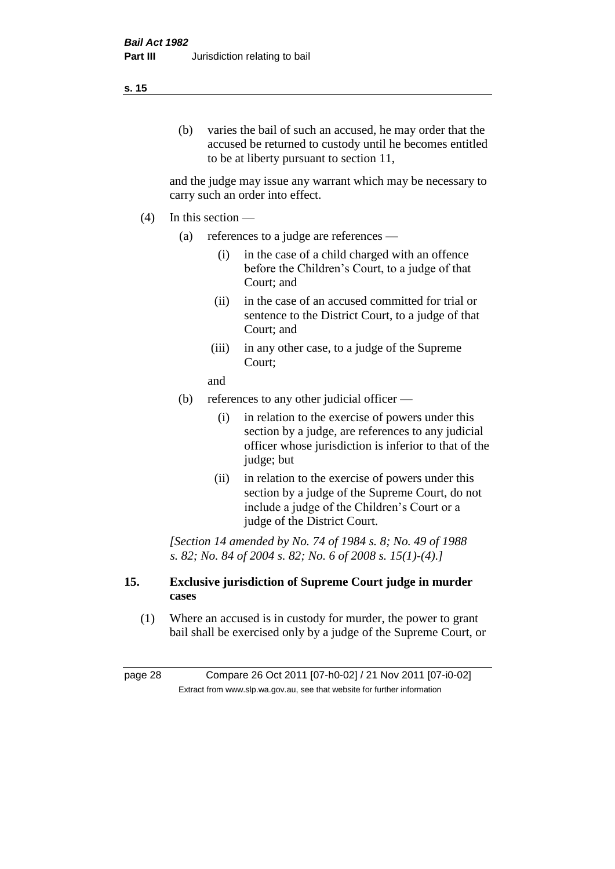#### **s. 15**

(b) varies the bail of such an accused, he may order that the accused be returned to custody until he becomes entitled to be at liberty pursuant to section 11,

and the judge may issue any warrant which may be necessary to carry such an order into effect.

- $(4)$  In this section
	- (a) references to a judge are references
		- (i) in the case of a child charged with an offence before the Children's Court, to a judge of that Court; and
		- (ii) in the case of an accused committed for trial or sentence to the District Court, to a judge of that Court; and
		- (iii) in any other case, to a judge of the Supreme Court;

and

- (b) references to any other judicial officer
	- (i) in relation to the exercise of powers under this section by a judge, are references to any judicial officer whose jurisdiction is inferior to that of the judge; but
	- (ii) in relation to the exercise of powers under this section by a judge of the Supreme Court, do not include a judge of the Children's Court or a judge of the District Court.

*[Section 14 amended by No. 74 of 1984 s. 8; No. 49 of 1988 s. 82; No. 84 of 2004 s. 82; No. 6 of 2008 s. 15(1)-(4).]* 

### **15. Exclusive jurisdiction of Supreme Court judge in murder cases**

(1) Where an accused is in custody for murder, the power to grant bail shall be exercised only by a judge of the Supreme Court, or

page 28 Compare 26 Oct 2011 [07-h0-02] / 21 Nov 2011 [07-i0-02] Extract from www.slp.wa.gov.au, see that website for further information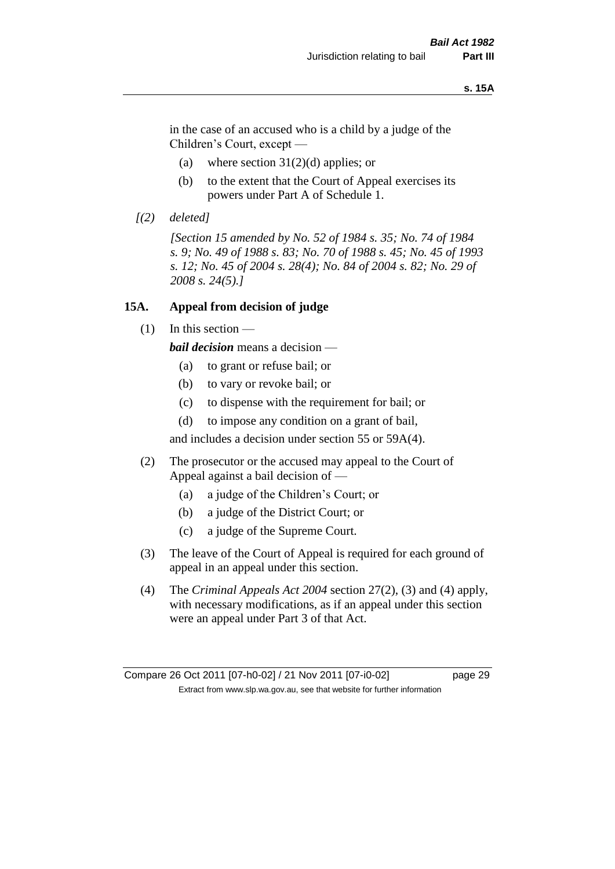#### **s. 15A**

in the case of an accused who is a child by a judge of the Children's Court, except —

- (a) where section  $31(2)(d)$  applies; or
- (b) to the extent that the Court of Appeal exercises its powers under Part A of Schedule 1.
- *[(2) deleted]*

*[Section 15 amended by No. 52 of 1984 s. 35; No. 74 of 1984 s. 9; No. 49 of 1988 s. 83; No. 70 of 1988 s. 45; No. 45 of 1993 s. 12; No. 45 of 2004 s. 28(4); No. 84 of 2004 s. 82; No. 29 of 2008 s. 24(5).]* 

#### **15A. Appeal from decision of judge**

(1) In this section —

*bail decision* means a decision —

- (a) to grant or refuse bail; or
- (b) to vary or revoke bail; or
- (c) to dispense with the requirement for bail; or
- (d) to impose any condition on a grant of bail,

and includes a decision under section 55 or 59A(4).

- (2) The prosecutor or the accused may appeal to the Court of Appeal against a bail decision of —
	- (a) a judge of the Children's Court; or
	- (b) a judge of the District Court; or
	- (c) a judge of the Supreme Court.
- (3) The leave of the Court of Appeal is required for each ground of appeal in an appeal under this section.
- (4) The *Criminal Appeals Act 2004* section 27(2), (3) and (4) apply, with necessary modifications, as if an appeal under this section were an appeal under Part 3 of that Act.

Compare 26 Oct 2011 [07-h0-02] / 21 Nov 2011 [07-i0-02] page 29 Extract from www.slp.wa.gov.au, see that website for further information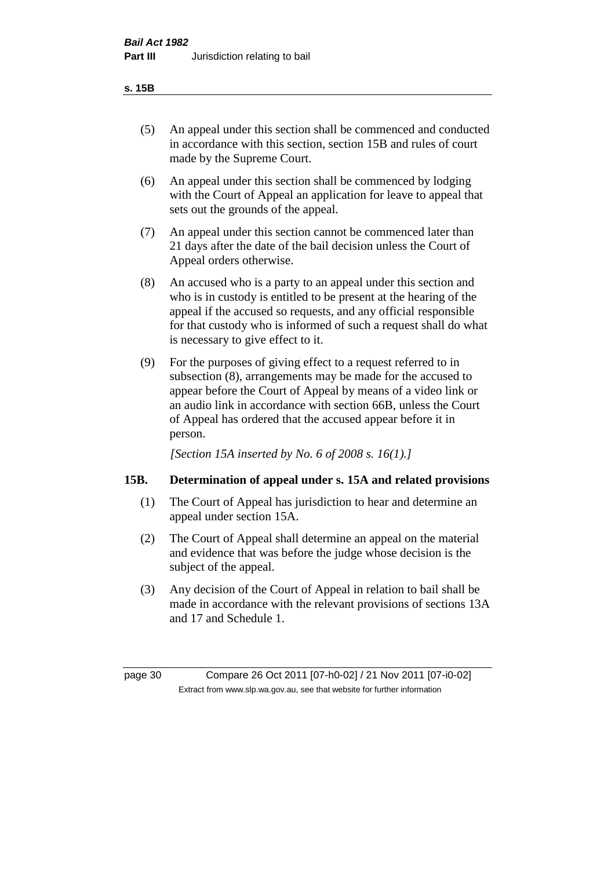- (5) An appeal under this section shall be commenced and conducted in accordance with this section, section 15B and rules of court made by the Supreme Court.
- (6) An appeal under this section shall be commenced by lodging with the Court of Appeal an application for leave to appeal that sets out the grounds of the appeal.
- (7) An appeal under this section cannot be commenced later than 21 days after the date of the bail decision unless the Court of Appeal orders otherwise.
- (8) An accused who is a party to an appeal under this section and who is in custody is entitled to be present at the hearing of the appeal if the accused so requests, and any official responsible for that custody who is informed of such a request shall do what is necessary to give effect to it.
- (9) For the purposes of giving effect to a request referred to in subsection (8), arrangements may be made for the accused to appear before the Court of Appeal by means of a video link or an audio link in accordance with section 66B, unless the Court of Appeal has ordered that the accused appear before it in person.

*[Section 15A inserted by No. 6 of 2008 s. 16(1).]*

### **15B. Determination of appeal under s. 15A and related provisions**

- (1) The Court of Appeal has jurisdiction to hear and determine an appeal under section 15A.
- (2) The Court of Appeal shall determine an appeal on the material and evidence that was before the judge whose decision is the subject of the appeal.
- (3) Any decision of the Court of Appeal in relation to bail shall be made in accordance with the relevant provisions of sections 13A and 17 and Schedule 1.

page 30 Compare 26 Oct 2011 [07-h0-02] / 21 Nov 2011 [07-i0-02] Extract from www.slp.wa.gov.au, see that website for further information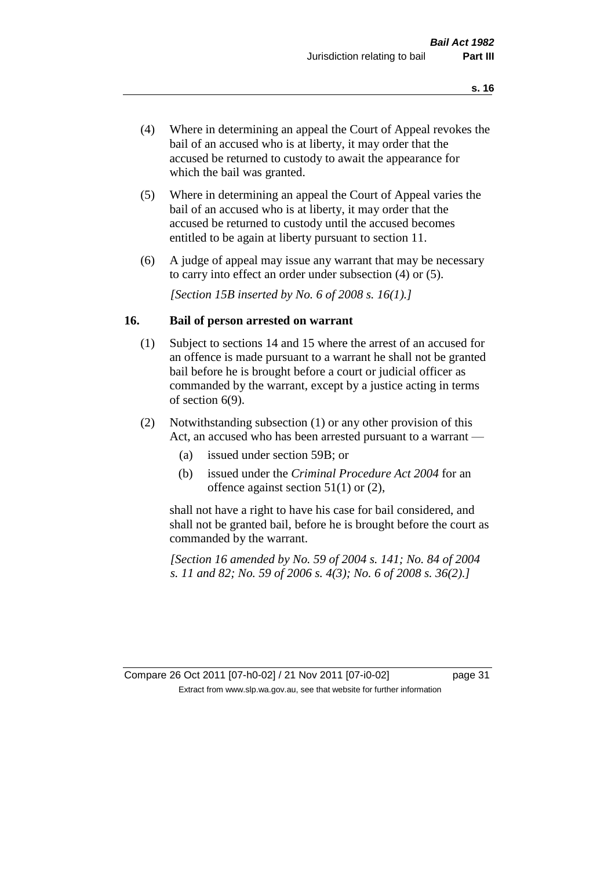- (4) Where in determining an appeal the Court of Appeal revokes the bail of an accused who is at liberty, it may order that the accused be returned to custody to await the appearance for which the bail was granted.
- (5) Where in determining an appeal the Court of Appeal varies the bail of an accused who is at liberty, it may order that the accused be returned to custody until the accused becomes entitled to be again at liberty pursuant to section 11.
- (6) A judge of appeal may issue any warrant that may be necessary to carry into effect an order under subsection (4) or (5).

*[Section 15B inserted by No. 6 of 2008 s. 16(1).]*

#### **16. Bail of person arrested on warrant**

- (1) Subject to sections 14 and 15 where the arrest of an accused for an offence is made pursuant to a warrant he shall not be granted bail before he is brought before a court or judicial officer as commanded by the warrant, except by a justice acting in terms of section 6(9).
- (2) Notwithstanding subsection (1) or any other provision of this Act, an accused who has been arrested pursuant to a warrant —
	- (a) issued under section 59B; or
	- (b) issued under the *Criminal Procedure Act 2004* for an offence against section 51(1) or (2),

shall not have a right to have his case for bail considered, and shall not be granted bail, before he is brought before the court as commanded by the warrant.

*[Section 16 amended by No. 59 of 2004 s. 141; No. 84 of 2004 s. 11 and 82; No. 59 of 2006 s. 4(3); No. 6 of 2008 s. 36(2).]*

Compare 26 Oct 2011 [07-h0-02] / 21 Nov 2011 [07-i0-02] page 31 Extract from www.slp.wa.gov.au, see that website for further information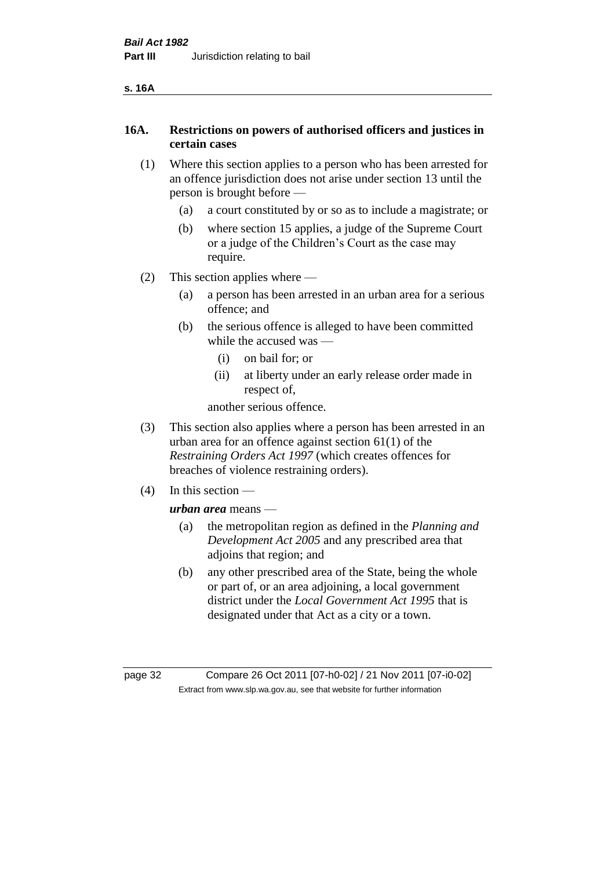### **16A. Restrictions on powers of authorised officers and justices in certain cases**

- (1) Where this section applies to a person who has been arrested for an offence jurisdiction does not arise under section 13 until the person is brought before —
	- (a) a court constituted by or so as to include a magistrate; or
	- (b) where section 15 applies, a judge of the Supreme Court or a judge of the Children's Court as the case may require.
- (2) This section applies where
	- (a) a person has been arrested in an urban area for a serious offence; and
	- (b) the serious offence is alleged to have been committed while the accused was —
		- (i) on bail for; or
		- (ii) at liberty under an early release order made in respect of,

another serious offence.

- (3) This section also applies where a person has been arrested in an urban area for an offence against section 61(1) of the *Restraining Orders Act 1997* (which creates offences for breaches of violence restraining orders).
- (4) In this section —

*urban area* means —

- (a) the metropolitan region as defined in the *Planning and Development Act 2005* and any prescribed area that adjoins that region; and
- (b) any other prescribed area of the State, being the whole or part of, or an area adjoining, a local government district under the *Local Government Act 1995* that is designated under that Act as a city or a town.

page 32 Compare 26 Oct 2011 [07-h0-02] / 21 Nov 2011 [07-i0-02] Extract from www.slp.wa.gov.au, see that website for further information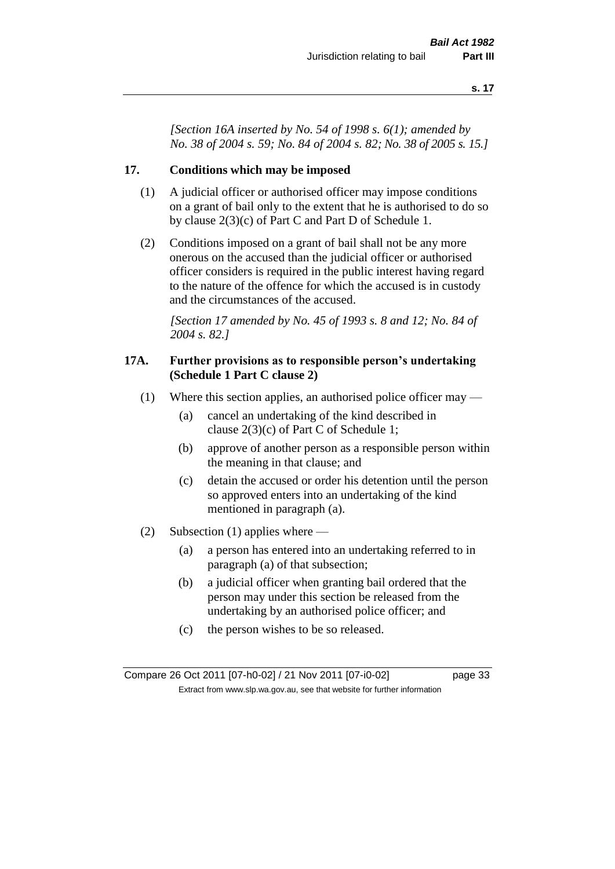*[Section 16A inserted by No. 54 of 1998 s. 6(1); amended by No. 38 of 2004 s. 59; No. 84 of 2004 s. 82; No. 38 of 2005 s. 15.]*

### **17. Conditions which may be imposed**

- (1) A judicial officer or authorised officer may impose conditions on a grant of bail only to the extent that he is authorised to do so by clause 2(3)(c) of Part C and Part D of Schedule 1.
- (2) Conditions imposed on a grant of bail shall not be any more onerous on the accused than the judicial officer or authorised officer considers is required in the public interest having regard to the nature of the offence for which the accused is in custody and the circumstances of the accused.

*[Section 17 amended by No. 45 of 1993 s. 8 and 12; No. 84 of 2004 s. 82.]* 

### **17A. Further provisions as to responsible person's undertaking (Schedule 1 Part C clause 2)**

- (1) Where this section applies, an authorised police officer may
	- (a) cancel an undertaking of the kind described in clause 2(3)(c) of Part C of Schedule 1;
	- (b) approve of another person as a responsible person within the meaning in that clause; and
	- (c) detain the accused or order his detention until the person so approved enters into an undertaking of the kind mentioned in paragraph (a).
- (2) Subsection (1) applies where
	- (a) a person has entered into an undertaking referred to in paragraph (a) of that subsection;
	- (b) a judicial officer when granting bail ordered that the person may under this section be released from the undertaking by an authorised police officer; and
	- (c) the person wishes to be so released.

Compare 26 Oct 2011 [07-h0-02] / 21 Nov 2011 [07-i0-02] page 33 Extract from www.slp.wa.gov.au, see that website for further information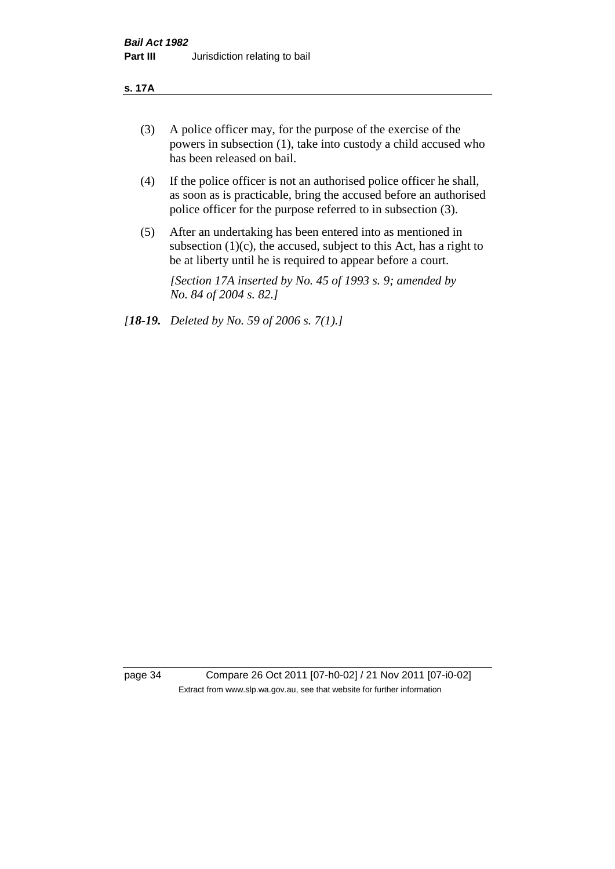#### **s. 17A**

- (3) A police officer may, for the purpose of the exercise of the powers in subsection (1), take into custody a child accused who has been released on bail.
- (4) If the police officer is not an authorised police officer he shall, as soon as is practicable, bring the accused before an authorised police officer for the purpose referred to in subsection (3).
- (5) After an undertaking has been entered into as mentioned in subsection  $(1)(c)$ , the accused, subject to this Act, has a right to be at liberty until he is required to appear before a court.

*[Section 17A inserted by No. 45 of 1993 s. 9; amended by No. 84 of 2004 s. 82.]* 

*[18-19. Deleted by No. 59 of 2006 s. 7(1).]*

page 34 Compare 26 Oct 2011 [07-h0-02] / 21 Nov 2011 [07-i0-02] Extract from www.slp.wa.gov.au, see that website for further information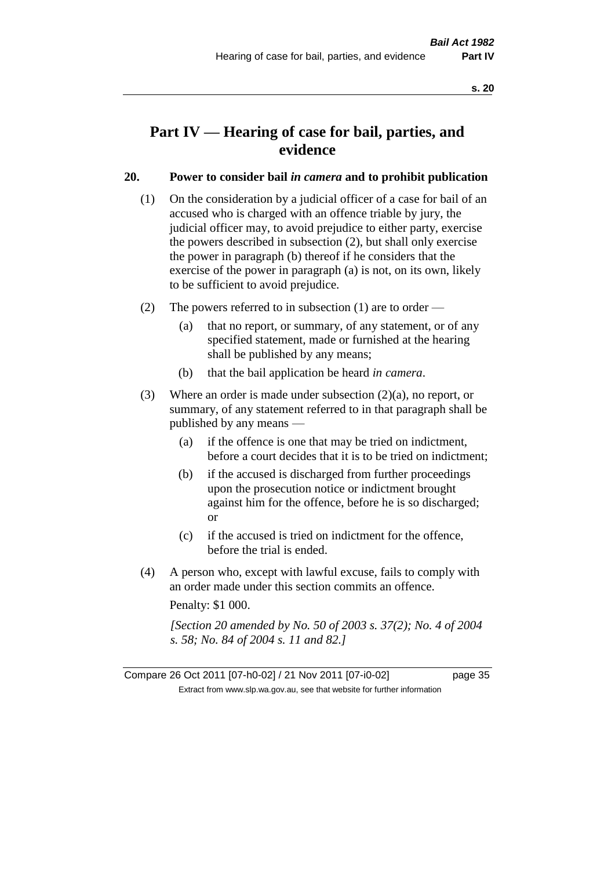# **Part IV — Hearing of case for bail, parties, and evidence**

## **20. Power to consider bail** *in camera* **and to prohibit publication**

- (1) On the consideration by a judicial officer of a case for bail of an accused who is charged with an offence triable by jury, the judicial officer may, to avoid prejudice to either party, exercise the powers described in subsection (2), but shall only exercise the power in paragraph (b) thereof if he considers that the exercise of the power in paragraph (a) is not, on its own, likely to be sufficient to avoid prejudice.
- (2) The powers referred to in subsection (1) are to order
	- (a) that no report, or summary, of any statement, or of any specified statement, made or furnished at the hearing shall be published by any means;
	- (b) that the bail application be heard *in camera*.
- (3) Where an order is made under subsection (2)(a), no report, or summary, of any statement referred to in that paragraph shall be published by any means —
	- (a) if the offence is one that may be tried on indictment, before a court decides that it is to be tried on indictment;
	- (b) if the accused is discharged from further proceedings upon the prosecution notice or indictment brought against him for the offence, before he is so discharged; or
	- (c) if the accused is tried on indictment for the offence, before the trial is ended.
- (4) A person who, except with lawful excuse, fails to comply with an order made under this section commits an offence.

Penalty: \$1 000.

*[Section 20 amended by No. 50 of 2003 s. 37(2); No. 4 of 2004 s. 58; No. 84 of 2004 s. 11 and 82.]*

Compare 26 Oct 2011 [07-h0-02] / 21 Nov 2011 [07-i0-02] page 35 Extract from www.slp.wa.gov.au, see that website for further information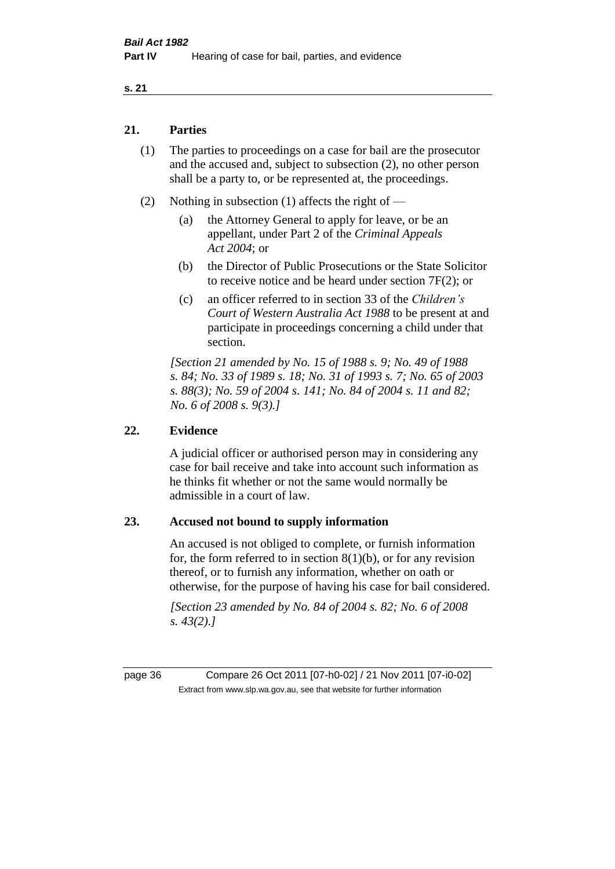## **21. Parties**

- (1) The parties to proceedings on a case for bail are the prosecutor and the accused and, subject to subsection (2), no other person shall be a party to, or be represented at, the proceedings.
- (2) Nothing in subsection (1) affects the right of
	- (a) the Attorney General to apply for leave, or be an appellant, under Part 2 of the *Criminal Appeals Act 2004*; or
	- (b) the Director of Public Prosecutions or the State Solicitor to receive notice and be heard under section 7F(2); or
	- (c) an officer referred to in section 33 of the *Children's Court of Western Australia Act 1988* to be present at and participate in proceedings concerning a child under that section.

*[Section 21 amended by No. 15 of 1988 s. 9; No. 49 of 1988 s. 84; No. 33 of 1989 s. 18; No. 31 of 1993 s. 7; No. 65 of 2003 s. 88(3); No. 59 of 2004 s. 141; No. 84 of 2004 s. 11 and 82; No. 6 of 2008 s. 9(3).]* 

## **22. Evidence**

A judicial officer or authorised person may in considering any case for bail receive and take into account such information as he thinks fit whether or not the same would normally be admissible in a court of law.

## **23. Accused not bound to supply information**

An accused is not obliged to complete, or furnish information for, the form referred to in section  $8(1)(b)$ , or for any revision thereof, or to furnish any information, whether on oath or otherwise, for the purpose of having his case for bail considered.

*[Section 23 amended by No. 84 of 2004 s. 82; No. 6 of 2008 s. 43(2).]* 

page 36 Compare 26 Oct 2011 [07-h0-02] / 21 Nov 2011 [07-i0-02] Extract from www.slp.wa.gov.au, see that website for further information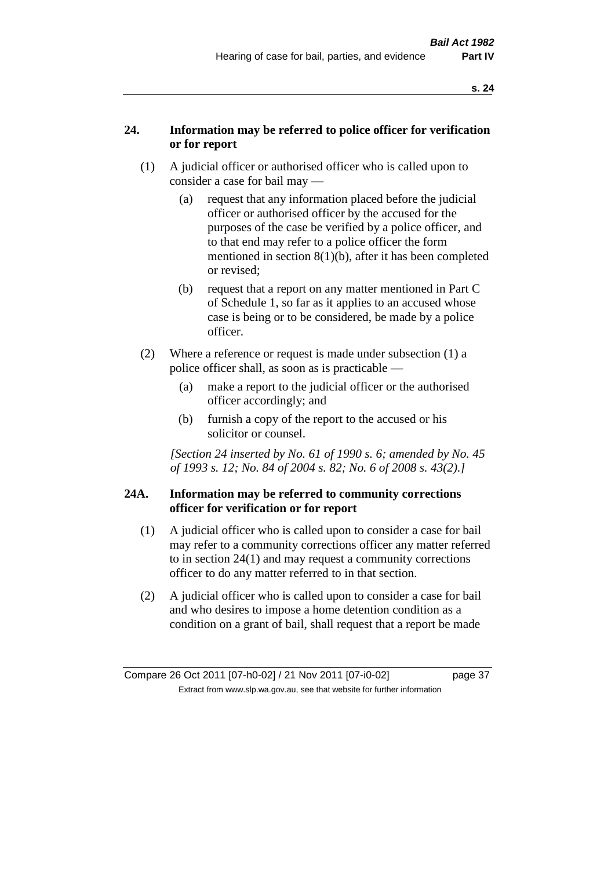# **24. Information may be referred to police officer for verification or for report**

- (1) A judicial officer or authorised officer who is called upon to consider a case for bail may —
	- (a) request that any information placed before the judicial officer or authorised officer by the accused for the purposes of the case be verified by a police officer, and to that end may refer to a police officer the form mentioned in section 8(1)(b), after it has been completed or revised;
	- (b) request that a report on any matter mentioned in Part C of Schedule 1, so far as it applies to an accused whose case is being or to be considered, be made by a police officer.
- (2) Where a reference or request is made under subsection (1) a police officer shall, as soon as is practicable —
	- (a) make a report to the judicial officer or the authorised officer accordingly; and
	- (b) furnish a copy of the report to the accused or his solicitor or counsel.

*[Section 24 inserted by No. 61 of 1990 s. 6; amended by No. 45 of 1993 s. 12; No. 84 of 2004 s. 82; No. 6 of 2008 s. 43(2).]* 

## **24A. Information may be referred to community corrections officer for verification or for report**

- (1) A judicial officer who is called upon to consider a case for bail may refer to a community corrections officer any matter referred to in section 24(1) and may request a community corrections officer to do any matter referred to in that section.
- (2) A judicial officer who is called upon to consider a case for bail and who desires to impose a home detention condition as a condition on a grant of bail, shall request that a report be made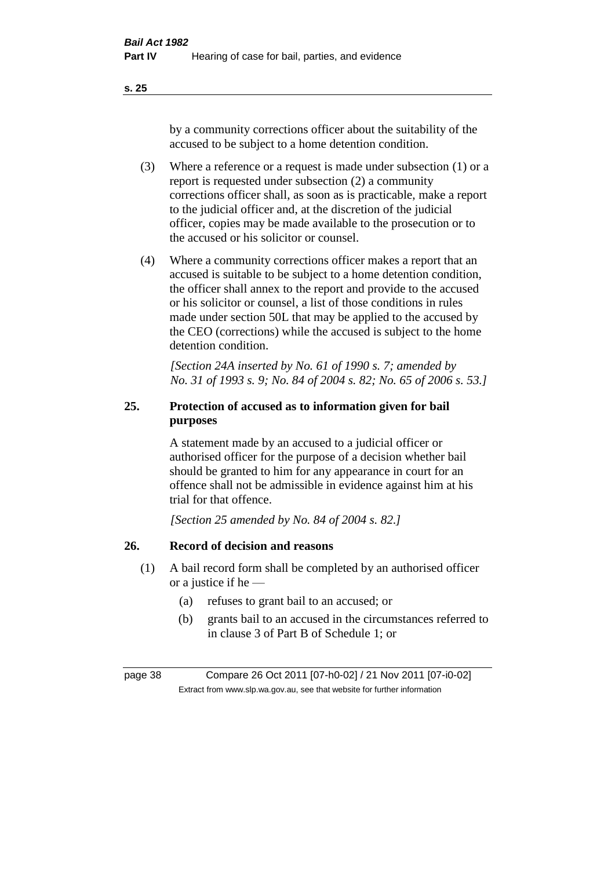by a community corrections officer about the suitability of the accused to be subject to a home detention condition.

- (3) Where a reference or a request is made under subsection (1) or a report is requested under subsection (2) a community corrections officer shall, as soon as is practicable, make a report to the judicial officer and, at the discretion of the judicial officer, copies may be made available to the prosecution or to the accused or his solicitor or counsel.
- (4) Where a community corrections officer makes a report that an accused is suitable to be subject to a home detention condition, the officer shall annex to the report and provide to the accused or his solicitor or counsel, a list of those conditions in rules made under section 50L that may be applied to the accused by the CEO (corrections) while the accused is subject to the home detention condition.

*[Section 24A inserted by No. 61 of 1990 s. 7; amended by No. 31 of 1993 s. 9; No. 84 of 2004 s. 82; No. 65 of 2006 s. 53.]* 

# **25. Protection of accused as to information given for bail purposes**

A statement made by an accused to a judicial officer or authorised officer for the purpose of a decision whether bail should be granted to him for any appearance in court for an offence shall not be admissible in evidence against him at his trial for that offence.

*[Section 25 amended by No. 84 of 2004 s. 82.]* 

# **26. Record of decision and reasons**

- (1) A bail record form shall be completed by an authorised officer or a justice if he —
	- (a) refuses to grant bail to an accused; or
	- (b) grants bail to an accused in the circumstances referred to in clause 3 of Part B of Schedule 1; or

page 38 Compare 26 Oct 2011 [07-h0-02] / 21 Nov 2011 [07-i0-02] Extract from www.slp.wa.gov.au, see that website for further information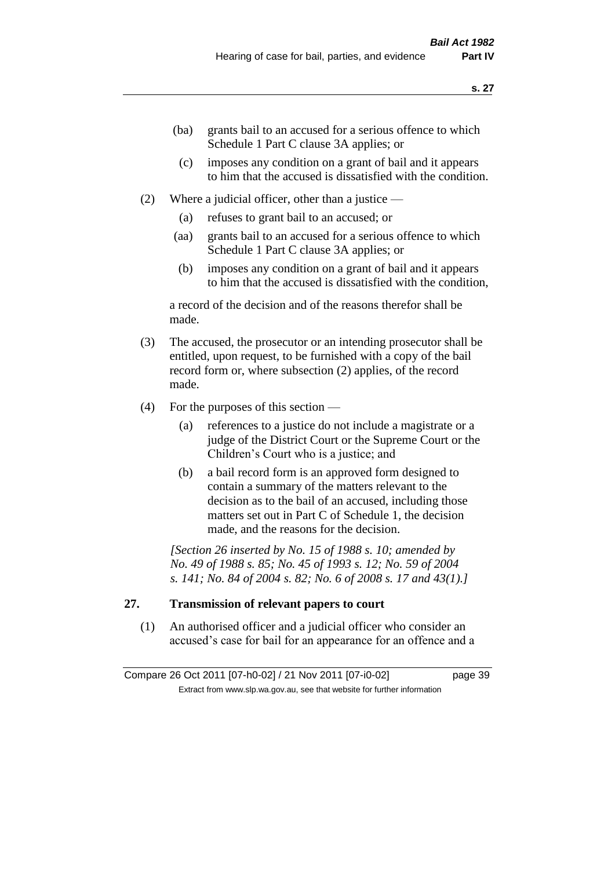- (ba) grants bail to an accused for a serious offence to which Schedule 1 Part C clause 3A applies; or
- (c) imposes any condition on a grant of bail and it appears to him that the accused is dissatisfied with the condition.
- (2) Where a judicial officer, other than a justice
	- (a) refuses to grant bail to an accused; or
	- (aa) grants bail to an accused for a serious offence to which Schedule 1 Part C clause 3A applies; or
	- (b) imposes any condition on a grant of bail and it appears to him that the accused is dissatisfied with the condition,

a record of the decision and of the reasons therefor shall be made.

- (3) The accused, the prosecutor or an intending prosecutor shall be entitled, upon request, to be furnished with a copy of the bail record form or, where subsection (2) applies, of the record made.
- (4) For the purposes of this section
	- (a) references to a justice do not include a magistrate or a judge of the District Court or the Supreme Court or the Children's Court who is a justice; and
	- (b) a bail record form is an approved form designed to contain a summary of the matters relevant to the decision as to the bail of an accused, including those matters set out in Part C of Schedule 1, the decision made, and the reasons for the decision.

*[Section 26 inserted by No. 15 of 1988 s. 10; amended by No. 49 of 1988 s. 85; No. 45 of 1993 s. 12; No. 59 of 2004 s. 141; No. 84 of 2004 s. 82; No. 6 of 2008 s. 17 and 43(1).]* 

## **27. Transmission of relevant papers to court**

(1) An authorised officer and a judicial officer who consider an accused's case for bail for an appearance for an offence and a

Compare 26 Oct 2011 [07-h0-02] / 21 Nov 2011 [07-i0-02] page 39 Extract from www.slp.wa.gov.au, see that website for further information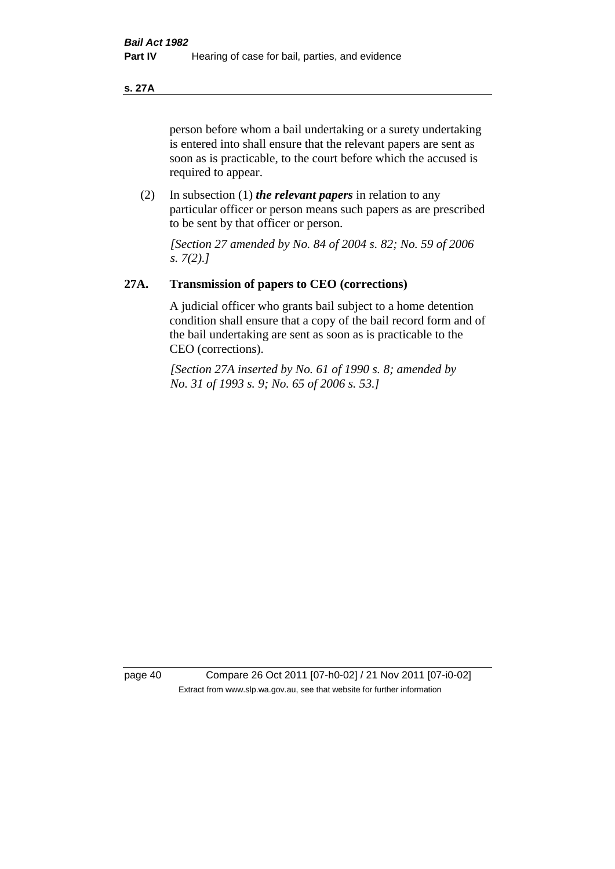#### **s. 27A**

person before whom a bail undertaking or a surety undertaking is entered into shall ensure that the relevant papers are sent as soon as is practicable, to the court before which the accused is required to appear.

(2) In subsection (1) *the relevant papers* in relation to any particular officer or person means such papers as are prescribed to be sent by that officer or person.

*[Section 27 amended by No. 84 of 2004 s. 82; No. 59 of 2006 s. 7(2).]* 

## **27A. Transmission of papers to CEO (corrections)**

A judicial officer who grants bail subject to a home detention condition shall ensure that a copy of the bail record form and of the bail undertaking are sent as soon as is practicable to the CEO (corrections).

*[Section 27A inserted by No. 61 of 1990 s. 8; amended by No. 31 of 1993 s. 9; No. 65 of 2006 s. 53.]* 

page 40 Compare 26 Oct 2011 [07-h0-02] / 21 Nov 2011 [07-i0-02] Extract from www.slp.wa.gov.au, see that website for further information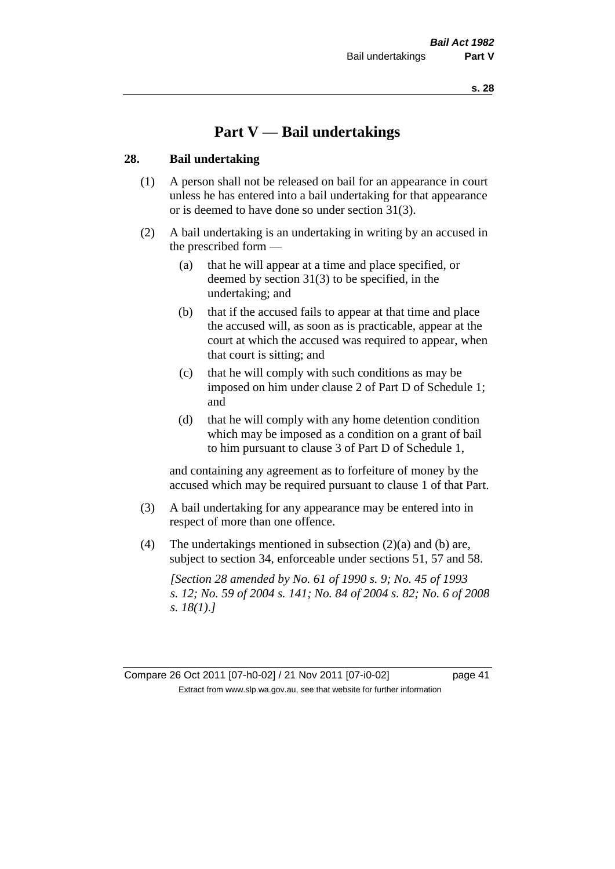# **Part V — Bail undertakings**

#### **28. Bail undertaking**

- (1) A person shall not be released on bail for an appearance in court unless he has entered into a bail undertaking for that appearance or is deemed to have done so under section 31(3).
- (2) A bail undertaking is an undertaking in writing by an accused in the prescribed form —
	- (a) that he will appear at a time and place specified, or deemed by section 31(3) to be specified, in the undertaking; and
	- (b) that if the accused fails to appear at that time and place the accused will, as soon as is practicable, appear at the court at which the accused was required to appear, when that court is sitting; and
	- (c) that he will comply with such conditions as may be imposed on him under clause 2 of Part D of Schedule 1; and
	- (d) that he will comply with any home detention condition which may be imposed as a condition on a grant of bail to him pursuant to clause 3 of Part D of Schedule 1,

and containing any agreement as to forfeiture of money by the accused which may be required pursuant to clause 1 of that Part.

- (3) A bail undertaking for any appearance may be entered into in respect of more than one offence.
- (4) The undertakings mentioned in subsection (2)(a) and (b) are, subject to section 34, enforceable under sections 51, 57 and 58.

*[Section 28 amended by No. 61 of 1990 s. 9; No. 45 of 1993 s. 12; No. 59 of 2004 s. 141; No. 84 of 2004 s. 82; No. 6 of 2008 s. 18(1).]* 

Compare 26 Oct 2011 [07-h0-02] / 21 Nov 2011 [07-i0-02] page 41 Extract from www.slp.wa.gov.au, see that website for further information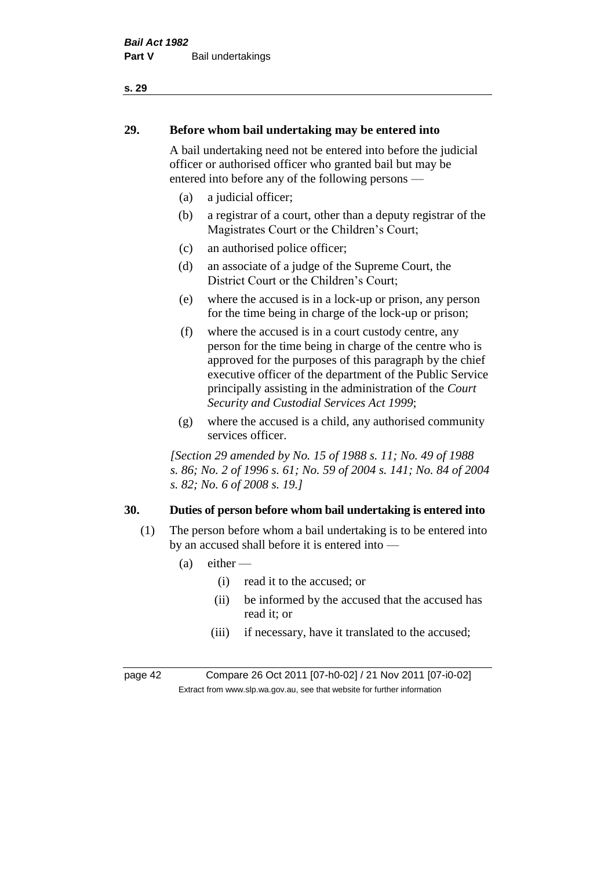# **29. Before whom bail undertaking may be entered into**

A bail undertaking need not be entered into before the judicial officer or authorised officer who granted bail but may be entered into before any of the following persons —

- (a) a judicial officer;
- (b) a registrar of a court, other than a deputy registrar of the Magistrates Court or the Children's Court;
- (c) an authorised police officer;
- (d) an associate of a judge of the Supreme Court, the District Court or the Children's Court;
- (e) where the accused is in a lock-up or prison, any person for the time being in charge of the lock-up or prison;
- (f) where the accused is in a court custody centre, any person for the time being in charge of the centre who is approved for the purposes of this paragraph by the chief executive officer of the department of the Public Service principally assisting in the administration of the *Court Security and Custodial Services Act 1999*;
- (g) where the accused is a child, any authorised community services officer.

*[Section 29 amended by No. 15 of 1988 s. 11; No. 49 of 1988 s. 86; No. 2 of 1996 s. 61; No. 59 of 2004 s. 141; No. 84 of 2004 s. 82; No. 6 of 2008 s. 19.]* 

# **30. Duties of person before whom bail undertaking is entered into**

- (1) The person before whom a bail undertaking is to be entered into by an accused shall before it is entered into —
	- $(a)$  either
		- (i) read it to the accused; or
		- (ii) be informed by the accused that the accused has read it; or
		- (iii) if necessary, have it translated to the accused;

page 42 Compare 26 Oct 2011 [07-h0-02] / 21 Nov 2011 [07-i0-02] Extract from www.slp.wa.gov.au, see that website for further information

#### **s. 29**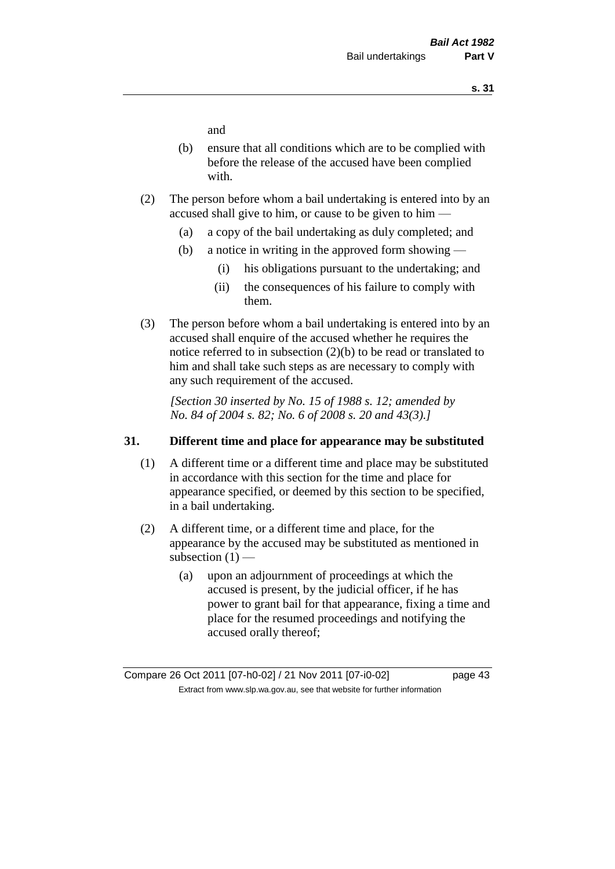and

- (b) ensure that all conditions which are to be complied with before the release of the accused have been complied with.
- (2) The person before whom a bail undertaking is entered into by an accused shall give to him, or cause to be given to him —
	- (a) a copy of the bail undertaking as duly completed; and
	- (b) a notice in writing in the approved form showing
		- (i) his obligations pursuant to the undertaking; and
		- (ii) the consequences of his failure to comply with them.
- (3) The person before whom a bail undertaking is entered into by an accused shall enquire of the accused whether he requires the notice referred to in subsection (2)(b) to be read or translated to him and shall take such steps as are necessary to comply with any such requirement of the accused.

*[Section 30 inserted by No. 15 of 1988 s. 12; amended by No. 84 of 2004 s. 82; No. 6 of 2008 s. 20 and 43(3).]* 

## **31. Different time and place for appearance may be substituted**

- (1) A different time or a different time and place may be substituted in accordance with this section for the time and place for appearance specified, or deemed by this section to be specified, in a bail undertaking.
- (2) A different time, or a different time and place, for the appearance by the accused may be substituted as mentioned in subsection  $(1)$  —
	- (a) upon an adjournment of proceedings at which the accused is present, by the judicial officer, if he has power to grant bail for that appearance, fixing a time and place for the resumed proceedings and notifying the accused orally thereof;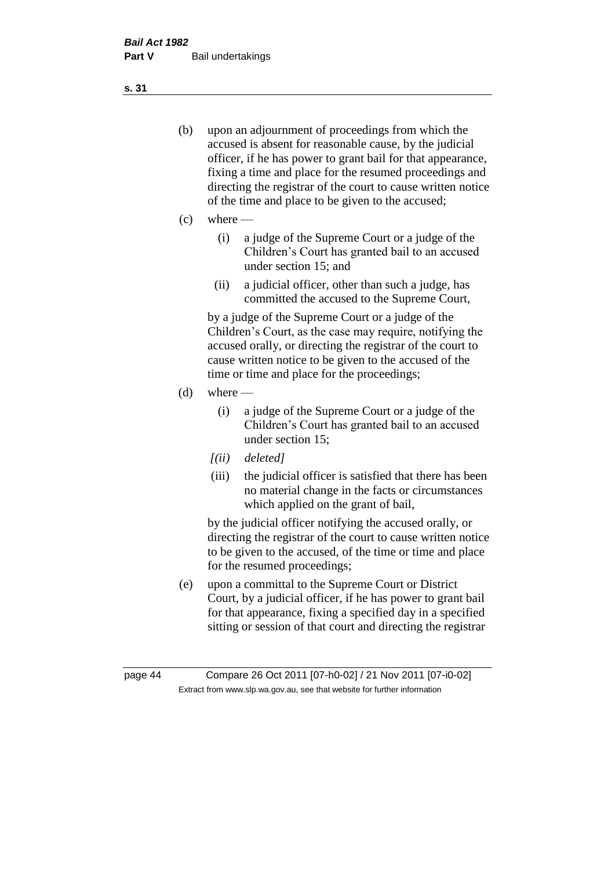- (b) upon an adjournment of proceedings from which the accused is absent for reasonable cause, by the judicial officer, if he has power to grant bail for that appearance, fixing a time and place for the resumed proceedings and directing the registrar of the court to cause written notice of the time and place to be given to the accused;
- (c) where
	- (i) a judge of the Supreme Court or a judge of the Children's Court has granted bail to an accused under section 15; and
	- (ii) a judicial officer, other than such a judge, has committed the accused to the Supreme Court,

by a judge of the Supreme Court or a judge of the Children's Court, as the case may require, notifying the accused orally, or directing the registrar of the court to cause written notice to be given to the accused of the time or time and place for the proceedings;

- $(d)$  where
	- (i) a judge of the Supreme Court or a judge of the Children's Court has granted bail to an accused under section 15;
	- *[(ii) deleted]*
	- (iii) the judicial officer is satisfied that there has been no material change in the facts or circumstances which applied on the grant of bail,

by the judicial officer notifying the accused orally, or directing the registrar of the court to cause written notice to be given to the accused, of the time or time and place for the resumed proceedings;

(e) upon a committal to the Supreme Court or District Court, by a judicial officer, if he has power to grant bail for that appearance, fixing a specified day in a specified sitting or session of that court and directing the registrar

**s. 31**

page 44 Compare 26 Oct 2011 [07-h0-02] / 21 Nov 2011 [07-i0-02] Extract from www.slp.wa.gov.au, see that website for further information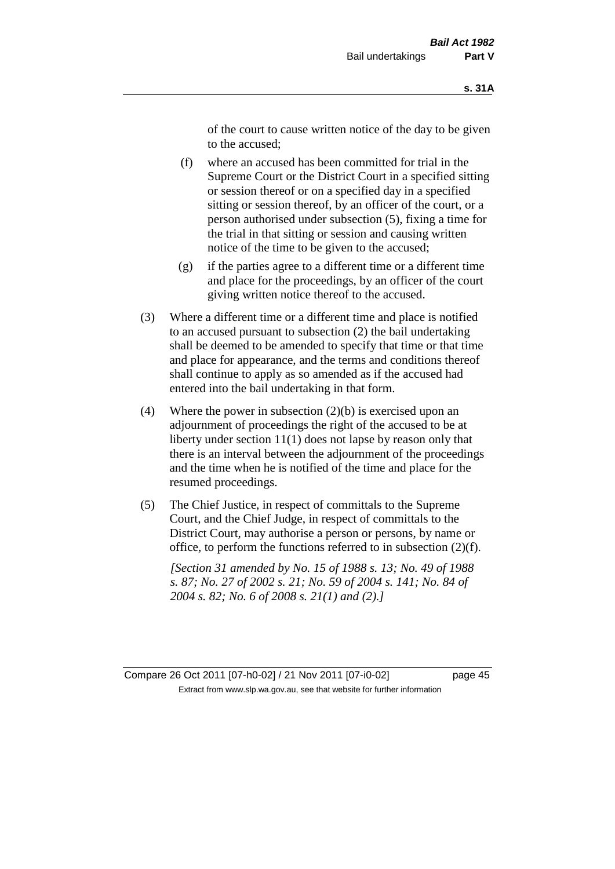of the court to cause written notice of the day to be given to the accused;

- (f) where an accused has been committed for trial in the Supreme Court or the District Court in a specified sitting or session thereof or on a specified day in a specified sitting or session thereof, by an officer of the court, or a person authorised under subsection (5), fixing a time for the trial in that sitting or session and causing written notice of the time to be given to the accused;
- (g) if the parties agree to a different time or a different time and place for the proceedings, by an officer of the court giving written notice thereof to the accused.
- (3) Where a different time or a different time and place is notified to an accused pursuant to subsection (2) the bail undertaking shall be deemed to be amended to specify that time or that time and place for appearance, and the terms and conditions thereof shall continue to apply as so amended as if the accused had entered into the bail undertaking in that form.
- (4) Where the power in subsection  $(2)(b)$  is exercised upon an adjournment of proceedings the right of the accused to be at liberty under section 11(1) does not lapse by reason only that there is an interval between the adjournment of the proceedings and the time when he is notified of the time and place for the resumed proceedings.
- (5) The Chief Justice, in respect of committals to the Supreme Court, and the Chief Judge, in respect of committals to the District Court, may authorise a person or persons, by name or office, to perform the functions referred to in subsection (2)(f).

*[Section 31 amended by No. 15 of 1988 s. 13; No. 49 of 1988 s. 87; No. 27 of 2002 s. 21; No. 59 of 2004 s. 141; No. 84 of 2004 s. 82; No. 6 of 2008 s. 21(1) and (2).]* 

Compare 26 Oct 2011 [07-h0-02] / 21 Nov 2011 [07-i0-02] page 45 Extract from www.slp.wa.gov.au, see that website for further information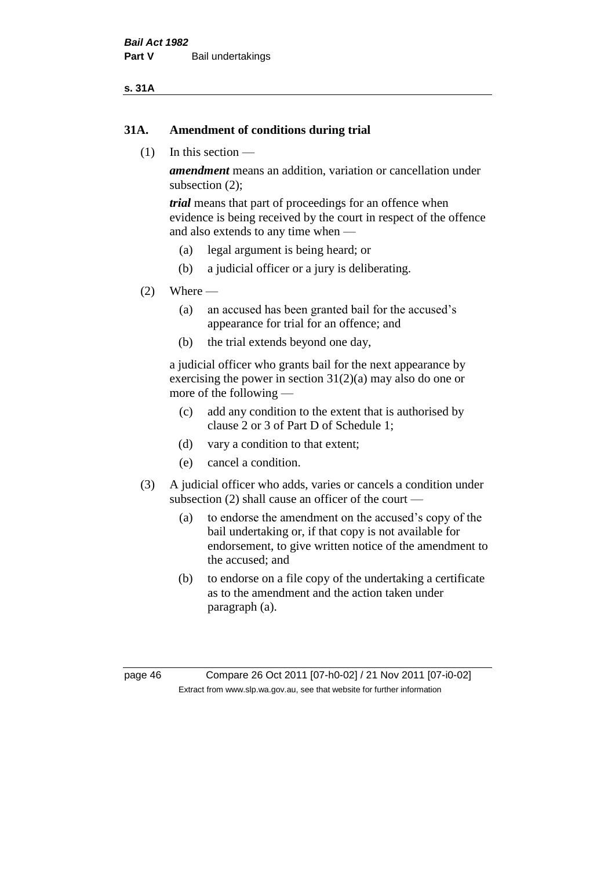#### **s. 31A**

#### **31A. Amendment of conditions during trial**

(1) In this section —

*amendment* means an addition, variation or cancellation under subsection (2);

*trial* means that part of proceedings for an offence when evidence is being received by the court in respect of the offence and also extends to any time when —

- (a) legal argument is being heard; or
- (b) a judicial officer or a jury is deliberating.

#### $(2)$  Where —

- (a) an accused has been granted bail for the accused's appearance for trial for an offence; and
- (b) the trial extends beyond one day,

a judicial officer who grants bail for the next appearance by exercising the power in section  $31(2)(a)$  may also do one or more of the following —

- (c) add any condition to the extent that is authorised by clause 2 or 3 of Part D of Schedule 1;
- (d) vary a condition to that extent;
- (e) cancel a condition.
- (3) A judicial officer who adds, varies or cancels a condition under subsection (2) shall cause an officer of the court —
	- (a) to endorse the amendment on the accused's copy of the bail undertaking or, if that copy is not available for endorsement, to give written notice of the amendment to the accused; and
	- (b) to endorse on a file copy of the undertaking a certificate as to the amendment and the action taken under paragraph (a).

page 46 Compare 26 Oct 2011 [07-h0-02] / 21 Nov 2011 [07-i0-02] Extract from www.slp.wa.gov.au, see that website for further information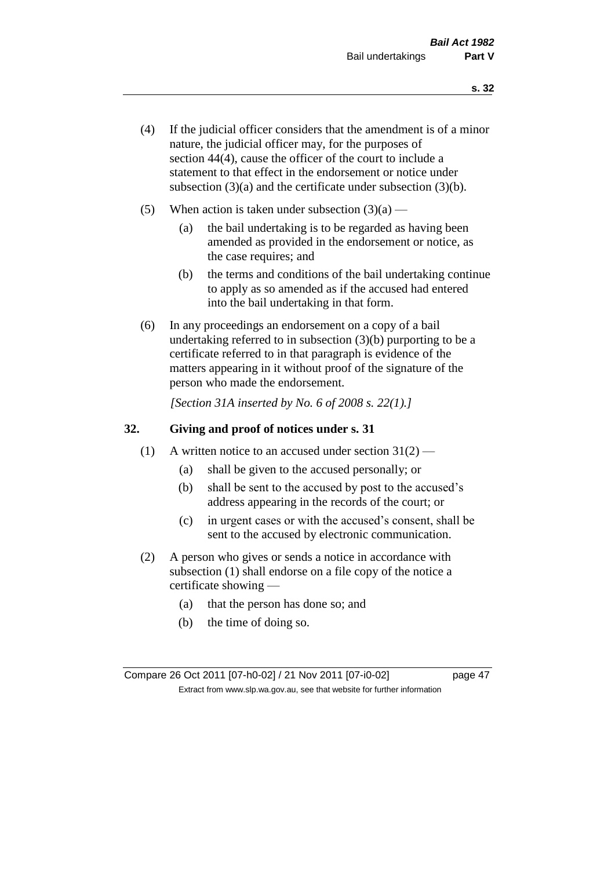- (4) If the judicial officer considers that the amendment is of a minor nature, the judicial officer may, for the purposes of section 44(4), cause the officer of the court to include a statement to that effect in the endorsement or notice under subsection (3)(a) and the certificate under subsection (3)(b).
- (5) When action is taken under subsection  $(3)(a)$ 
	- (a) the bail undertaking is to be regarded as having been amended as provided in the endorsement or notice, as the case requires; and
	- (b) the terms and conditions of the bail undertaking continue to apply as so amended as if the accused had entered into the bail undertaking in that form.
- (6) In any proceedings an endorsement on a copy of a bail undertaking referred to in subsection (3)(b) purporting to be a certificate referred to in that paragraph is evidence of the matters appearing in it without proof of the signature of the person who made the endorsement.

*[Section 31A inserted by No. 6 of 2008 s. 22(1).]*

#### **32. Giving and proof of notices under s. 31**

- (1) A written notice to an accused under section  $31(2)$ 
	- (a) shall be given to the accused personally; or
	- (b) shall be sent to the accused by post to the accused's address appearing in the records of the court; or
	- (c) in urgent cases or with the accused's consent, shall be sent to the accused by electronic communication.
- (2) A person who gives or sends a notice in accordance with subsection (1) shall endorse on a file copy of the notice a certificate showing —
	- (a) that the person has done so; and
	- (b) the time of doing so.

Compare 26 Oct 2011 [07-h0-02] / 21 Nov 2011 [07-i0-02] page 47 Extract from www.slp.wa.gov.au, see that website for further information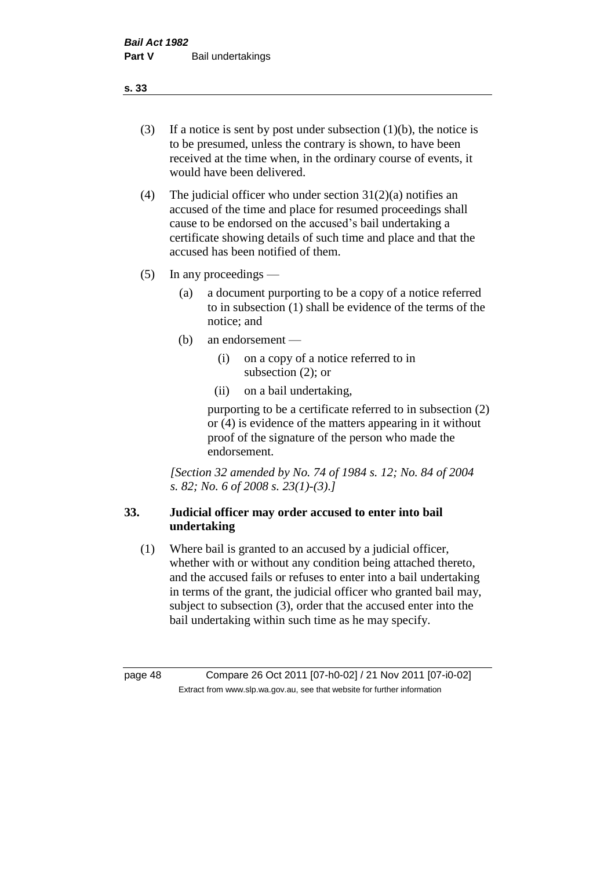- (3) If a notice is sent by post under subsection  $(1)(b)$ , the notice is to be presumed, unless the contrary is shown, to have been received at the time when, in the ordinary course of events, it would have been delivered.
- (4) The judicial officer who under section  $31(2)(a)$  notifies an accused of the time and place for resumed proceedings shall cause to be endorsed on the accused's bail undertaking a certificate showing details of such time and place and that the accused has been notified of them.
- (5) In any proceedings
	- (a) a document purporting to be a copy of a notice referred to in subsection (1) shall be evidence of the terms of the notice; and
	- (b) an endorsement
		- (i) on a copy of a notice referred to in subsection (2); or
		- (ii) on a bail undertaking,

purporting to be a certificate referred to in subsection (2) or (4) is evidence of the matters appearing in it without proof of the signature of the person who made the endorsement.

*[Section 32 amended by No. 74 of 1984 s. 12; No. 84 of 2004 s. 82; No. 6 of 2008 s. 23(1)-(3).]* 

# **33. Judicial officer may order accused to enter into bail undertaking**

(1) Where bail is granted to an accused by a judicial officer, whether with or without any condition being attached thereto, and the accused fails or refuses to enter into a bail undertaking in terms of the grant, the judicial officer who granted bail may, subject to subsection (3), order that the accused enter into the bail undertaking within such time as he may specify.

page 48 Compare 26 Oct 2011 [07-h0-02] / 21 Nov 2011 [07-i0-02] Extract from www.slp.wa.gov.au, see that website for further information

**s. 33**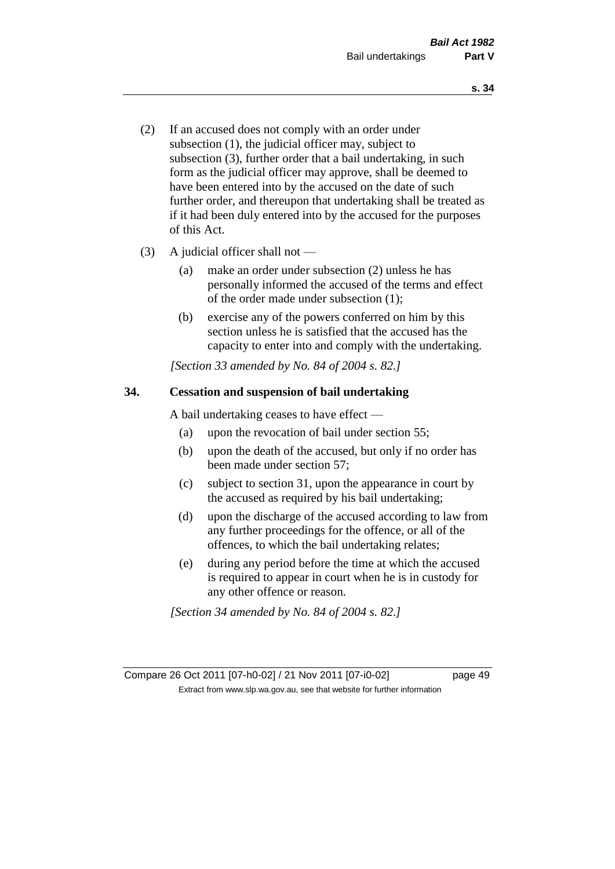- (2) If an accused does not comply with an order under subsection (1), the judicial officer may, subject to subsection (3), further order that a bail undertaking, in such form as the judicial officer may approve, shall be deemed to have been entered into by the accused on the date of such further order, and thereupon that undertaking shall be treated as if it had been duly entered into by the accused for the purposes of this Act.
- (3) A judicial officer shall not
	- (a) make an order under subsection (2) unless he has personally informed the accused of the terms and effect of the order made under subsection (1);
	- (b) exercise any of the powers conferred on him by this section unless he is satisfied that the accused has the capacity to enter into and comply with the undertaking.

*[Section 33 amended by No. 84 of 2004 s. 82.]* 

## **34. Cessation and suspension of bail undertaking**

A bail undertaking ceases to have effect —

- (a) upon the revocation of bail under section 55;
- (b) upon the death of the accused, but only if no order has been made under section 57;
- (c) subject to section 31, upon the appearance in court by the accused as required by his bail undertaking;
- (d) upon the discharge of the accused according to law from any further proceedings for the offence, or all of the offences, to which the bail undertaking relates;
- (e) during any period before the time at which the accused is required to appear in court when he is in custody for any other offence or reason.

*[Section 34 amended by No. 84 of 2004 s. 82.]* 

Compare 26 Oct 2011 [07-h0-02] / 21 Nov 2011 [07-i0-02] page 49 Extract from www.slp.wa.gov.au, see that website for further information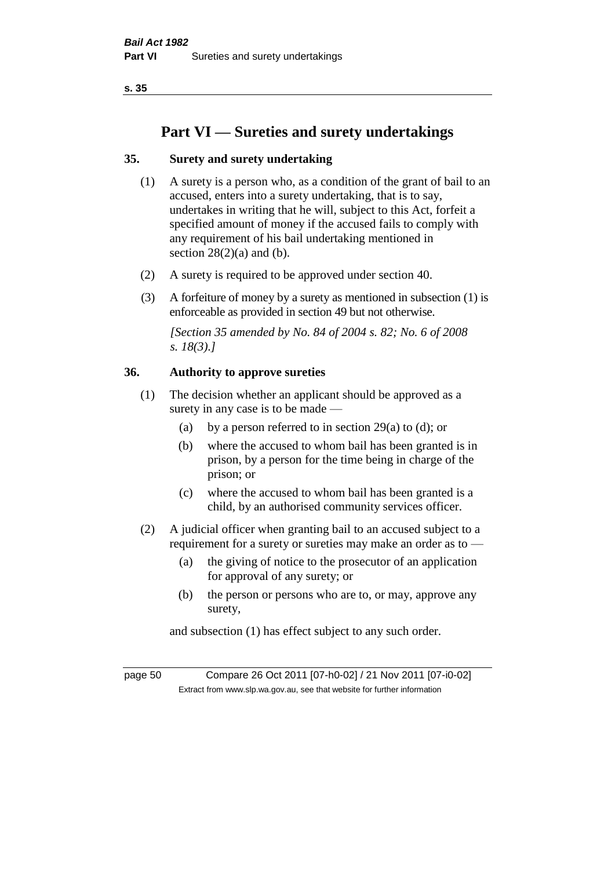# **Part VI — Sureties and surety undertakings**

## **35. Surety and surety undertaking**

- (1) A surety is a person who, as a condition of the grant of bail to an accused, enters into a surety undertaking, that is to say, undertakes in writing that he will, subject to this Act, forfeit a specified amount of money if the accused fails to comply with any requirement of his bail undertaking mentioned in section  $28(2)(a)$  and (b).
- (2) A surety is required to be approved under section 40.
- (3) A forfeiture of money by a surety as mentioned in subsection (1) is enforceable as provided in section 49 but not otherwise.

*[Section 35 amended by No. 84 of 2004 s. 82; No. 6 of 2008 s. 18(3).]* 

## **36. Authority to approve sureties**

- (1) The decision whether an applicant should be approved as a surety in any case is to be made —
	- (a) by a person referred to in section 29(a) to (d); or
	- (b) where the accused to whom bail has been granted is in prison, by a person for the time being in charge of the prison; or
	- (c) where the accused to whom bail has been granted is a child, by an authorised community services officer.
- (2) A judicial officer when granting bail to an accused subject to a requirement for a surety or sureties may make an order as to —
	- (a) the giving of notice to the prosecutor of an application for approval of any surety; or
	- (b) the person or persons who are to, or may, approve any surety,

and subsection (1) has effect subject to any such order.

page 50 Compare 26 Oct 2011 [07-h0-02] / 21 Nov 2011 [07-i0-02] Extract from www.slp.wa.gov.au, see that website for further information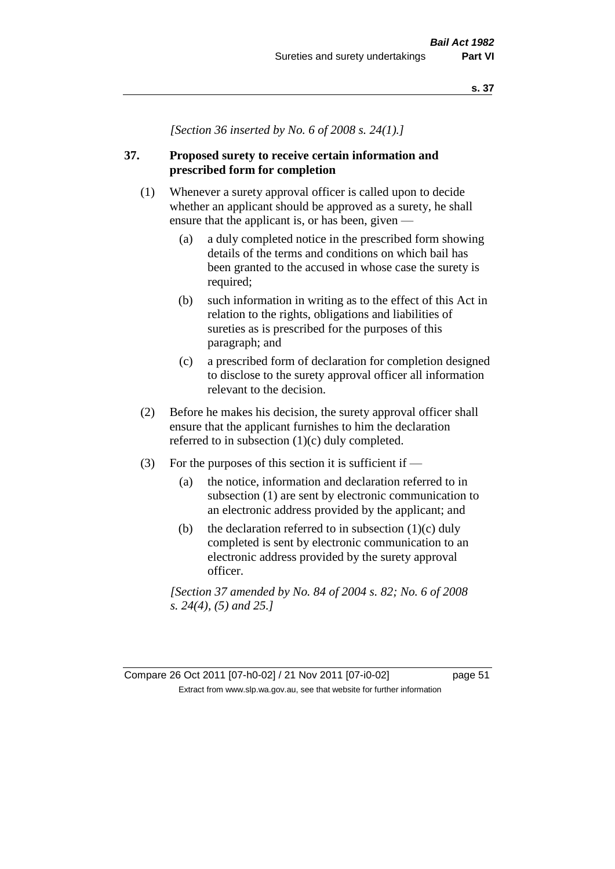*[Section 36 inserted by No. 6 of 2008 s. 24(1).]*

## **37. Proposed surety to receive certain information and prescribed form for completion**

- (1) Whenever a surety approval officer is called upon to decide whether an applicant should be approved as a surety, he shall ensure that the applicant is, or has been, given —
	- (a) a duly completed notice in the prescribed form showing details of the terms and conditions on which bail has been granted to the accused in whose case the surety is required;
	- (b) such information in writing as to the effect of this Act in relation to the rights, obligations and liabilities of sureties as is prescribed for the purposes of this paragraph; and
	- (c) a prescribed form of declaration for completion designed to disclose to the surety approval officer all information relevant to the decision.
- (2) Before he makes his decision, the surety approval officer shall ensure that the applicant furnishes to him the declaration referred to in subsection (1)(c) duly completed.
- (3) For the purposes of this section it is sufficient if  $-$ 
	- (a) the notice, information and declaration referred to in subsection (1) are sent by electronic communication to an electronic address provided by the applicant; and
	- (b) the declaration referred to in subsection  $(1)(c)$  duly completed is sent by electronic communication to an electronic address provided by the surety approval officer.

*[Section 37 amended by No. 84 of 2004 s. 82; No. 6 of 2008 s. 24(4), (5) and 25.]*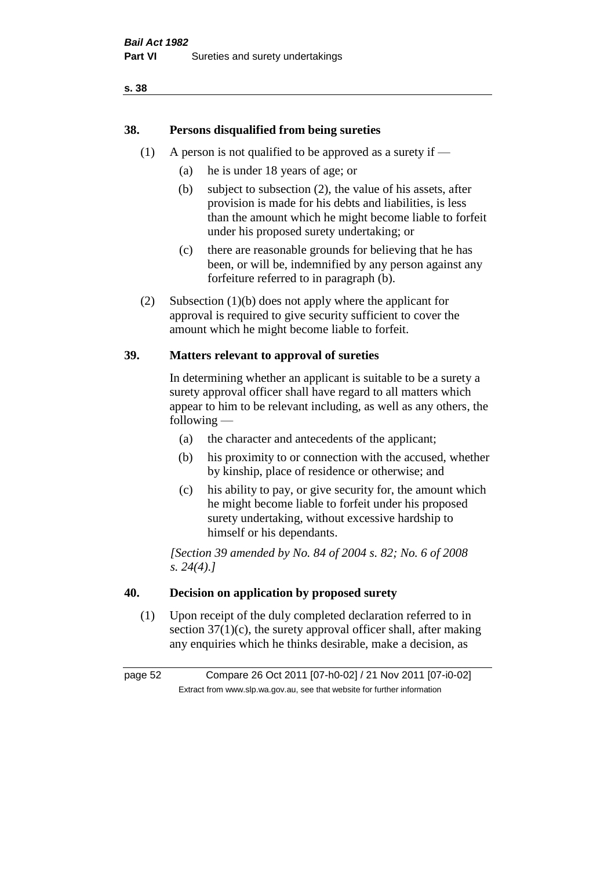## **38. Persons disqualified from being sureties**

- (1) A person is not qualified to be approved as a surety if  $-$ 
	- (a) he is under 18 years of age; or
	- (b) subject to subsection (2), the value of his assets, after provision is made for his debts and liabilities, is less than the amount which he might become liable to forfeit under his proposed surety undertaking; or
	- (c) there are reasonable grounds for believing that he has been, or will be, indemnified by any person against any forfeiture referred to in paragraph (b).
- (2) Subsection (1)(b) does not apply where the applicant for approval is required to give security sufficient to cover the amount which he might become liable to forfeit.

## **39. Matters relevant to approval of sureties**

In determining whether an applicant is suitable to be a surety a surety approval officer shall have regard to all matters which appear to him to be relevant including, as well as any others, the following —

- (a) the character and antecedents of the applicant;
- (b) his proximity to or connection with the accused, whether by kinship, place of residence or otherwise; and
- (c) his ability to pay, or give security for, the amount which he might become liable to forfeit under his proposed surety undertaking, without excessive hardship to himself or his dependants.

*[Section 39 amended by No. 84 of 2004 s. 82; No. 6 of 2008 s. 24(4).]* 

## **40. Decision on application by proposed surety**

(1) Upon receipt of the duly completed declaration referred to in section  $37(1)(c)$ , the surety approval officer shall, after making any enquiries which he thinks desirable, make a decision, as

page 52 Compare 26 Oct 2011 [07-h0-02] / 21 Nov 2011 [07-i0-02] Extract from www.slp.wa.gov.au, see that website for further information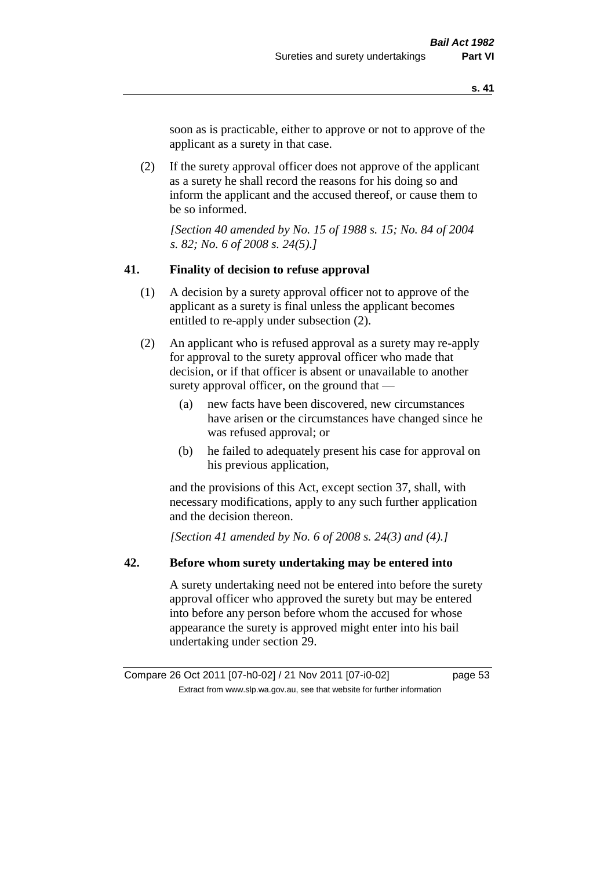soon as is practicable, either to approve or not to approve of the applicant as a surety in that case.

(2) If the surety approval officer does not approve of the applicant as a surety he shall record the reasons for his doing so and inform the applicant and the accused thereof, or cause them to be so informed.

*[Section 40 amended by No. 15 of 1988 s. 15; No. 84 of 2004 s. 82; No. 6 of 2008 s. 24(5).]* 

#### **41. Finality of decision to refuse approval**

- (1) A decision by a surety approval officer not to approve of the applicant as a surety is final unless the applicant becomes entitled to re-apply under subsection (2).
- (2) An applicant who is refused approval as a surety may re-apply for approval to the surety approval officer who made that decision, or if that officer is absent or unavailable to another surety approval officer, on the ground that —
	- (a) new facts have been discovered, new circumstances have arisen or the circumstances have changed since he was refused approval; or
	- (b) he failed to adequately present his case for approval on his previous application,

and the provisions of this Act, except section 37, shall, with necessary modifications, apply to any such further application and the decision thereon.

*[Section 41 amended by No. 6 of 2008 s. 24(3) and (4).]*

#### **42. Before whom surety undertaking may be entered into**

A surety undertaking need not be entered into before the surety approval officer who approved the surety but may be entered into before any person before whom the accused for whose appearance the surety is approved might enter into his bail undertaking under section 29.

Compare 26 Oct 2011 [07-h0-02] / 21 Nov 2011 [07-i0-02] page 53 Extract from www.slp.wa.gov.au, see that website for further information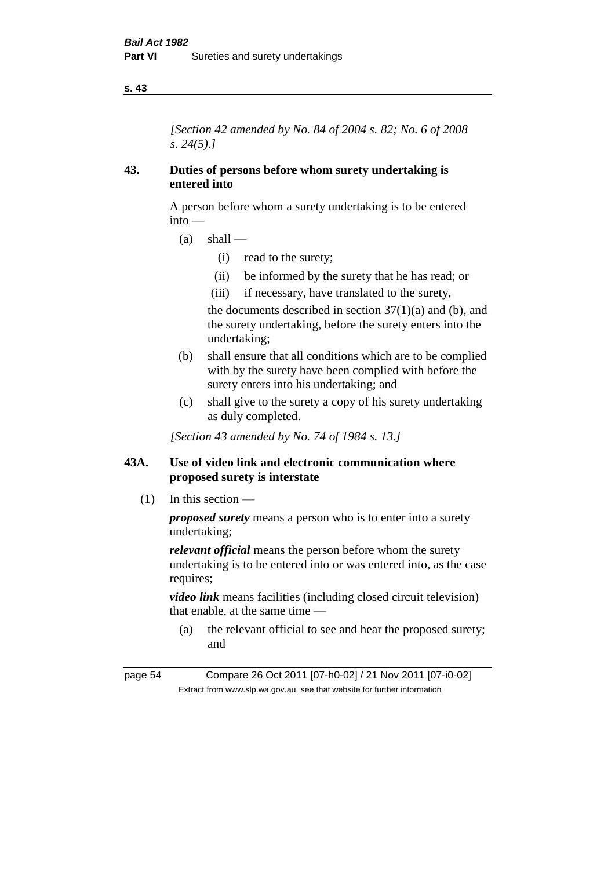*[Section 42 amended by No. 84 of 2004 s. 82; No. 6 of 2008 s. 24(5).]* 

## **43. Duties of persons before whom surety undertaking is entered into**

A person before whom a surety undertaking is to be entered into —

- $(a)$  shall
	- (i) read to the surety;
	- (ii) be informed by the surety that he has read; or
	- (iii) if necessary, have translated to the surety,

the documents described in section  $37(1)(a)$  and (b), and the surety undertaking, before the surety enters into the undertaking;

- (b) shall ensure that all conditions which are to be complied with by the surety have been complied with before the surety enters into his undertaking; and
- (c) shall give to the surety a copy of his surety undertaking as duly completed.

*[Section 43 amended by No. 74 of 1984 s. 13.]* 

## **43A. Use of video link and electronic communication where proposed surety is interstate**

(1) In this section —

*proposed surety* means a person who is to enter into a surety undertaking;

*relevant official* means the person before whom the surety undertaking is to be entered into or was entered into, as the case requires;

*video link* means facilities (including closed circuit television) that enable, at the same time —

(a) the relevant official to see and hear the proposed surety; and

page 54 Compare 26 Oct 2011 [07-h0-02] / 21 Nov 2011 [07-i0-02] Extract from www.slp.wa.gov.au, see that website for further information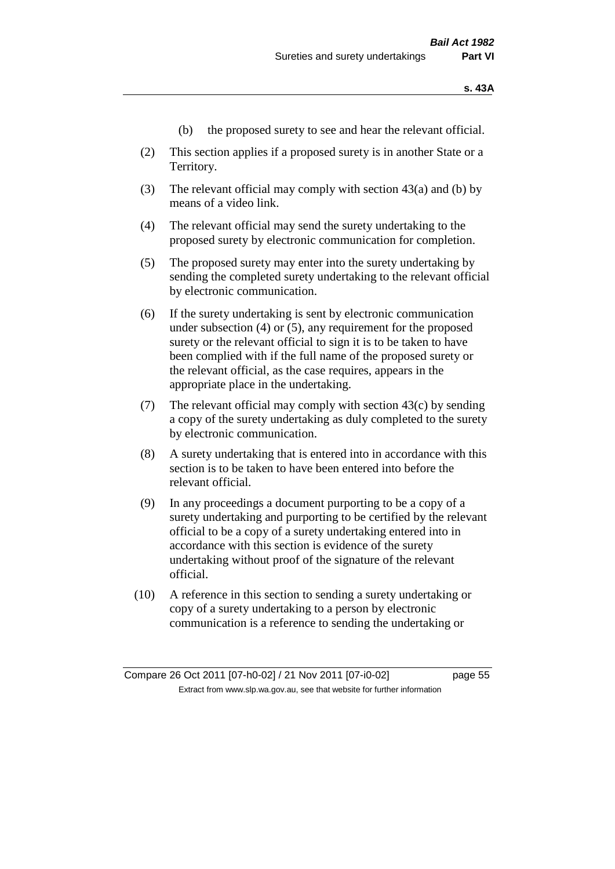- (b) the proposed surety to see and hear the relevant official.
- (2) This section applies if a proposed surety is in another State or a Territory.
- (3) The relevant official may comply with section 43(a) and (b) by means of a video link.
- (4) The relevant official may send the surety undertaking to the proposed surety by electronic communication for completion.
- (5) The proposed surety may enter into the surety undertaking by sending the completed surety undertaking to the relevant official by electronic communication.
- (6) If the surety undertaking is sent by electronic communication under subsection (4) or (5), any requirement for the proposed surety or the relevant official to sign it is to be taken to have been complied with if the full name of the proposed surety or the relevant official, as the case requires, appears in the appropriate place in the undertaking.
- (7) The relevant official may comply with section  $43(c)$  by sending a copy of the surety undertaking as duly completed to the surety by electronic communication.
- (8) A surety undertaking that is entered into in accordance with this section is to be taken to have been entered into before the relevant official.
- (9) In any proceedings a document purporting to be a copy of a surety undertaking and purporting to be certified by the relevant official to be a copy of a surety undertaking entered into in accordance with this section is evidence of the surety undertaking without proof of the signature of the relevant official.
- (10) A reference in this section to sending a surety undertaking or copy of a surety undertaking to a person by electronic communication is a reference to sending the undertaking or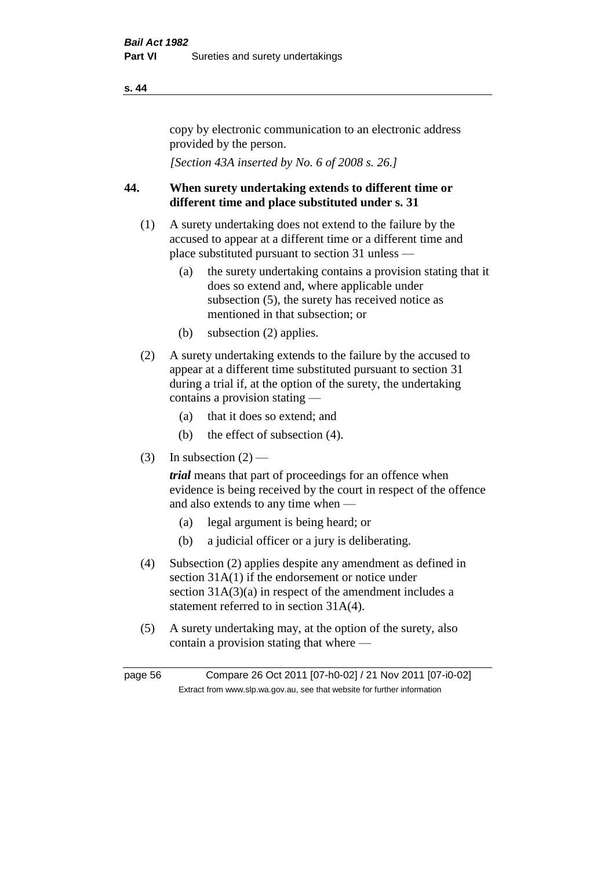copy by electronic communication to an electronic address provided by the person.

*[Section 43A inserted by No. 6 of 2008 s. 26.]*

## **44. When surety undertaking extends to different time or different time and place substituted under s. 31**

- (1) A surety undertaking does not extend to the failure by the accused to appear at a different time or a different time and place substituted pursuant to section 31 unless —
	- (a) the surety undertaking contains a provision stating that it does so extend and, where applicable under subsection (5), the surety has received notice as mentioned in that subsection; or
	- (b) subsection (2) applies.
- (2) A surety undertaking extends to the failure by the accused to appear at a different time substituted pursuant to section 31 during a trial if, at the option of the surety, the undertaking contains a provision stating —
	- (a) that it does so extend; and
	- (b) the effect of subsection (4).
- (3) In subsection  $(2)$  —

*trial* means that part of proceedings for an offence when evidence is being received by the court in respect of the offence and also extends to any time when —

- (a) legal argument is being heard; or
- (b) a judicial officer or a jury is deliberating.
- (4) Subsection (2) applies despite any amendment as defined in section 31A(1) if the endorsement or notice under section 31A(3)(a) in respect of the amendment includes a statement referred to in section 31A(4).
- (5) A surety undertaking may, at the option of the surety, also contain a provision stating that where —

page 56 Compare 26 Oct 2011 [07-h0-02] / 21 Nov 2011 [07-i0-02] Extract from www.slp.wa.gov.au, see that website for further information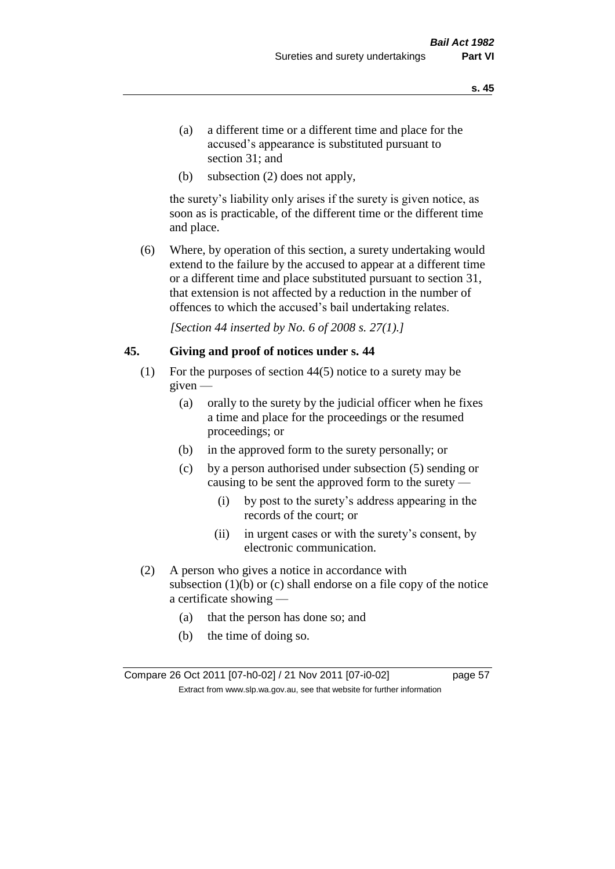- (a) a different time or a different time and place for the accused's appearance is substituted pursuant to section 31; and
- (b) subsection (2) does not apply,

the surety's liability only arises if the surety is given notice, as soon as is practicable, of the different time or the different time and place.

(6) Where, by operation of this section, a surety undertaking would extend to the failure by the accused to appear at a different time or a different time and place substituted pursuant to section 31, that extension is not affected by a reduction in the number of offences to which the accused's bail undertaking relates.

*[Section 44 inserted by No. 6 of 2008 s. 27(1).]*

#### **45. Giving and proof of notices under s. 44**

- (1) For the purposes of section 44(5) notice to a surety may be given —
	- (a) orally to the surety by the judicial officer when he fixes a time and place for the proceedings or the resumed proceedings; or
	- (b) in the approved form to the surety personally; or
	- (c) by a person authorised under subsection (5) sending or causing to be sent the approved form to the surety —
		- (i) by post to the surety's address appearing in the records of the court; or
		- (ii) in urgent cases or with the surety's consent, by electronic communication.
- (2) A person who gives a notice in accordance with subsection  $(1)(b)$  or  $(c)$  shall endorse on a file copy of the notice a certificate showing —
	- (a) that the person has done so; and
	- (b) the time of doing so.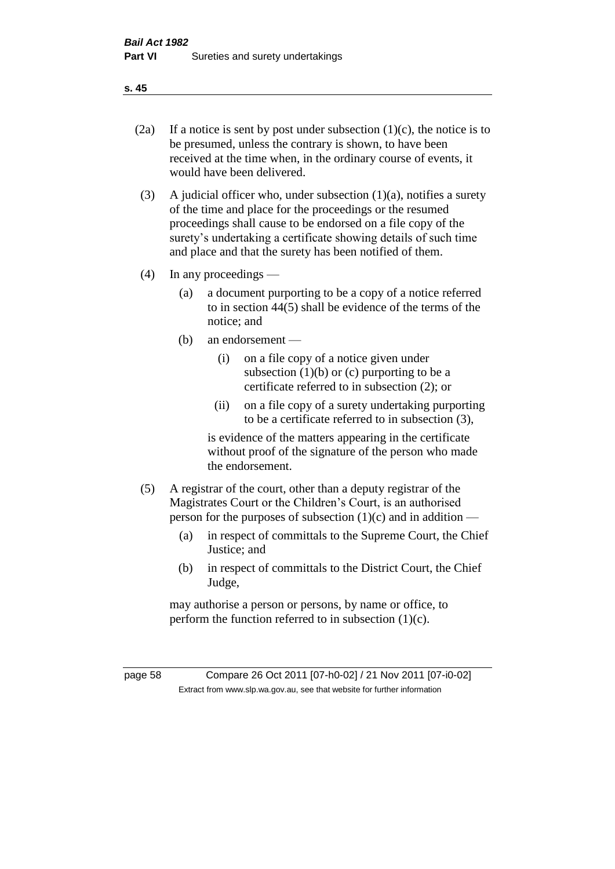- 
- (2a) If a notice is sent by post under subsection  $(1)(c)$ , the notice is to be presumed, unless the contrary is shown, to have been received at the time when, in the ordinary course of events, it would have been delivered.
- (3) A judicial officer who, under subsection  $(1)(a)$ , notifies a surety of the time and place for the proceedings or the resumed proceedings shall cause to be endorsed on a file copy of the surety's undertaking a certificate showing details of such time and place and that the surety has been notified of them.
- (4) In any proceedings
	- (a) a document purporting to be a copy of a notice referred to in section 44(5) shall be evidence of the terms of the notice; and
	- (b) an endorsement
		- (i) on a file copy of a notice given under subsection  $(1)(b)$  or  $(c)$  purporting to be a certificate referred to in subsection (2); or
		- (ii) on a file copy of a surety undertaking purporting to be a certificate referred to in subsection (3),

is evidence of the matters appearing in the certificate without proof of the signature of the person who made the endorsement.

- (5) A registrar of the court, other than a deputy registrar of the Magistrates Court or the Children's Court, is an authorised person for the purposes of subsection  $(1)(c)$  and in addition —
	- (a) in respect of committals to the Supreme Court, the Chief Justice; and
	- (b) in respect of committals to the District Court, the Chief Judge,

may authorise a person or persons, by name or office, to perform the function referred to in subsection  $(1)(c)$ .

page 58 Compare 26 Oct 2011 [07-h0-02] / 21 Nov 2011 [07-i0-02] Extract from www.slp.wa.gov.au, see that website for further information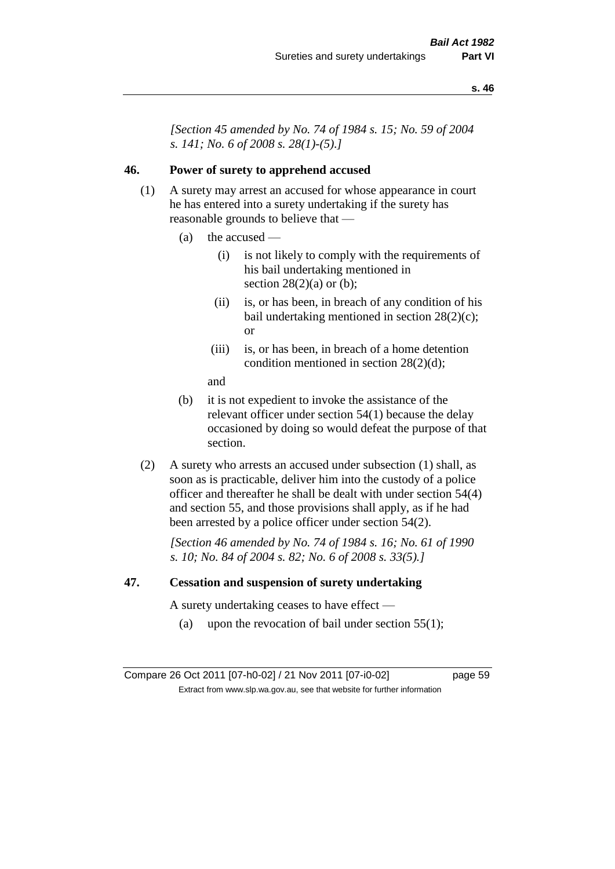*[Section 45 amended by No. 74 of 1984 s. 15; No. 59 of 2004 s. 141; No. 6 of 2008 s. 28(1)-(5).]* 

## **46. Power of surety to apprehend accused**

- (1) A surety may arrest an accused for whose appearance in court he has entered into a surety undertaking if the surety has reasonable grounds to believe that —
	- (a) the accused
		- (i) is not likely to comply with the requirements of his bail undertaking mentioned in section  $28(2)(a)$  or (b);
		- (ii) is, or has been, in breach of any condition of his bail undertaking mentioned in section 28(2)(c); or
		- (iii) is, or has been, in breach of a home detention condition mentioned in section 28(2)(d);
		- and
	- (b) it is not expedient to invoke the assistance of the relevant officer under section 54(1) because the delay occasioned by doing so would defeat the purpose of that section.
- (2) A surety who arrests an accused under subsection (1) shall, as soon as is practicable, deliver him into the custody of a police officer and thereafter he shall be dealt with under section 54(4) and section 55, and those provisions shall apply, as if he had been arrested by a police officer under section 54(2).

*[Section 46 amended by No. 74 of 1984 s. 16; No. 61 of 1990 s. 10; No. 84 of 2004 s. 82; No. 6 of 2008 s. 33(5).]* 

#### **47. Cessation and suspension of surety undertaking**

A surety undertaking ceases to have effect —

(a) upon the revocation of bail under section  $55(1)$ ;

Compare 26 Oct 2011 [07-h0-02] / 21 Nov 2011 [07-i0-02] page 59 Extract from www.slp.wa.gov.au, see that website for further information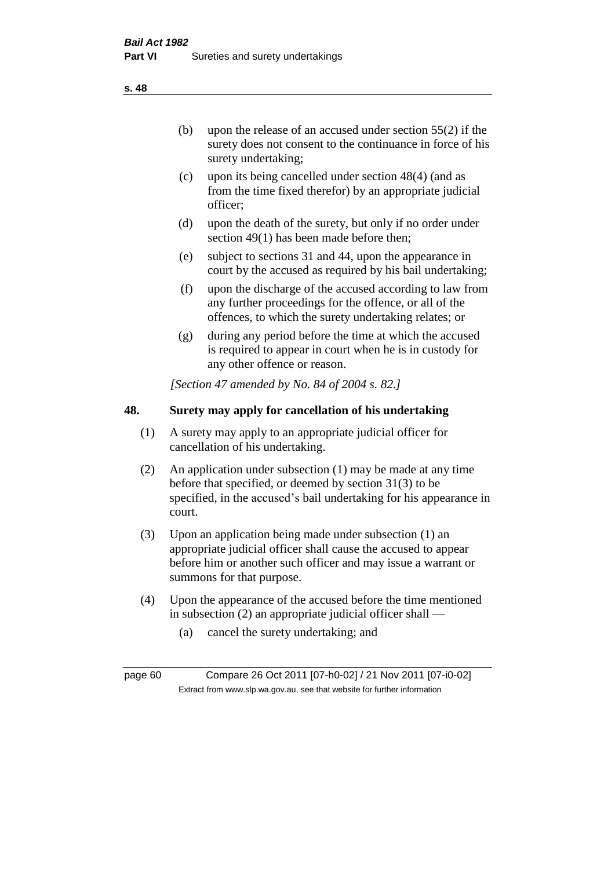(b) upon the release of an accused under section 55(2) if the surety does not consent to the continuance in force of his surety undertaking;

- (c) upon its being cancelled under section 48(4) (and as from the time fixed therefor) by an appropriate judicial officer;
- (d) upon the death of the surety, but only if no order under section 49(1) has been made before then;
- (e) subject to sections 31 and 44, upon the appearance in court by the accused as required by his bail undertaking;
- (f) upon the discharge of the accused according to law from any further proceedings for the offence, or all of the offences, to which the surety undertaking relates; or
- (g) during any period before the time at which the accused is required to appear in court when he is in custody for any other offence or reason.

*[Section 47 amended by No. 84 of 2004 s. 82.]* 

## **48. Surety may apply for cancellation of his undertaking**

- (1) A surety may apply to an appropriate judicial officer for cancellation of his undertaking.
- (2) An application under subsection (1) may be made at any time before that specified, or deemed by section 31(3) to be specified, in the accused's bail undertaking for his appearance in court.
- (3) Upon an application being made under subsection (1) an appropriate judicial officer shall cause the accused to appear before him or another such officer and may issue a warrant or summons for that purpose.
- (4) Upon the appearance of the accused before the time mentioned in subsection (2) an appropriate judicial officer shall —
	- (a) cancel the surety undertaking; and

page 60 Compare 26 Oct 2011 [07-h0-02] / 21 Nov 2011 [07-i0-02] Extract from www.slp.wa.gov.au, see that website for further information

**s. 48**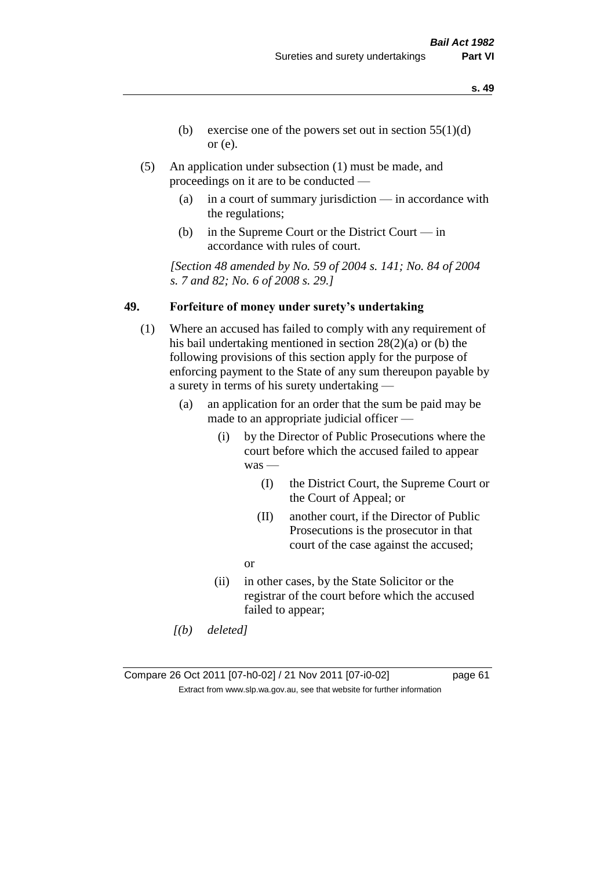- **s. 49**
- (b) exercise one of the powers set out in section  $55(1)(d)$ or (e).
- (5) An application under subsection (1) must be made, and proceedings on it are to be conducted —
	- (a) in a court of summary jurisdiction in accordance with the regulations;
	- (b) in the Supreme Court or the District Court in accordance with rules of court.

*[Section 48 amended by No. 59 of 2004 s. 141; No. 84 of 2004 s. 7 and 82; No. 6 of 2008 s. 29.]* 

## **49. Forfeiture of money under surety's undertaking**

- (1) Where an accused has failed to comply with any requirement of his bail undertaking mentioned in section 28(2)(a) or (b) the following provisions of this section apply for the purpose of enforcing payment to the State of any sum thereupon payable by a surety in terms of his surety undertaking —
	- (a) an application for an order that the sum be paid may be made to an appropriate judicial officer —
		- (i) by the Director of Public Prosecutions where the court before which the accused failed to appear was —
			- (I) the District Court, the Supreme Court or the Court of Appeal; or
			- (II) another court, if the Director of Public Prosecutions is the prosecutor in that court of the case against the accused;
			- or
		- (ii) in other cases, by the State Solicitor or the registrar of the court before which the accused failed to appear;
	- *[(b) deleted]*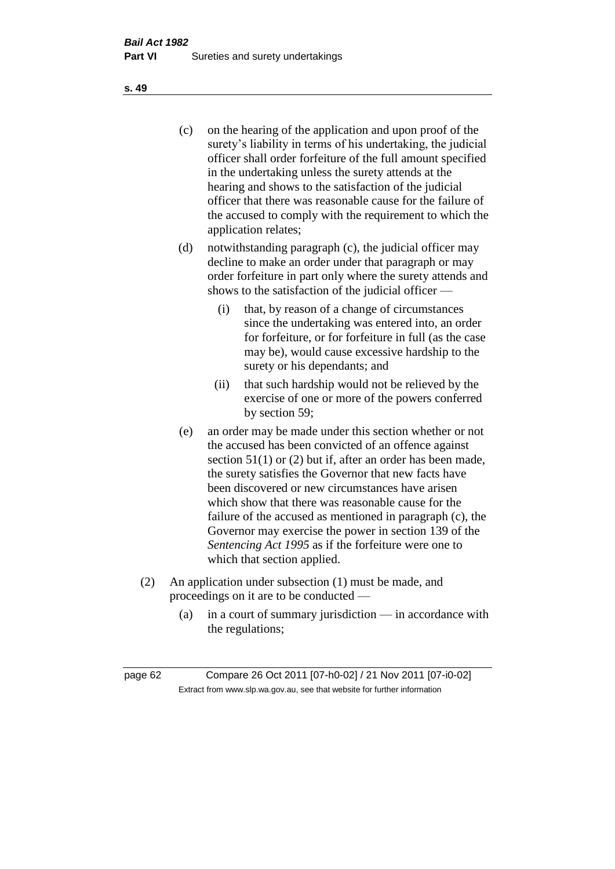(c) on the hearing of the application and upon proof of the surety's liability in terms of his undertaking, the judicial officer shall order forfeiture of the full amount specified in the undertaking unless the surety attends at the hearing and shows to the satisfaction of the judicial officer that there was reasonable cause for the failure of the accused to comply with the requirement to which the application relates;

- (d) notwithstanding paragraph (c), the judicial officer may decline to make an order under that paragraph or may order forfeiture in part only where the surety attends and shows to the satisfaction of the judicial officer —
	- (i) that, by reason of a change of circumstances since the undertaking was entered into, an order for forfeiture, or for forfeiture in full (as the case may be), would cause excessive hardship to the surety or his dependants; and
	- (ii) that such hardship would not be relieved by the exercise of one or more of the powers conferred by section 59;
- (e) an order may be made under this section whether or not the accused has been convicted of an offence against section 51(1) or (2) but if, after an order has been made, the surety satisfies the Governor that new facts have been discovered or new circumstances have arisen which show that there was reasonable cause for the failure of the accused as mentioned in paragraph (c), the Governor may exercise the power in section 139 of the *Sentencing Act 1995* as if the forfeiture were one to which that section applied.
- (2) An application under subsection (1) must be made, and proceedings on it are to be conducted —
	- (a) in a court of summary jurisdiction in accordance with the regulations;

**s. 49**

page 62 Compare 26 Oct 2011 [07-h0-02] / 21 Nov 2011 [07-i0-02] Extract from www.slp.wa.gov.au, see that website for further information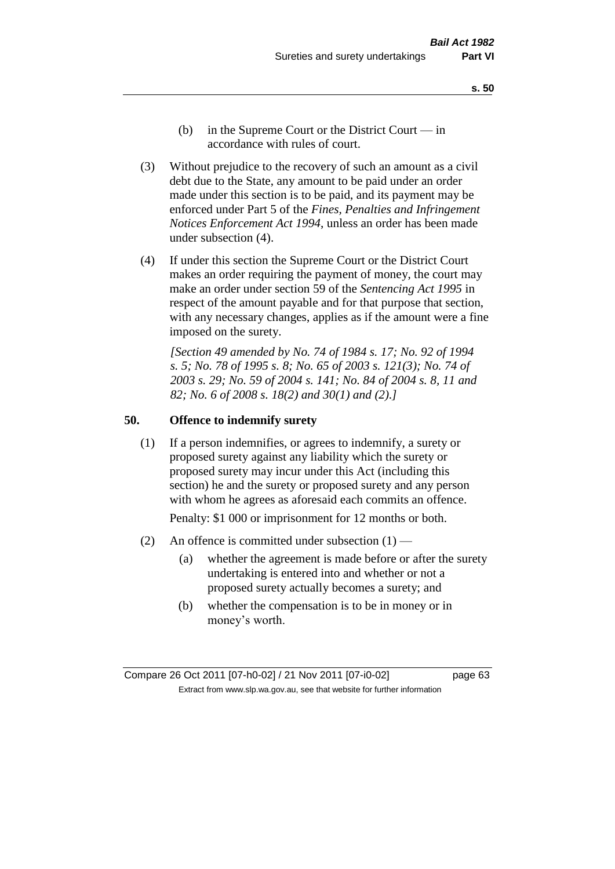- **s. 50**
- (b) in the Supreme Court or the District Court  $-\text{in}$ accordance with rules of court.
- (3) Without prejudice to the recovery of such an amount as a civil debt due to the State, any amount to be paid under an order made under this section is to be paid, and its payment may be enforced under Part 5 of the *Fines, Penalties and Infringement Notices Enforcement Act 1994*, unless an order has been made under subsection (4).
- (4) If under this section the Supreme Court or the District Court makes an order requiring the payment of money, the court may make an order under section 59 of the *Sentencing Act 1995* in respect of the amount payable and for that purpose that section, with any necessary changes, applies as if the amount were a fine imposed on the surety.

*[Section 49 amended by No. 74 of 1984 s. 17; No. 92 of 1994 s. 5; No. 78 of 1995 s. 8; No. 65 of 2003 s. 121(3); No. 74 of 2003 s. 29; No. 59 of 2004 s. 141; No. 84 of 2004 s. 8, 11 and 82; No. 6 of 2008 s. 18(2) and 30(1) and (2).]* 

#### **50. Offence to indemnify surety**

(1) If a person indemnifies, or agrees to indemnify, a surety or proposed surety against any liability which the surety or proposed surety may incur under this Act (including this section) he and the surety or proposed surety and any person with whom he agrees as aforesaid each commits an offence.

Penalty: \$1 000 or imprisonment for 12 months or both.

- (2) An offence is committed under subsection  $(1)$ 
	- (a) whether the agreement is made before or after the surety undertaking is entered into and whether or not a proposed surety actually becomes a surety; and
	- (b) whether the compensation is to be in money or in money's worth.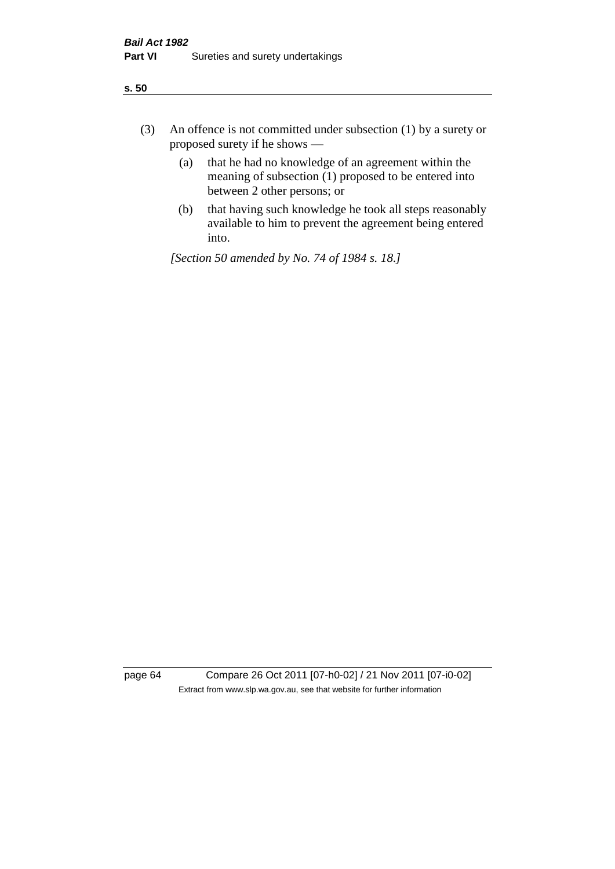- (3) An offence is not committed under subsection (1) by a surety or proposed surety if he shows —
	- (a) that he had no knowledge of an agreement within the meaning of subsection (1) proposed to be entered into between 2 other persons; or
	- (b) that having such knowledge he took all steps reasonably available to him to prevent the agreement being entered into.

*[Section 50 amended by No. 74 of 1984 s. 18.]* 

page 64 Compare 26 Oct 2011 [07-h0-02] / 21 Nov 2011 [07-i0-02] Extract from www.slp.wa.gov.au, see that website for further information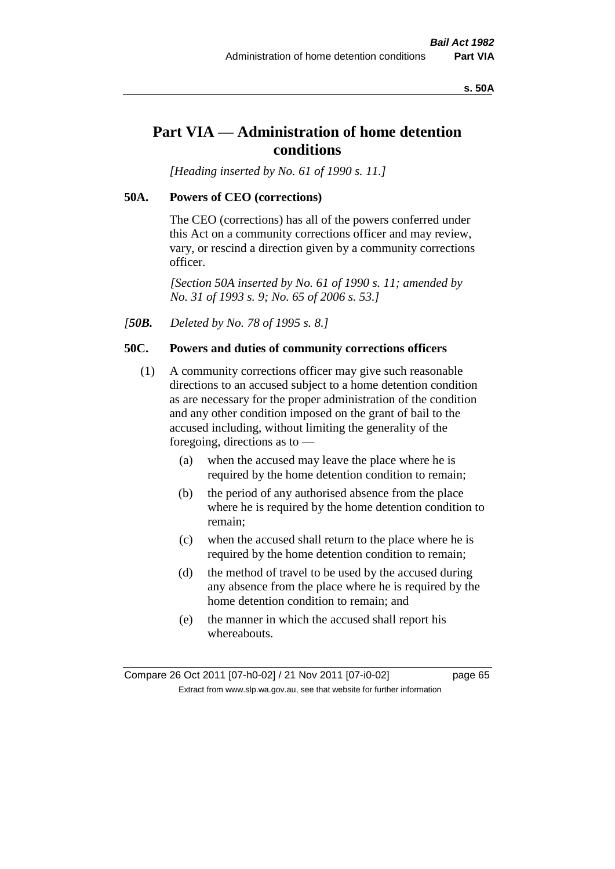#### **s. 50A**

# **Part VIA — Administration of home detention conditions**

*[Heading inserted by No. 61 of 1990 s. 11.]* 

#### **50A. Powers of CEO (corrections)**

The CEO (corrections) has all of the powers conferred under this Act on a community corrections officer and may review, vary, or rescind a direction given by a community corrections officer.

*[Section 50A inserted by No. 61 of 1990 s. 11; amended by No. 31 of 1993 s. 9; No. 65 of 2006 s. 53.]* 

*[50B. Deleted by No. 78 of 1995 s. 8.]* 

# **50C. Powers and duties of community corrections officers**

- (1) A community corrections officer may give such reasonable directions to an accused subject to a home detention condition as are necessary for the proper administration of the condition and any other condition imposed on the grant of bail to the accused including, without limiting the generality of the foregoing, directions as to —
	- (a) when the accused may leave the place where he is required by the home detention condition to remain;
	- (b) the period of any authorised absence from the place where he is required by the home detention condition to remain;
	- (c) when the accused shall return to the place where he is required by the home detention condition to remain;
	- (d) the method of travel to be used by the accused during any absence from the place where he is required by the home detention condition to remain; and
	- (e) the manner in which the accused shall report his whereabouts.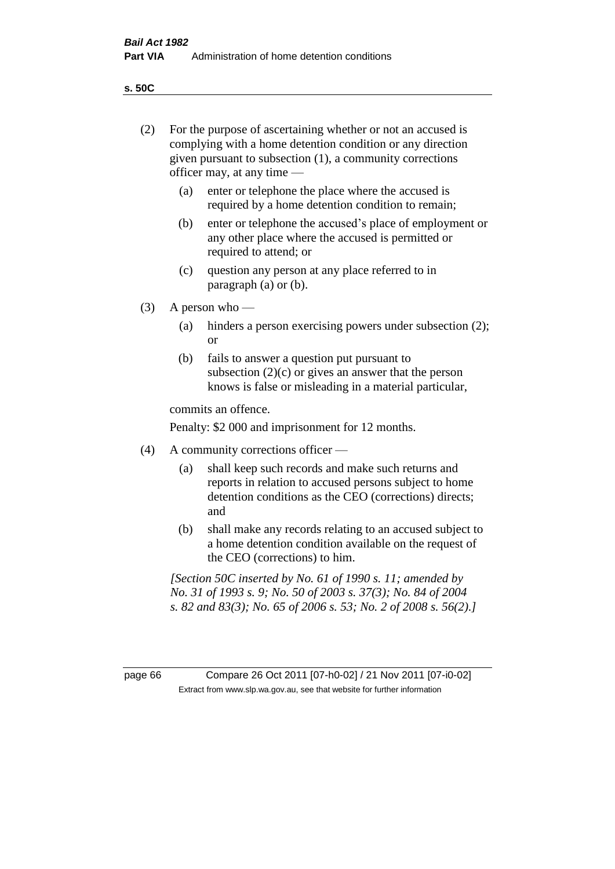**s. 50C**

| (2)     | For the purpose of ascertaining whether or not an accused is<br>complying with a home detention condition or any direction<br>given pursuant to subsection (1), a community corrections<br>officer may, at any time — |                                                                                                                                                                                              |  |
|---------|-----------------------------------------------------------------------------------------------------------------------------------------------------------------------------------------------------------------------|----------------------------------------------------------------------------------------------------------------------------------------------------------------------------------------------|--|
|         | (a)                                                                                                                                                                                                                   | enter or telephone the place where the accused is<br>required by a home detention condition to remain;                                                                                       |  |
|         | (b)                                                                                                                                                                                                                   | enter or telephone the accused's place of employment or<br>any other place where the accused is permitted or<br>required to attend; or                                                       |  |
|         | (c)                                                                                                                                                                                                                   | question any person at any place referred to in<br>paragraph $(a)$ or $(b)$ .                                                                                                                |  |
| (3)     | A person who $-$                                                                                                                                                                                                      |                                                                                                                                                                                              |  |
|         | (a)                                                                                                                                                                                                                   | hinders a person exercising powers under subsection (2);<br><sub>or</sub>                                                                                                                    |  |
|         | (b)                                                                                                                                                                                                                   | fails to answer a question put pursuant to<br>subsection $(2)(c)$ or gives an answer that the person<br>knows is false or misleading in a material particular,                               |  |
|         |                                                                                                                                                                                                                       | commits an offence.                                                                                                                                                                          |  |
|         |                                                                                                                                                                                                                       | Penalty: \$2 000 and imprisonment for 12 months.                                                                                                                                             |  |
| (4)     | A community corrections officer —                                                                                                                                                                                     |                                                                                                                                                                                              |  |
|         | (a)                                                                                                                                                                                                                   | shall keep such records and make such returns and<br>reports in relation to accused persons subject to home<br>detention conditions as the CEO (corrections) directs;<br>and                 |  |
|         | (b)                                                                                                                                                                                                                   | shall make any records relating to an accused subject to<br>a home detention condition available on the request of<br>the CEO (corrections) to him.                                          |  |
|         |                                                                                                                                                                                                                       | [Section 50C inserted by No. 61 of 1990 s. 11; amended by<br>No. 31 of 1993 s. 9; No. 50 of 2003 s. 37(3); No. 84 of 2004<br>s. 82 and 83(3); No. 65 of 2006 s. 53; No. 2 of 2008 s. 56(2).] |  |
|         |                                                                                                                                                                                                                       |                                                                                                                                                                                              |  |
| page 66 |                                                                                                                                                                                                                       | Compare 26 Oct 2011 [07-h0-02] / 21 Nov 2011 [07-i0-02]<br>Extract from www.slp.wa.gov.au, see that website for further information                                                          |  |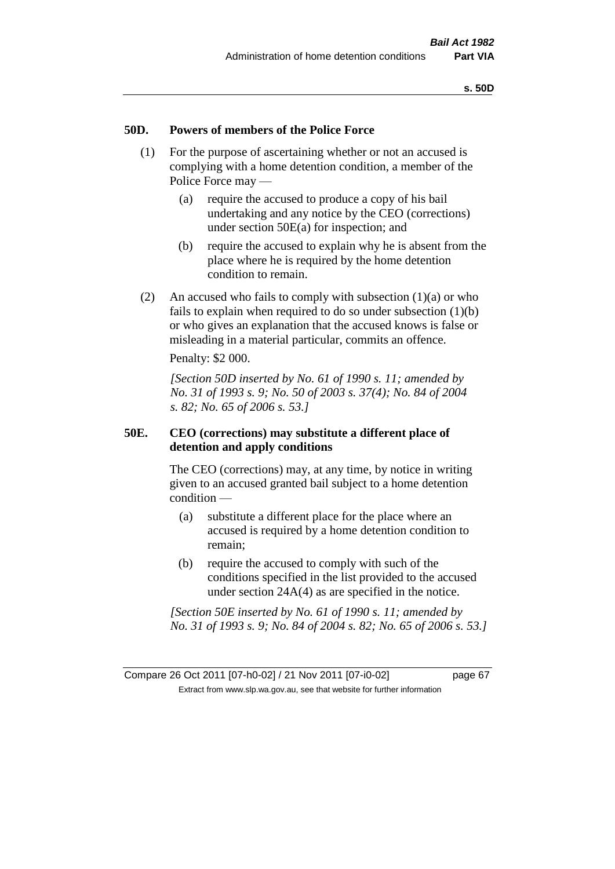#### **50D. Powers of members of the Police Force**

- (1) For the purpose of ascertaining whether or not an accused is complying with a home detention condition, a member of the Police Force may —
	- (a) require the accused to produce a copy of his bail undertaking and any notice by the CEO (corrections) under section 50E(a) for inspection; and
	- (b) require the accused to explain why he is absent from the place where he is required by the home detention condition to remain.
- (2) An accused who fails to comply with subsection  $(1)(a)$  or who fails to explain when required to do so under subsection (1)(b) or who gives an explanation that the accused knows is false or misleading in a material particular, commits an offence.

Penalty: \$2 000.

*[Section 50D inserted by No. 61 of 1990 s. 11; amended by No. 31 of 1993 s. 9; No. 50 of 2003 s. 37(4); No. 84 of 2004 s. 82; No. 65 of 2006 s. 53.]* 

## **50E. CEO (corrections) may substitute a different place of detention and apply conditions**

The CEO (corrections) may, at any time, by notice in writing given to an accused granted bail subject to a home detention condition —

- (a) substitute a different place for the place where an accused is required by a home detention condition to remain;
- (b) require the accused to comply with such of the conditions specified in the list provided to the accused under section 24A(4) as are specified in the notice.

*[Section 50E inserted by No. 61 of 1990 s. 11; amended by No. 31 of 1993 s. 9; No. 84 of 2004 s. 82; No. 65 of 2006 s. 53.]*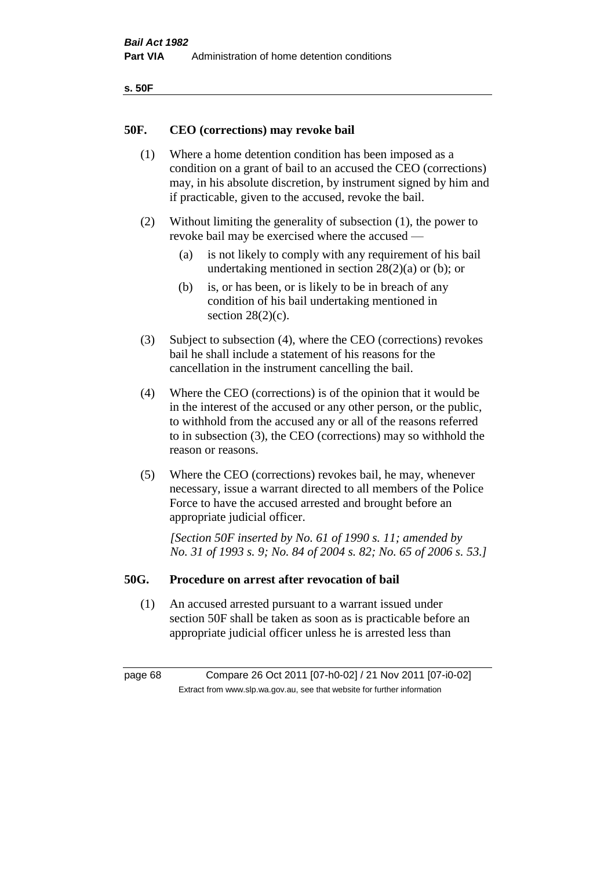| ۰.<br>×<br>-<br>۰.<br>× |  |
|-------------------------|--|
|-------------------------|--|

#### **50F. CEO (corrections) may revoke bail**

- (1) Where a home detention condition has been imposed as a condition on a grant of bail to an accused the CEO (corrections) may, in his absolute discretion, by instrument signed by him and if practicable, given to the accused, revoke the bail.
- (2) Without limiting the generality of subsection (1), the power to revoke bail may be exercised where the accused —
	- (a) is not likely to comply with any requirement of his bail undertaking mentioned in section  $28(2)(a)$  or (b); or
	- (b) is, or has been, or is likely to be in breach of any condition of his bail undertaking mentioned in section  $28(2)(c)$ .
- (3) Subject to subsection (4), where the CEO (corrections) revokes bail he shall include a statement of his reasons for the cancellation in the instrument cancelling the bail.
- (4) Where the CEO (corrections) is of the opinion that it would be in the interest of the accused or any other person, or the public, to withhold from the accused any or all of the reasons referred to in subsection (3), the CEO (corrections) may so withhold the reason or reasons.
- (5) Where the CEO (corrections) revokes bail, he may, whenever necessary, issue a warrant directed to all members of the Police Force to have the accused arrested and brought before an appropriate judicial officer.

*[Section 50F inserted by No. 61 of 1990 s. 11; amended by No. 31 of 1993 s. 9; No. 84 of 2004 s. 82; No. 65 of 2006 s. 53.]* 

#### **50G. Procedure on arrest after revocation of bail**

(1) An accused arrested pursuant to a warrant issued under section 50F shall be taken as soon as is practicable before an appropriate judicial officer unless he is arrested less than

page 68 Compare 26 Oct 2011 [07-h0-02] / 21 Nov 2011 [07-i0-02] Extract from www.slp.wa.gov.au, see that website for further information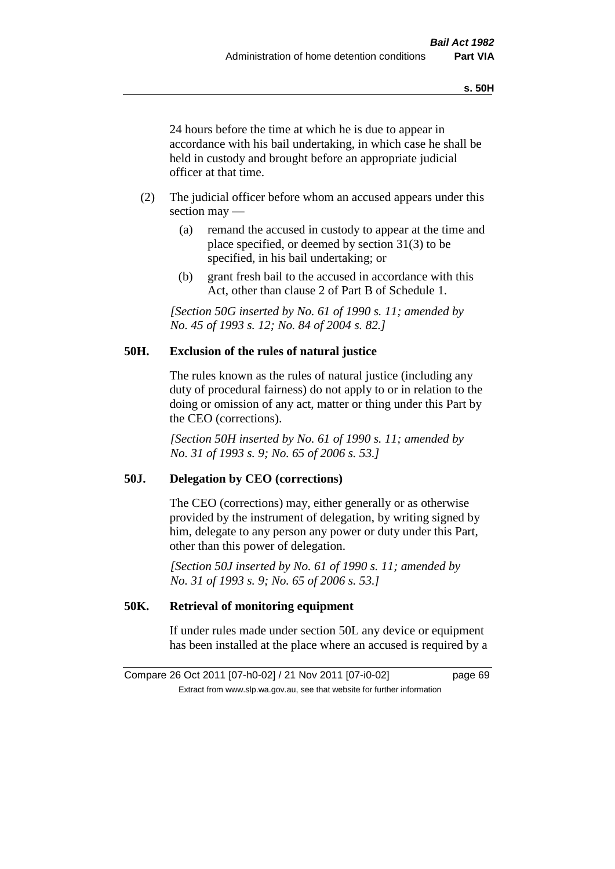24 hours before the time at which he is due to appear in accordance with his bail undertaking, in which case he shall be held in custody and brought before an appropriate judicial officer at that time.

- (2) The judicial officer before whom an accused appears under this section may —
	- (a) remand the accused in custody to appear at the time and place specified, or deemed by section 31(3) to be specified, in his bail undertaking; or
	- (b) grant fresh bail to the accused in accordance with this Act, other than clause 2 of Part B of Schedule 1.

*[Section 50G inserted by No. 61 of 1990 s. 11; amended by No. 45 of 1993 s. 12; No. 84 of 2004 s. 82.]* 

## **50H. Exclusion of the rules of natural justice**

The rules known as the rules of natural justice (including any duty of procedural fairness) do not apply to or in relation to the doing or omission of any act, matter or thing under this Part by the CEO (corrections).

*[Section 50H inserted by No. 61 of 1990 s. 11; amended by No. 31 of 1993 s. 9; No. 65 of 2006 s. 53.]* 

## **50J. Delegation by CEO (corrections)**

The CEO (corrections) may, either generally or as otherwise provided by the instrument of delegation, by writing signed by him, delegate to any person any power or duty under this Part, other than this power of delegation.

*[Section 50J inserted by No. 61 of 1990 s. 11; amended by No. 31 of 1993 s. 9; No. 65 of 2006 s. 53.]* 

## **50K. Retrieval of monitoring equipment**

If under rules made under section 50L any device or equipment has been installed at the place where an accused is required by a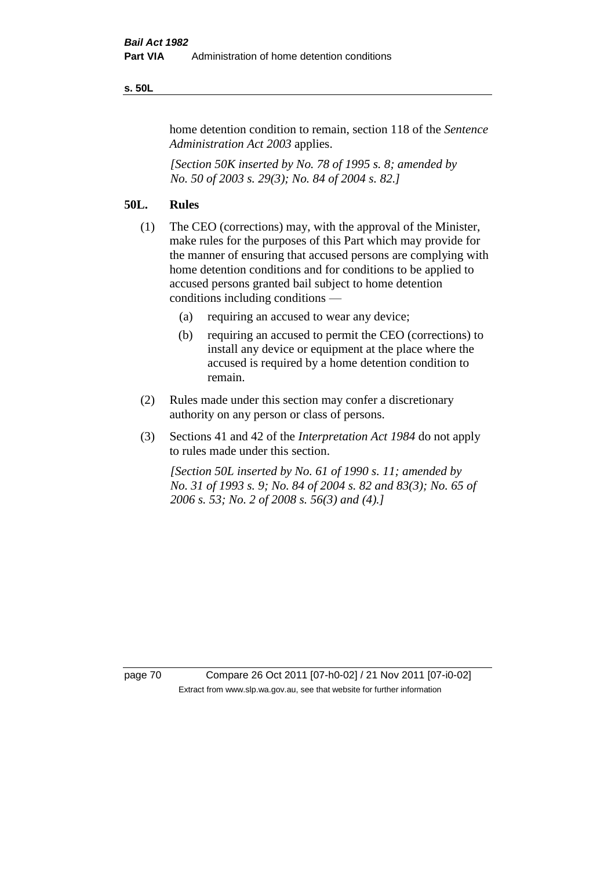#### **s. 50L**

home detention condition to remain, section 118 of the *Sentence Administration Act 2003* applies.

*[Section 50K inserted by No. 78 of 1995 s. 8; amended by No. 50 of 2003 s. 29(3); No. 84 of 2004 s. 82.]* 

## **50L. Rules**

- (1) The CEO (corrections) may, with the approval of the Minister, make rules for the purposes of this Part which may provide for the manner of ensuring that accused persons are complying with home detention conditions and for conditions to be applied to accused persons granted bail subject to home detention conditions including conditions —
	- (a) requiring an accused to wear any device;
	- (b) requiring an accused to permit the CEO (corrections) to install any device or equipment at the place where the accused is required by a home detention condition to remain.
- (2) Rules made under this section may confer a discretionary authority on any person or class of persons.
- (3) Sections 41 and 42 of the *Interpretation Act 1984* do not apply to rules made under this section.

*[Section 50L inserted by No. 61 of 1990 s. 11; amended by No. 31 of 1993 s. 9; No. 84 of 2004 s. 82 and 83(3); No. 65 of 2006 s. 53; No. 2 of 2008 s. 56(3) and (4).]* 

page 70 Compare 26 Oct 2011 [07-h0-02] / 21 Nov 2011 [07-i0-02] Extract from www.slp.wa.gov.au, see that website for further information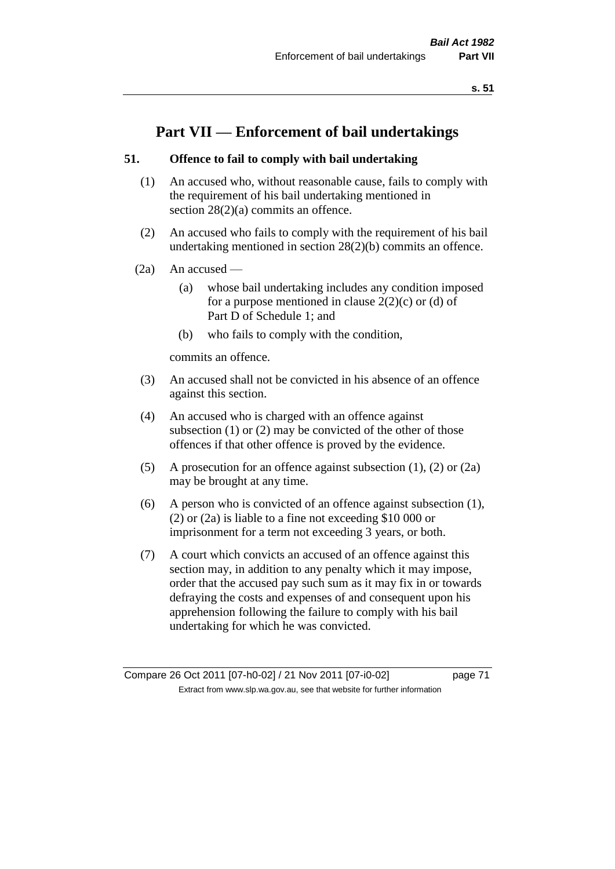# **Part VII — Enforcement of bail undertakings**

# **51. Offence to fail to comply with bail undertaking**

- (1) An accused who, without reasonable cause, fails to comply with the requirement of his bail undertaking mentioned in section 28(2)(a) commits an offence.
- (2) An accused who fails to comply with the requirement of his bail undertaking mentioned in section 28(2)(b) commits an offence.
- $(2a)$  An accused
	- (a) whose bail undertaking includes any condition imposed for a purpose mentioned in clause  $2(2)(c)$  or (d) of Part D of Schedule 1; and
	- (b) who fails to comply with the condition,

commits an offence.

- (3) An accused shall not be convicted in his absence of an offence against this section.
- (4) An accused who is charged with an offence against subsection (1) or (2) may be convicted of the other of those offences if that other offence is proved by the evidence.
- (5) A prosecution for an offence against subsection (1), (2) or (2a) may be brought at any time.
- (6) A person who is convicted of an offence against subsection (1), (2) or (2a) is liable to a fine not exceeding \$10 000 or imprisonment for a term not exceeding 3 years, or both.
- (7) A court which convicts an accused of an offence against this section may, in addition to any penalty which it may impose, order that the accused pay such sum as it may fix in or towards defraying the costs and expenses of and consequent upon his apprehension following the failure to comply with his bail undertaking for which he was convicted.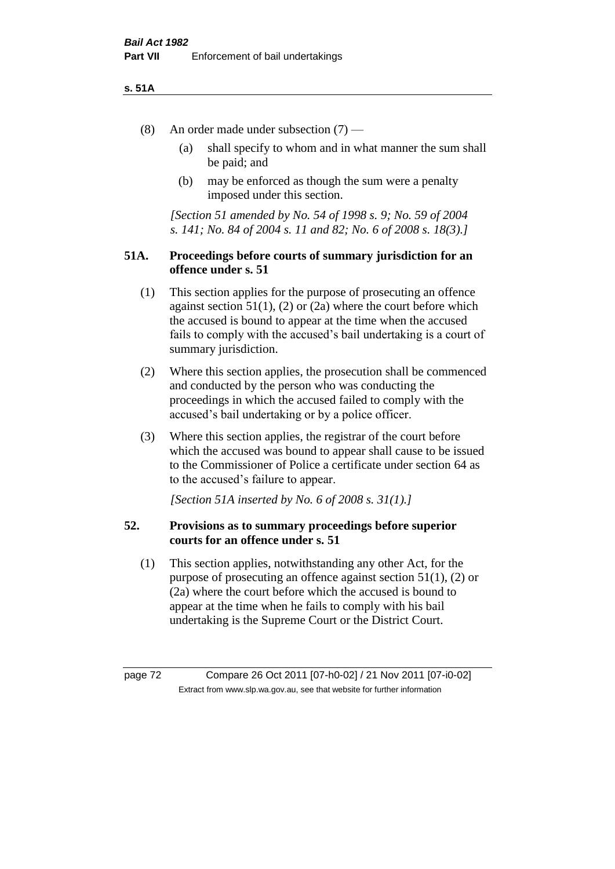### **s. 51A**

- (8) An order made under subsection (7)
	- (a) shall specify to whom and in what manner the sum shall be paid; and
	- (b) may be enforced as though the sum were a penalty imposed under this section.

*[Section 51 amended by No. 54 of 1998 s. 9; No. 59 of 2004 s. 141; No. 84 of 2004 s. 11 and 82; No. 6 of 2008 s. 18(3).]*

# **51A. Proceedings before courts of summary jurisdiction for an offence under s. 51**

- (1) This section applies for the purpose of prosecuting an offence against section  $51(1)$ ,  $(2)$  or  $(2a)$  where the court before which the accused is bound to appear at the time when the accused fails to comply with the accused's bail undertaking is a court of summary jurisdiction.
- (2) Where this section applies, the prosecution shall be commenced and conducted by the person who was conducting the proceedings in which the accused failed to comply with the accused's bail undertaking or by a police officer.
- (3) Where this section applies, the registrar of the court before which the accused was bound to appear shall cause to be issued to the Commissioner of Police a certificate under section 64 as to the accused's failure to appear.

*[Section 51A inserted by No. 6 of 2008 s. 31(1).]*

# **52. Provisions as to summary proceedings before superior courts for an offence under s. 51**

(1) This section applies, notwithstanding any other Act, for the purpose of prosecuting an offence against section 51(1), (2) or (2a) where the court before which the accused is bound to appear at the time when he fails to comply with his bail undertaking is the Supreme Court or the District Court.

page 72 Compare 26 Oct 2011 [07-h0-02] / 21 Nov 2011 [07-i0-02] Extract from www.slp.wa.gov.au, see that website for further information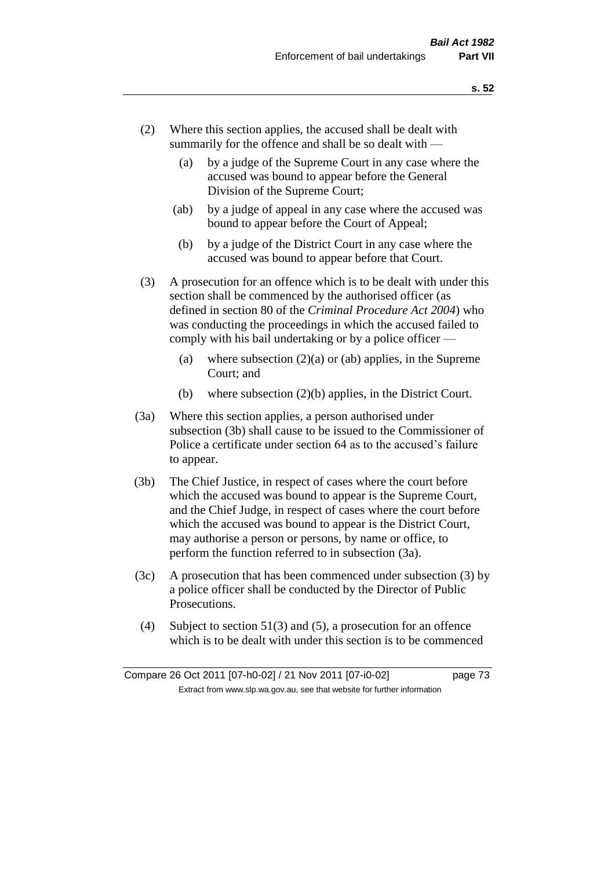- (2) Where this section applies, the accused shall be dealt with summarily for the offence and shall be so dealt with —
	- (a) by a judge of the Supreme Court in any case where the accused was bound to appear before the General Division of the Supreme Court;
	- (ab) by a judge of appeal in any case where the accused was bound to appear before the Court of Appeal;
	- (b) by a judge of the District Court in any case where the accused was bound to appear before that Court.
- (3) A prosecution for an offence which is to be dealt with under this section shall be commenced by the authorised officer (as defined in section 80 of the *Criminal Procedure Act 2004*) who was conducting the proceedings in which the accused failed to comply with his bail undertaking or by a police officer —
	- (a) where subsection  $(2)(a)$  or (ab) applies, in the Supreme Court; and
	- (b) where subsection (2)(b) applies, in the District Court.
- (3a) Where this section applies, a person authorised under subsection (3b) shall cause to be issued to the Commissioner of Police a certificate under section 64 as to the accused's failure to appear.
- (3b) The Chief Justice, in respect of cases where the court before which the accused was bound to appear is the Supreme Court, and the Chief Judge, in respect of cases where the court before which the accused was bound to appear is the District Court, may authorise a person or persons, by name or office, to perform the function referred to in subsection (3a).
- (3c) A prosecution that has been commenced under subsection (3) by a police officer shall be conducted by the Director of Public Prosecutions.
- (4) Subject to section 51(3) and (5), a prosecution for an offence which is to be dealt with under this section is to be commenced

Compare 26 Oct 2011 [07-h0-02] / 21 Nov 2011 [07-i0-02] page 73 Extract from www.slp.wa.gov.au, see that website for further information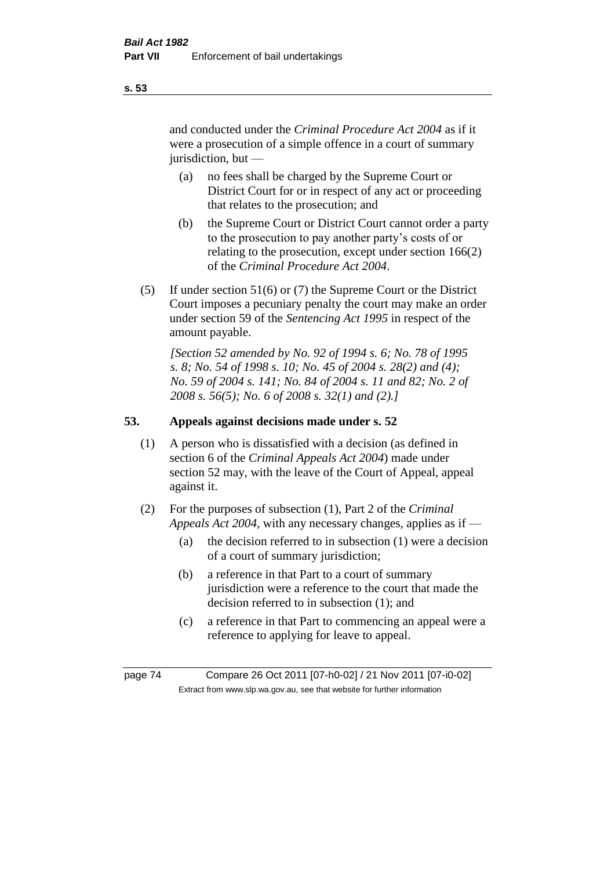and conducted under the *Criminal Procedure Act 2004* as if it were a prosecution of a simple offence in a court of summary jurisdiction, but —

- (a) no fees shall be charged by the Supreme Court or District Court for or in respect of any act or proceeding that relates to the prosecution; and
- (b) the Supreme Court or District Court cannot order a party to the prosecution to pay another party's costs of or relating to the prosecution, except under section 166(2) of the *Criminal Procedure Act 2004*.
- (5) If under section 51(6) or (7) the Supreme Court or the District Court imposes a pecuniary penalty the court may make an order under section 59 of the *Sentencing Act 1995* in respect of the amount payable.

*[Section 52 amended by No. 92 of 1994 s. 6; No. 78 of 1995 s. 8; No. 54 of 1998 s. 10; No. 45 of 2004 s. 28(2) and (4); No. 59 of 2004 s. 141; No. 84 of 2004 s. 11 and 82; No. 2 of 2008 s. 56(5); No. 6 of 2008 s. 32(1) and (2).]* 

# **53. Appeals against decisions made under s. 52**

- (1) A person who is dissatisfied with a decision (as defined in section 6 of the *Criminal Appeals Act 2004*) made under section 52 may, with the leave of the Court of Appeal, appeal against it.
- (2) For the purposes of subsection (1), Part 2 of the *Criminal Appeals Act 2004*, with any necessary changes, applies as if —
	- (a) the decision referred to in subsection (1) were a decision of a court of summary jurisdiction;
	- (b) a reference in that Part to a court of summary jurisdiction were a reference to the court that made the decision referred to in subsection (1); and
	- (c) a reference in that Part to commencing an appeal were a reference to applying for leave to appeal.

page 74 Compare 26 Oct 2011 [07-h0-02] / 21 Nov 2011 [07-i0-02] Extract from www.slp.wa.gov.au, see that website for further information

**s. 53**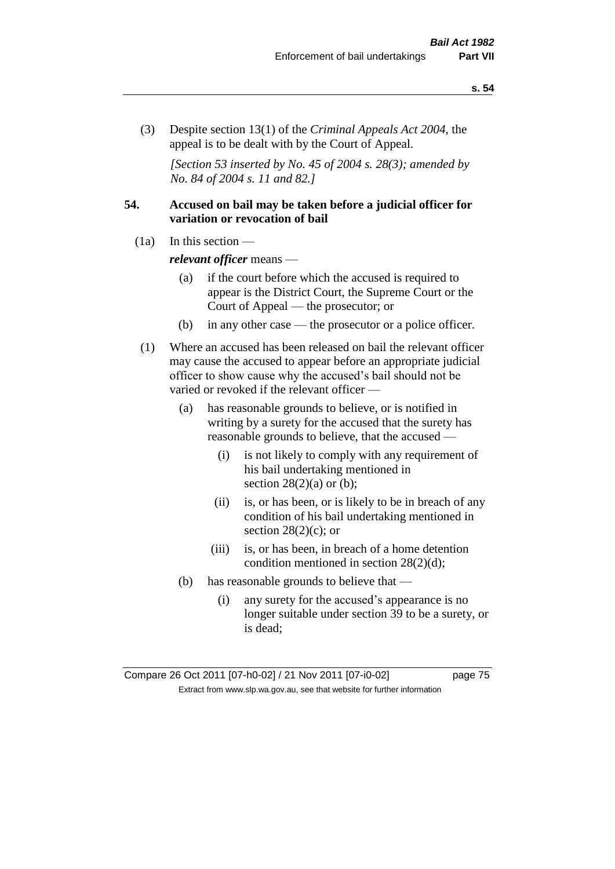(3) Despite section 13(1) of the *Criminal Appeals Act 2004*, the appeal is to be dealt with by the Court of Appeal.

*[Section 53 inserted by No. 45 of 2004 s. 28(3); amended by No. 84 of 2004 s. 11 and 82.]*

# **54. Accused on bail may be taken before a judicial officer for variation or revocation of bail**

(1a) In this section —

*relevant officer* means —

- (a) if the court before which the accused is required to appear is the District Court, the Supreme Court or the Court of Appeal — the prosecutor; or
- (b) in any other case the prosecutor or a police officer.
- (1) Where an accused has been released on bail the relevant officer may cause the accused to appear before an appropriate judicial officer to show cause why the accused's bail should not be varied or revoked if the relevant officer —
	- (a) has reasonable grounds to believe, or is notified in writing by a surety for the accused that the surety has reasonable grounds to believe, that the accused —
		- (i) is not likely to comply with any requirement of his bail undertaking mentioned in section  $28(2)(a)$  or (b);
		- (ii) is, or has been, or is likely to be in breach of any condition of his bail undertaking mentioned in section  $28(2)(c)$ ; or
		- (iii) is, or has been, in breach of a home detention condition mentioned in section 28(2)(d);
	- (b) has reasonable grounds to believe that
		- (i) any surety for the accused's appearance is no longer suitable under section 39 to be a surety, or is dead;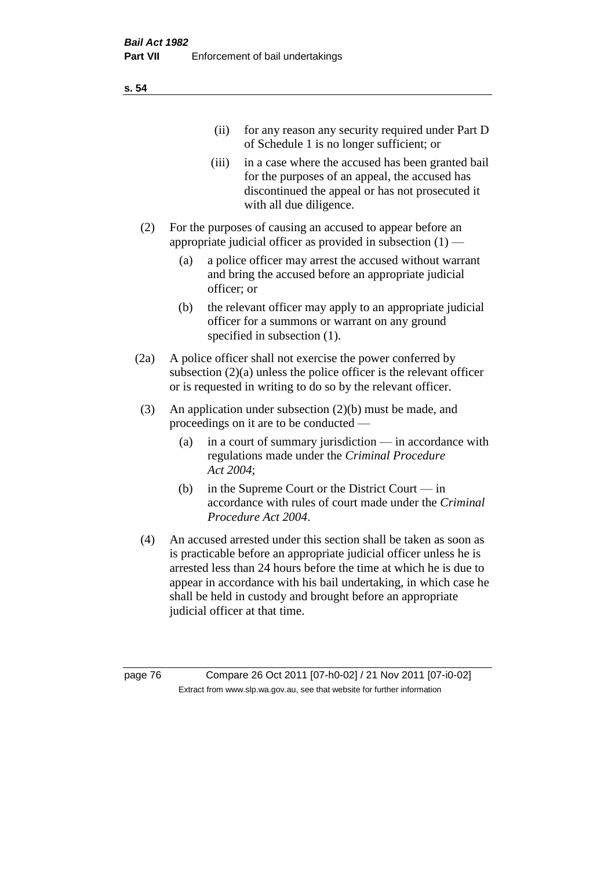| (11)  | for any reason any security required under Part D<br>of Schedule 1 is no longer sufficient; or                                                                                     |
|-------|------------------------------------------------------------------------------------------------------------------------------------------------------------------------------------|
| (iii) | in a case where the accused has been granted bail<br>for the purposes of an appeal, the accused has<br>discontinued the appeal or has not prosecuted it<br>with all due diligence. |

- (2) For the purposes of causing an accused to appear before an appropriate judicial officer as provided in subsection  $(1)$  —
	- (a) a police officer may arrest the accused without warrant and bring the accused before an appropriate judicial officer; or
	- (b) the relevant officer may apply to an appropriate judicial officer for a summons or warrant on any ground specified in subsection  $(1)$ .
- (2a) A police officer shall not exercise the power conferred by subsection (2)(a) unless the police officer is the relevant officer or is requested in writing to do so by the relevant officer.
- (3) An application under subsection (2)(b) must be made, and proceedings on it are to be conducted —
	- (a) in a court of summary jurisdiction in accordance with regulations made under the *Criminal Procedure Act 2004*;
	- (b) in the Supreme Court or the District Court in accordance with rules of court made under the *Criminal Procedure Act 2004*.
- (4) An accused arrested under this section shall be taken as soon as is practicable before an appropriate judicial officer unless he is arrested less than 24 hours before the time at which he is due to appear in accordance with his bail undertaking, in which case he shall be held in custody and brought before an appropriate judicial officer at that time.

page 76 Compare 26 Oct 2011 [07-h0-02] / 21 Nov 2011 [07-i0-02] Extract from www.slp.wa.gov.au, see that website for further information

**s. 54**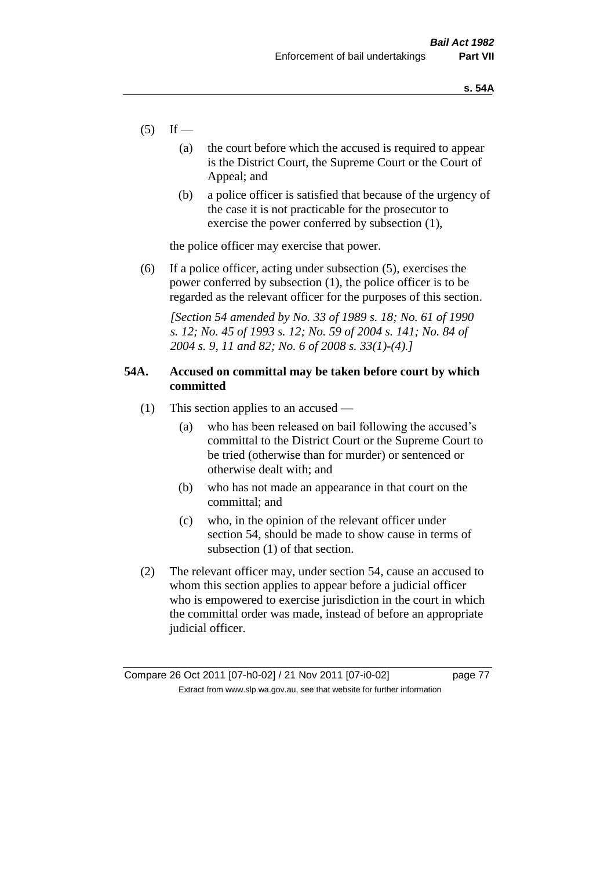- $(5)$  If
	- (a) the court before which the accused is required to appear is the District Court, the Supreme Court or the Court of Appeal; and
	- (b) a police officer is satisfied that because of the urgency of the case it is not practicable for the prosecutor to exercise the power conferred by subsection (1),

the police officer may exercise that power.

(6) If a police officer, acting under subsection (5), exercises the power conferred by subsection (1), the police officer is to be regarded as the relevant officer for the purposes of this section.

*[Section 54 amended by No. 33 of 1989 s. 18; No. 61 of 1990 s. 12; No. 45 of 1993 s. 12; No. 59 of 2004 s. 141; No. 84 of 2004 s. 9, 11 and 82; No. 6 of 2008 s. 33(1)-(4).]* 

# **54A. Accused on committal may be taken before court by which committed**

- (1) This section applies to an accused
	- (a) who has been released on bail following the accused's committal to the District Court or the Supreme Court to be tried (otherwise than for murder) or sentenced or otherwise dealt with; and
	- (b) who has not made an appearance in that court on the committal; and
	- (c) who, in the opinion of the relevant officer under section 54, should be made to show cause in terms of subsection (1) of that section.
- (2) The relevant officer may, under section 54, cause an accused to whom this section applies to appear before a judicial officer who is empowered to exercise jurisdiction in the court in which the committal order was made, instead of before an appropriate judicial officer.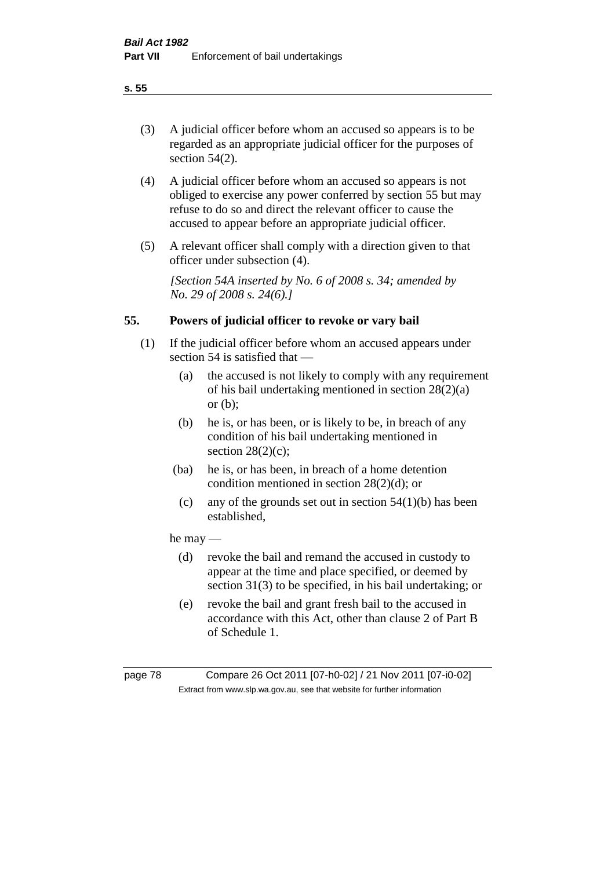(3) A judicial officer before whom an accused so appears is to be regarded as an appropriate judicial officer for the purposes of section 54(2).

- (4) A judicial officer before whom an accused so appears is not obliged to exercise any power conferred by section 55 but may refuse to do so and direct the relevant officer to cause the accused to appear before an appropriate judicial officer.
- (5) A relevant officer shall comply with a direction given to that officer under subsection (4).

*[Section 54A inserted by No. 6 of 2008 s. 34; amended by No. 29 of 2008 s. 24(6).]*

# **55. Powers of judicial officer to revoke or vary bail**

- (1) If the judicial officer before whom an accused appears under section 54 is satisfied that —
	- (a) the accused is not likely to comply with any requirement of his bail undertaking mentioned in section 28(2)(a) or (b);
	- (b) he is, or has been, or is likely to be, in breach of any condition of his bail undertaking mentioned in section  $28(2)(c)$ ;
	- (ba) he is, or has been, in breach of a home detention condition mentioned in section 28(2)(d); or
		- (c) any of the grounds set out in section  $54(1)(b)$  has been established,

# he may —

- (d) revoke the bail and remand the accused in custody to appear at the time and place specified, or deemed by section 31(3) to be specified, in his bail undertaking; or
- (e) revoke the bail and grant fresh bail to the accused in accordance with this Act, other than clause 2 of Part B of Schedule 1.

page 78 Compare 26 Oct 2011 [07-h0-02] / 21 Nov 2011 [07-i0-02] Extract from www.slp.wa.gov.au, see that website for further information

**s. 55**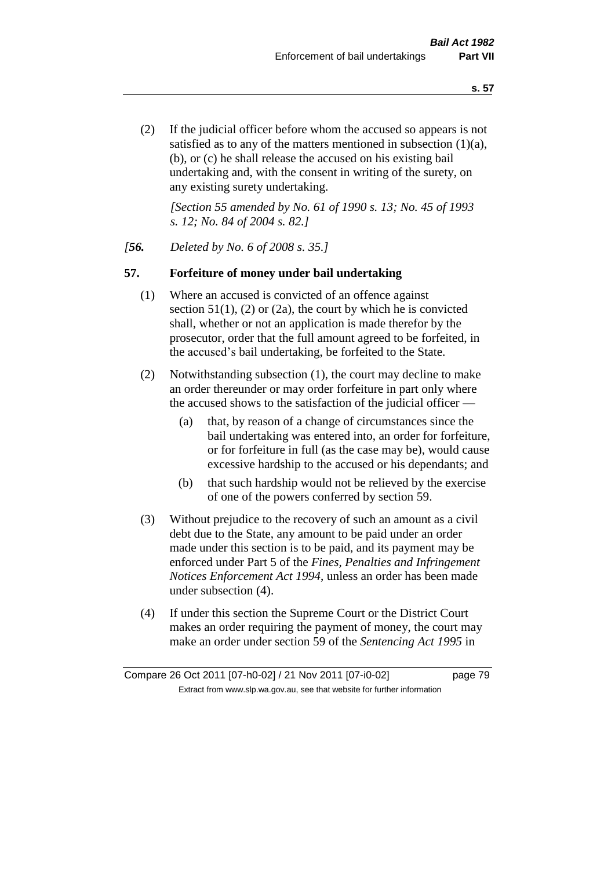(2) If the judicial officer before whom the accused so appears is not satisfied as to any of the matters mentioned in subsection (1)(a), (b), or (c) he shall release the accused on his existing bail undertaking and, with the consent in writing of the surety, on any existing surety undertaking.

*[Section 55 amended by No. 61 of 1990 s. 13; No. 45 of 1993 s. 12; No. 84 of 2004 s. 82.]* 

# *[56. Deleted by No. 6 of 2008 s. 35.]*

# **57. Forfeiture of money under bail undertaking**

- (1) Where an accused is convicted of an offence against section  $51(1)$ , (2) or (2a), the court by which he is convicted shall, whether or not an application is made therefor by the prosecutor, order that the full amount agreed to be forfeited, in the accused's bail undertaking, be forfeited to the State.
- (2) Notwithstanding subsection (1), the court may decline to make an order thereunder or may order forfeiture in part only where the accused shows to the satisfaction of the judicial officer —
	- (a) that, by reason of a change of circumstances since the bail undertaking was entered into, an order for forfeiture, or for forfeiture in full (as the case may be), would cause excessive hardship to the accused or his dependants; and
	- (b) that such hardship would not be relieved by the exercise of one of the powers conferred by section 59.
- (3) Without prejudice to the recovery of such an amount as a civil debt due to the State, any amount to be paid under an order made under this section is to be paid, and its payment may be enforced under Part 5 of the *Fines, Penalties and Infringement Notices Enforcement Act 1994*, unless an order has been made under subsection (4).
- (4) If under this section the Supreme Court or the District Court makes an order requiring the payment of money, the court may make an order under section 59 of the *Sentencing Act 1995* in

Compare 26 Oct 2011 [07-h0-02] / 21 Nov 2011 [07-i0-02] page 79 Extract from www.slp.wa.gov.au, see that website for further information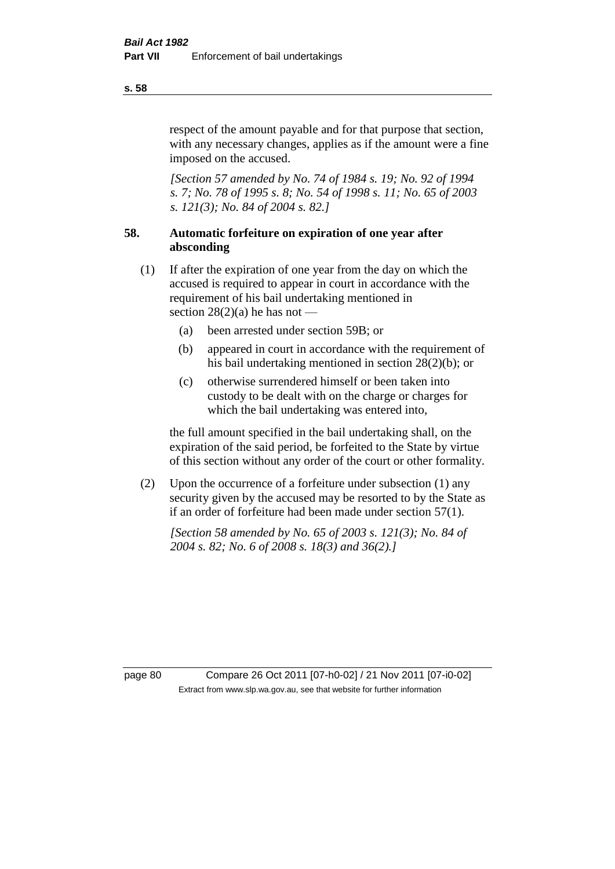respect of the amount payable and for that purpose that section, with any necessary changes, applies as if the amount were a fine imposed on the accused.

*[Section 57 amended by No. 74 of 1984 s. 19; No. 92 of 1994 s. 7; No. 78 of 1995 s. 8; No. 54 of 1998 s. 11; No. 65 of 2003 s. 121(3); No. 84 of 2004 s. 82.]* 

# **58. Automatic forfeiture on expiration of one year after absconding**

- (1) If after the expiration of one year from the day on which the accused is required to appear in court in accordance with the requirement of his bail undertaking mentioned in section  $28(2)(a)$  he has not —
	- (a) been arrested under section 59B; or
	- (b) appeared in court in accordance with the requirement of his bail undertaking mentioned in section 28(2)(b); or
	- (c) otherwise surrendered himself or been taken into custody to be dealt with on the charge or charges for which the bail undertaking was entered into,

the full amount specified in the bail undertaking shall, on the expiration of the said period, be forfeited to the State by virtue of this section without any order of the court or other formality.

(2) Upon the occurrence of a forfeiture under subsection (1) any security given by the accused may be resorted to by the State as if an order of forfeiture had been made under section 57(1).

*[Section 58 amended by No. 65 of 2003 s. 121(3); No. 84 of 2004 s. 82; No. 6 of 2008 s. 18(3) and 36(2).]*

page 80 Compare 26 Oct 2011 [07-h0-02] / 21 Nov 2011 [07-i0-02] Extract from www.slp.wa.gov.au, see that website for further information

**s. 58**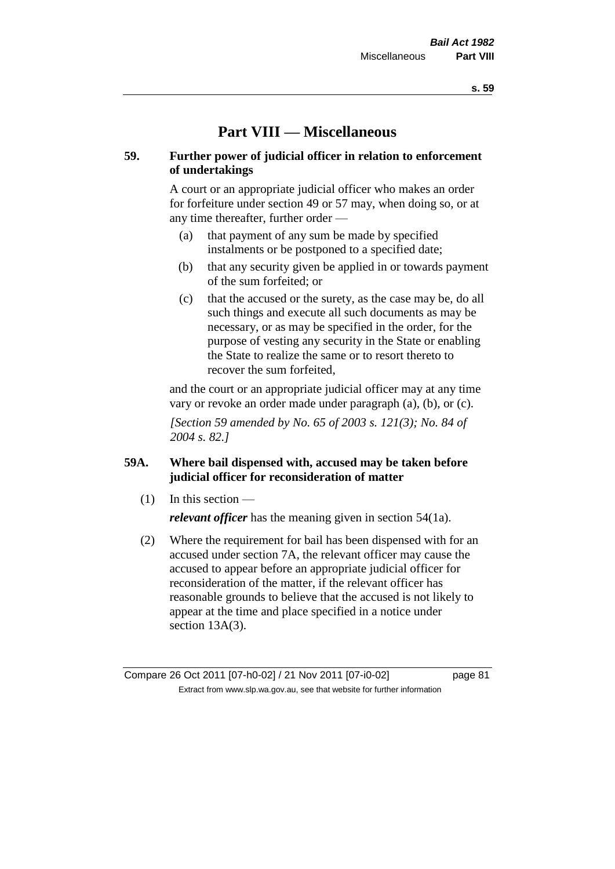# **Part VIII — Miscellaneous**

# **59. Further power of judicial officer in relation to enforcement of undertakings**

A court or an appropriate judicial officer who makes an order for forfeiture under section 49 or 57 may, when doing so, or at any time thereafter, further order —

- (a) that payment of any sum be made by specified instalments or be postponed to a specified date;
- (b) that any security given be applied in or towards payment of the sum forfeited; or
- (c) that the accused or the surety, as the case may be, do all such things and execute all such documents as may be necessary, or as may be specified in the order, for the purpose of vesting any security in the State or enabling the State to realize the same or to resort thereto to recover the sum forfeited,

and the court or an appropriate judicial officer may at any time vary or revoke an order made under paragraph (a), (b), or (c).

*[Section 59 amended by No. 65 of 2003 s. 121(3); No. 84 of 2004 s. 82.]*

# **59A. Where bail dispensed with, accused may be taken before judicial officer for reconsideration of matter**

- $(1)$  In this section *relevant officer* has the meaning given in section 54(1a).
- (2) Where the requirement for bail has been dispensed with for an accused under section 7A, the relevant officer may cause the accused to appear before an appropriate judicial officer for reconsideration of the matter, if the relevant officer has reasonable grounds to believe that the accused is not likely to appear at the time and place specified in a notice under section 13A(3).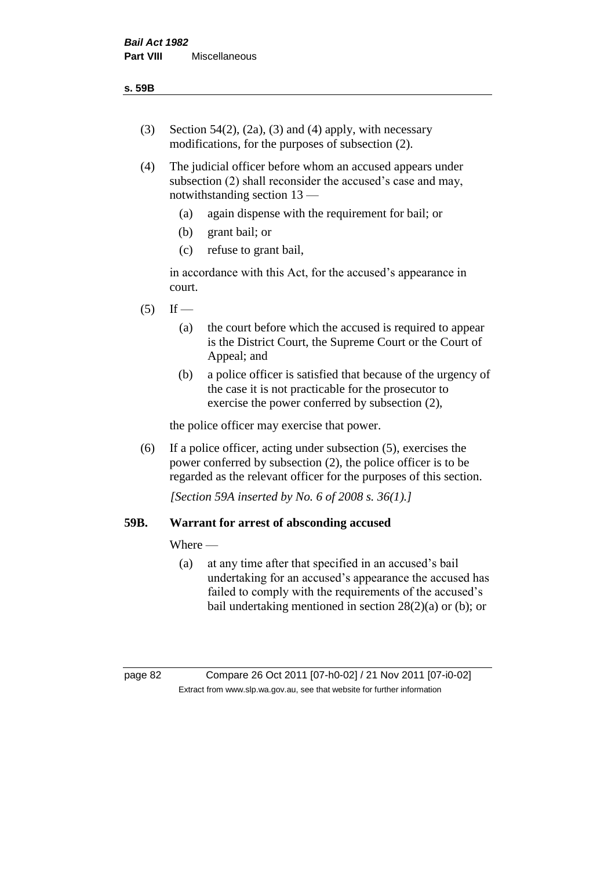- (3) Section 54(2), (2a), (3) and (4) apply, with necessary modifications, for the purposes of subsection (2).
- (4) The judicial officer before whom an accused appears under subsection (2) shall reconsider the accused's case and may, notwithstanding section 13 —
	- (a) again dispense with the requirement for bail; or
	- (b) grant bail; or
	- (c) refuse to grant bail,

in accordance with this Act, for the accused's appearance in court.

- $(5)$  If
	- (a) the court before which the accused is required to appear is the District Court, the Supreme Court or the Court of Appeal; and
	- (b) a police officer is satisfied that because of the urgency of the case it is not practicable for the prosecutor to exercise the power conferred by subsection (2),

the police officer may exercise that power.

(6) If a police officer, acting under subsection (5), exercises the power conferred by subsection (2), the police officer is to be regarded as the relevant officer for the purposes of this section.

*[Section 59A inserted by No. 6 of 2008 s. 36(1).]*

# **59B. Warrant for arrest of absconding accused**

Where —

(a) at any time after that specified in an accused's bail undertaking for an accused's appearance the accused has failed to comply with the requirements of the accused's bail undertaking mentioned in section 28(2)(a) or (b); or

page 82 Compare 26 Oct 2011 [07-h0-02] / 21 Nov 2011 [07-i0-02] Extract from www.slp.wa.gov.au, see that website for further information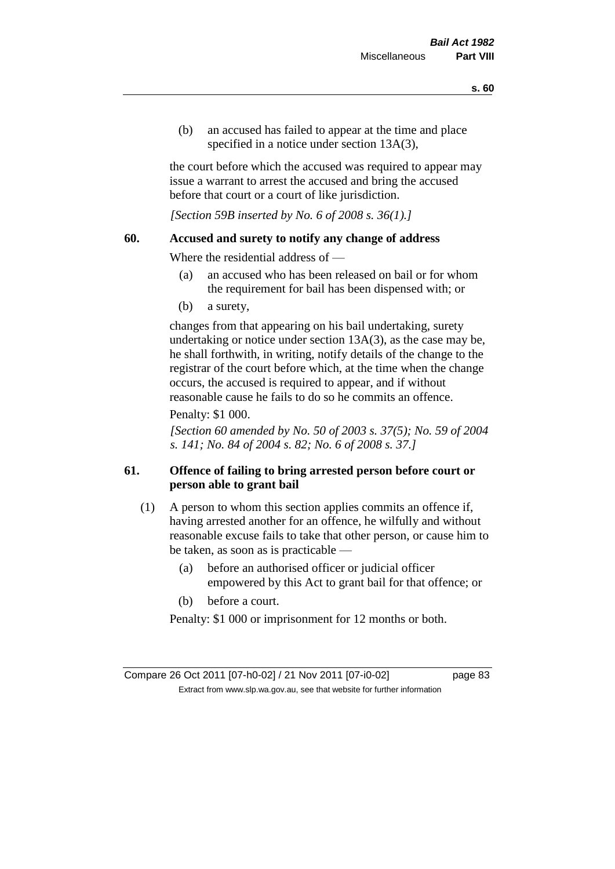(b) an accused has failed to appear at the time and place specified in a notice under section 13A(3).

the court before which the accused was required to appear may issue a warrant to arrest the accused and bring the accused before that court or a court of like jurisdiction.

*[Section 59B inserted by No. 6 of 2008 s. 36(1).]*

# **60. Accused and surety to notify any change of address**

Where the residential address of —

- (a) an accused who has been released on bail or for whom the requirement for bail has been dispensed with; or
- (b) a surety,

changes from that appearing on his bail undertaking, surety undertaking or notice under section 13A(3), as the case may be, he shall forthwith, in writing, notify details of the change to the registrar of the court before which, at the time when the change occurs, the accused is required to appear, and if without reasonable cause he fails to do so he commits an offence.

### Penalty: \$1 000.

*[Section 60 amended by No. 50 of 2003 s. 37(5); No. 59 of 2004 s. 141; No. 84 of 2004 s. 82; No. 6 of 2008 s. 37.]*

# **61. Offence of failing to bring arrested person before court or person able to grant bail**

- (1) A person to whom this section applies commits an offence if, having arrested another for an offence, he wilfully and without reasonable excuse fails to take that other person, or cause him to be taken, as soon as is practicable —
	- (a) before an authorised officer or judicial officer empowered by this Act to grant bail for that offence; or
	- (b) before a court.

Penalty: \$1 000 or imprisonment for 12 months or both.

Compare 26 Oct 2011 [07-h0-02] / 21 Nov 2011 [07-i0-02] page 83 Extract from www.slp.wa.gov.au, see that website for further information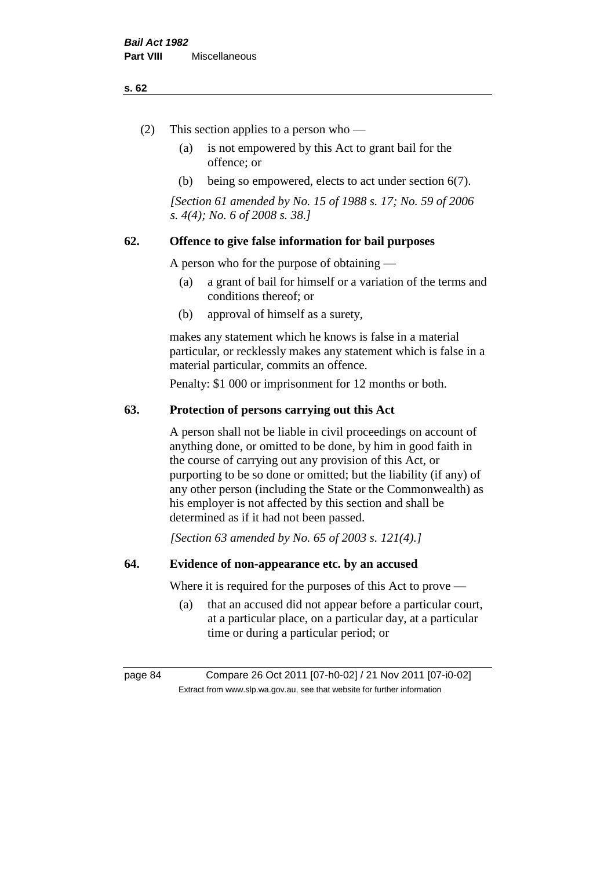#### **s. 62**

- (2) This section applies to a person who
	- (a) is not empowered by this Act to grant bail for the offence; or
	- (b) being so empowered, elects to act under section 6(7).

*[Section 61 amended by No. 15 of 1988 s. 17; No. 59 of 2006 s. 4(4); No. 6 of 2008 s. 38.]* 

# **62. Offence to give false information for bail purposes**

A person who for the purpose of obtaining —

- (a) a grant of bail for himself or a variation of the terms and conditions thereof; or
- (b) approval of himself as a surety,

makes any statement which he knows is false in a material particular, or recklessly makes any statement which is false in a material particular, commits an offence.

Penalty: \$1 000 or imprisonment for 12 months or both.

# **63. Protection of persons carrying out this Act**

A person shall not be liable in civil proceedings on account of anything done, or omitted to be done, by him in good faith in the course of carrying out any provision of this Act, or purporting to be so done or omitted; but the liability (if any) of any other person (including the State or the Commonwealth) as his employer is not affected by this section and shall be determined as if it had not been passed.

*[Section 63 amended by No. 65 of 2003 s. 121(4).]*

# **64. Evidence of non-appearance etc. by an accused**

Where it is required for the purposes of this Act to prove —

(a) that an accused did not appear before a particular court, at a particular place, on a particular day, at a particular time or during a particular period; or

page 84 Compare 26 Oct 2011 [07-h0-02] / 21 Nov 2011 [07-i0-02] Extract from www.slp.wa.gov.au, see that website for further information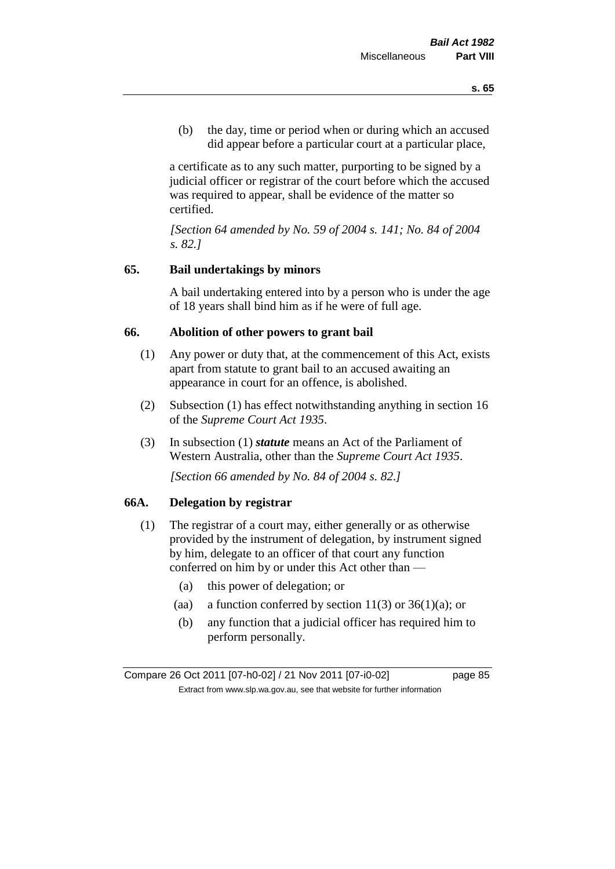(b) the day, time or period when or during which an accused did appear before a particular court at a particular place,

a certificate as to any such matter, purporting to be signed by a judicial officer or registrar of the court before which the accused was required to appear, shall be evidence of the matter so certified.

*[Section 64 amended by No. 59 of 2004 s. 141; No. 84 of 2004 s. 82.]* 

# **65. Bail undertakings by minors**

A bail undertaking entered into by a person who is under the age of 18 years shall bind him as if he were of full age.

### **66. Abolition of other powers to grant bail**

- (1) Any power or duty that, at the commencement of this Act, exists apart from statute to grant bail to an accused awaiting an appearance in court for an offence, is abolished.
- (2) Subsection (1) has effect notwithstanding anything in section 16 of the *Supreme Court Act 1935*.
- (3) In subsection (1) *statute* means an Act of the Parliament of Western Australia, other than the *Supreme Court Act 1935*.

*[Section 66 amended by No. 84 of 2004 s. 82.]*

# **66A. Delegation by registrar**

- (1) The registrar of a court may, either generally or as otherwise provided by the instrument of delegation, by instrument signed by him, delegate to an officer of that court any function conferred on him by or under this Act other than —
	- (a) this power of delegation; or
	- (aa) a function conferred by section  $11(3)$  or  $36(1)(a)$ ; or
	- (b) any function that a judicial officer has required him to perform personally.

Compare 26 Oct 2011 [07-h0-02] / 21 Nov 2011 [07-i0-02] page 85 Extract from www.slp.wa.gov.au, see that website for further information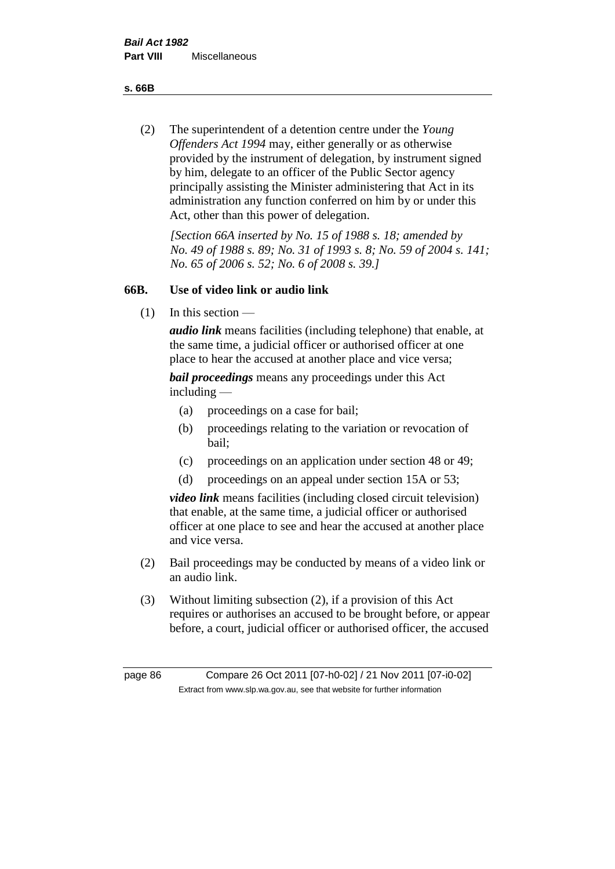**s. 66B**

(2) The superintendent of a detention centre under the *Young Offenders Act 1994* may, either generally or as otherwise provided by the instrument of delegation, by instrument signed by him, delegate to an officer of the Public Sector agency principally assisting the Minister administering that Act in its administration any function conferred on him by or under this Act, other than this power of delegation.

*[Section 66A inserted by No. 15 of 1988 s. 18; amended by No. 49 of 1988 s. 89; No. 31 of 1993 s. 8; No. 59 of 2004 s. 141; No. 65 of 2006 s. 52; No. 6 of 2008 s. 39.]* 

# **66B. Use of video link or audio link**

(1) In this section —

*audio link* means facilities (including telephone) that enable, at the same time, a judicial officer or authorised officer at one place to hear the accused at another place and vice versa;

*bail proceedings* means any proceedings under this Act including —

- (a) proceedings on a case for bail;
- (b) proceedings relating to the variation or revocation of bail;
- (c) proceedings on an application under section 48 or 49;
- (d) proceedings on an appeal under section 15A or 53;

*video link* means facilities (including closed circuit television) that enable, at the same time, a judicial officer or authorised officer at one place to see and hear the accused at another place and vice versa.

- (2) Bail proceedings may be conducted by means of a video link or an audio link.
- (3) Without limiting subsection (2), if a provision of this Act requires or authorises an accused to be brought before, or appear before, a court, judicial officer or authorised officer, the accused

page 86 Compare 26 Oct 2011 [07-h0-02] / 21 Nov 2011 [07-i0-02] Extract from www.slp.wa.gov.au, see that website for further information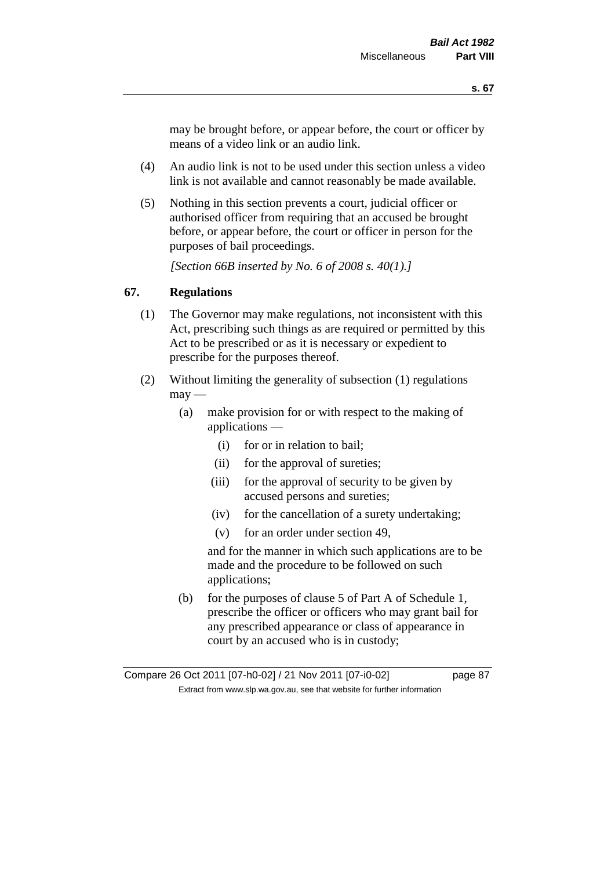may be brought before, or appear before, the court or officer by means of a video link or an audio link.

- (4) An audio link is not to be used under this section unless a video link is not available and cannot reasonably be made available.
- (5) Nothing in this section prevents a court, judicial officer or authorised officer from requiring that an accused be brought before, or appear before, the court or officer in person for the purposes of bail proceedings.

*[Section 66B inserted by No. 6 of 2008 s. 40(1).]*

# **67. Regulations**

- (1) The Governor may make regulations, not inconsistent with this Act, prescribing such things as are required or permitted by this Act to be prescribed or as it is necessary or expedient to prescribe for the purposes thereof.
- (2) Without limiting the generality of subsection (1) regulations  $\text{max}$  —
	- (a) make provision for or with respect to the making of applications —
		- (i) for or in relation to bail;
		- (ii) for the approval of sureties;
		- (iii) for the approval of security to be given by accused persons and sureties;
		- (iv) for the cancellation of a surety undertaking;
		- (v) for an order under section 49,

and for the manner in which such applications are to be made and the procedure to be followed on such applications;

(b) for the purposes of clause 5 of Part A of Schedule 1, prescribe the officer or officers who may grant bail for any prescribed appearance or class of appearance in court by an accused who is in custody;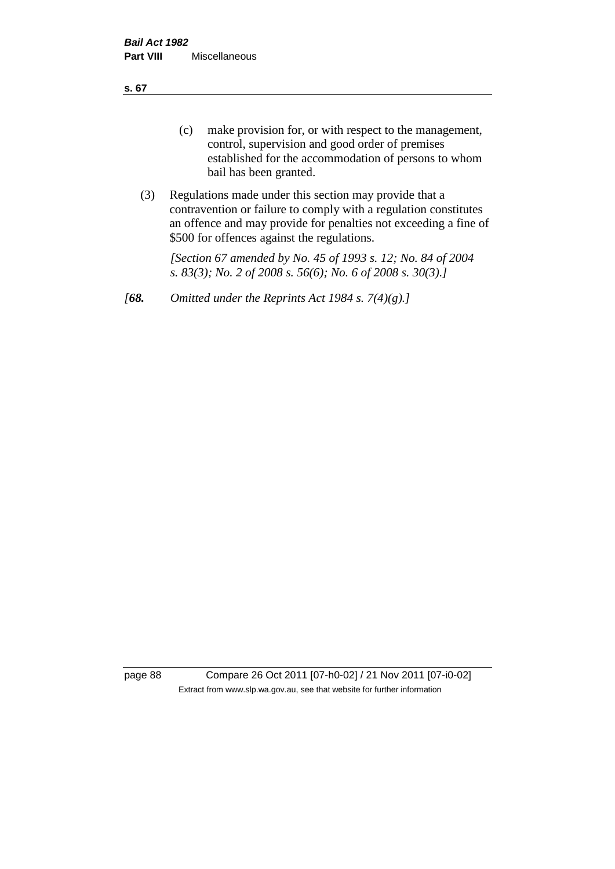**s. 67**

- (c) make provision for, or with respect to the management, control, supervision and good order of premises established for the accommodation of persons to whom bail has been granted.
- (3) Regulations made under this section may provide that a contravention or failure to comply with a regulation constitutes an offence and may provide for penalties not exceeding a fine of \$500 for offences against the regulations.

*[Section 67 amended by No. 45 of 1993 s. 12; No. 84 of 2004 s. 83(3); No. 2 of 2008 s. 56(6); No. 6 of 2008 s. 30(3).]* 

*[68. Omitted under the Reprints Act 1984 s. 7(4)(g).]*

page 88 Compare 26 Oct 2011 [07-h0-02] / 21 Nov 2011 [07-i0-02] Extract from www.slp.wa.gov.au, see that website for further information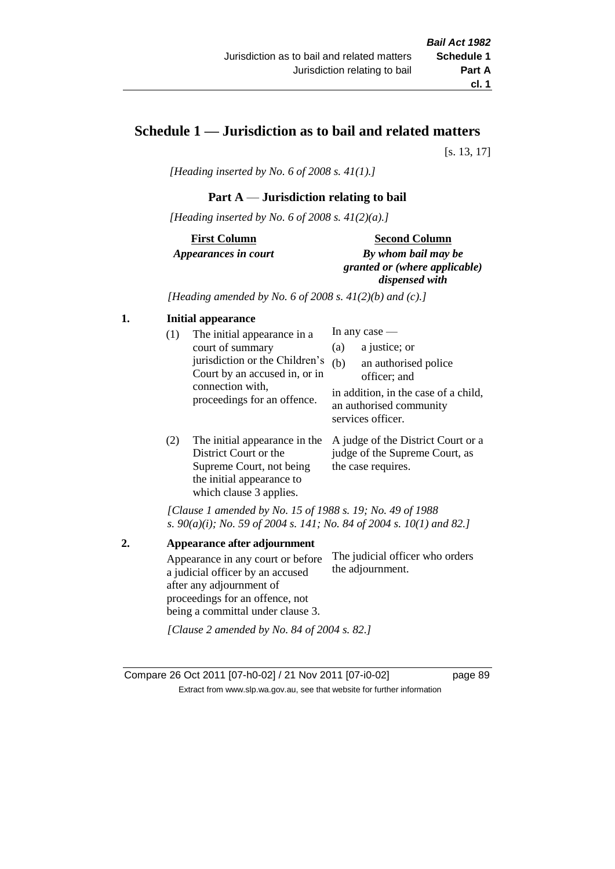# **Schedule 1 — Jurisdiction as to bail and related matters**

[s. 13, 17]

*[Heading inserted by No. 6 of 2008 s. 41(1).]*

### **Part A** — **Jurisdiction relating to bail**

*[Heading inserted by No. 6 of 2008 s. 41(2)(a).]*

**First Column** *Appearances in court* 

#### **Second Column**

*By whom bail may be granted or (where applicable) dispensed with*

*[Heading amended by No. 6 of 2008 s. 41(2)(b) and (c).]*

# **1. Initial appearance**

| (1) | The initial appearance in a<br>court of summary<br>jurisdiction or the Children's<br>Court by an accused in, or in<br>connection with,<br>proceedings for an offence. | In any case $-$<br>a justice; or<br>(a)<br>(b)<br>an authorised police<br>officer; and<br>in addition, in the case of a child,<br>an authorised community<br>services officer. |
|-----|-----------------------------------------------------------------------------------------------------------------------------------------------------------------------|--------------------------------------------------------------------------------------------------------------------------------------------------------------------------------|
|     | The initial annearance in the                                                                                                                                         | A judge of the District Court or a                                                                                                                                             |

(2) The initial appearance in the A judge of the District Court or a District Court or the Supreme Court, not being the initial appearance to which clause 3 applies. judge of the Supreme Court, as the case requires.

*[Clause 1 amended by No. 15 of 1988 s. 19; No. 49 of 1988 s. 90(a)(i); No. 59 of 2004 s. 141; No. 84 of 2004 s. 10(1) and 82.]*

**2. Appearance after adjournment** Appearance in any court or before a judicial officer by an accused after any adjournment of proceedings for an offence, not being a committal under clause 3. The judicial officer who orders the adjournment. *[Clause 2 amended by No. 84 of 2004 s. 82.]*

Compare 26 Oct 2011 [07-h0-02] / 21 Nov 2011 [07-i0-02] page 89 Extract from www.slp.wa.gov.au, see that website for further information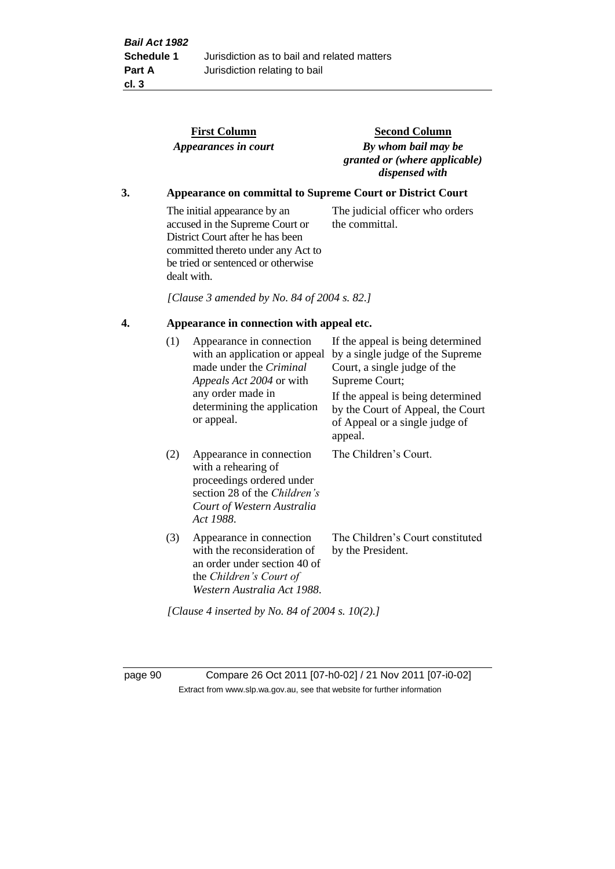|                                                 |                                                                   | <b>First Column</b><br>Appearances in court                                                                                                                                                    | <b>Second Column</b><br>By whom bail may be<br>granted or (where applicable)<br>dispensed with                                                                                                                                                 |  |  |  |
|-------------------------------------------------|-------------------------------------------------------------------|------------------------------------------------------------------------------------------------------------------------------------------------------------------------------------------------|------------------------------------------------------------------------------------------------------------------------------------------------------------------------------------------------------------------------------------------------|--|--|--|
| 3.                                              | <b>Appearance on committal to Supreme Court or District Court</b> |                                                                                                                                                                                                |                                                                                                                                                                                                                                                |  |  |  |
|                                                 |                                                                   | The initial appearance by an<br>accused in the Supreme Court or<br>District Court after he has been<br>committed thereto under any Act to<br>be tried or sentenced or otherwise<br>dealt with. | The judicial officer who orders<br>the committal.                                                                                                                                                                                              |  |  |  |
|                                                 |                                                                   | [Clause 3 amended by No. 84 of 2004 s. 82.]                                                                                                                                                    |                                                                                                                                                                                                                                                |  |  |  |
| 4.<br>Appearance in connection with appeal etc. |                                                                   |                                                                                                                                                                                                |                                                                                                                                                                                                                                                |  |  |  |
|                                                 | (1)                                                               | Appearance in connection<br>with an application or appeal<br>made under the Criminal<br>Appeals Act 2004 or with<br>any order made in<br>determining the application<br>or appeal.             | If the appeal is being determined<br>by a single judge of the Supreme<br>Court, a single judge of the<br>Supreme Court;<br>If the appeal is being determined<br>by the Court of Appeal, the Court<br>of Appeal or a single judge of<br>appeal. |  |  |  |
|                                                 | (2)                                                               | Appearance in connection<br>with a rehearing of<br>proceedings ordered under<br>section 28 of the Children's<br>Court of Western Australia<br>Act 1988.                                        | The Children's Court.                                                                                                                                                                                                                          |  |  |  |
|                                                 | (3)                                                               | Appearance in connection<br>with the reconsideration of<br>an order under section 40 of<br>the Children's Court of<br>Western Australia Act 1988.                                              | The Children's Court constituted<br>by the President.                                                                                                                                                                                          |  |  |  |

*[Clause 4 inserted by No. 84 of 2004 s. 10(2).]*

page 90 Compare 26 Oct 2011 [07-h0-02] / 21 Nov 2011 [07-i0-02] Extract from www.slp.wa.gov.au, see that website for further information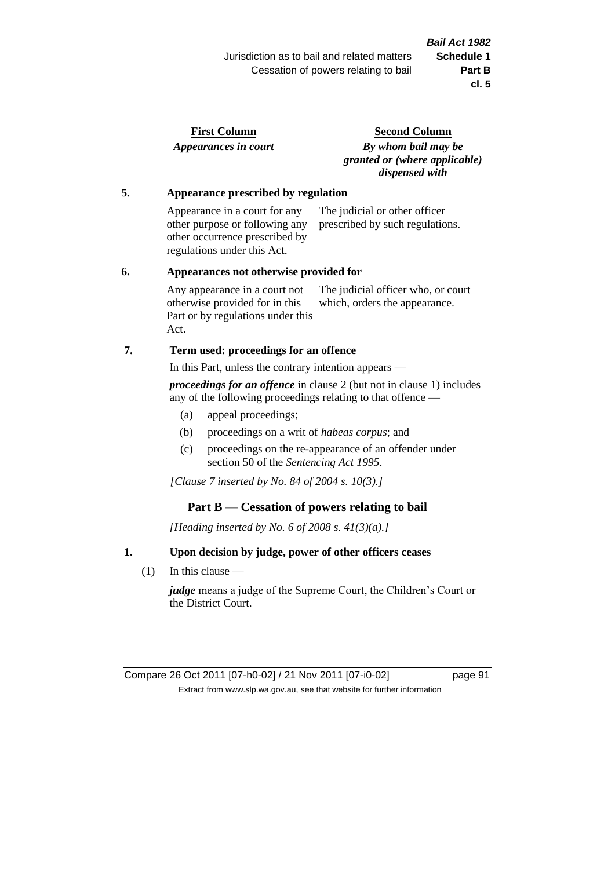| <b>First Column</b>  |  |
|----------------------|--|
| Appearances in court |  |

**Second Column** *By whom bail may be granted or (where applicable) dispensed with*

# **5. Appearance prescribed by regulation**

Appearance in a court for any other purpose or following any other occurrence prescribed by regulations under this Act. The judicial or other officer prescribed by such regulations.

#### **6. Appearances not otherwise provided for**

Any appearance in a court not otherwise provided for in this Part or by regulations under this Act. The judicial officer who, or court which, orders the appearance.

### **7. Term used: proceedings for an offence**

In this Part, unless the contrary intention appears —

*proceedings for an offence* in clause 2 (but not in clause 1) includes any of the following proceedings relating to that offence —

- (a) appeal proceedings;
- (b) proceedings on a writ of *habeas corpus*; and
- (c) proceedings on the re-appearance of an offender under section 50 of the *Sentencing Act 1995*.

*[Clause 7 inserted by No. 84 of 2004 s. 10(3).]*

### **Part B** — **Cessation of powers relating to bail**

*[Heading inserted by No. 6 of 2008 s. 41(3)(a).]*

### **1. Upon decision by judge, power of other officers ceases**

(1) In this clause —

*judge* means a judge of the Supreme Court, the Children's Court or the District Court.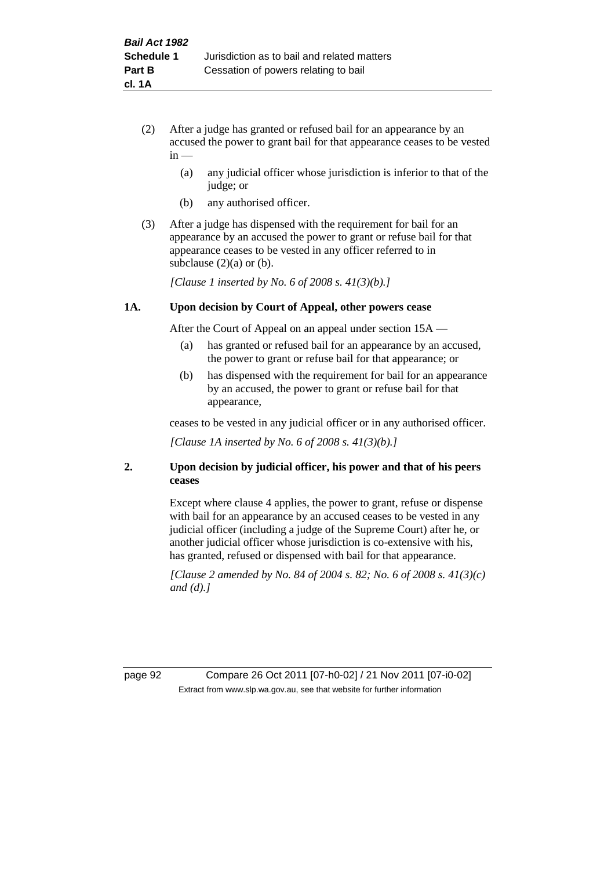- (2) After a judge has granted or refused bail for an appearance by an accused the power to grant bail for that appearance ceases to be vested  $in -$ 
	- (a) any judicial officer whose jurisdiction is inferior to that of the judge; or
	- (b) any authorised officer.
- (3) After a judge has dispensed with the requirement for bail for an appearance by an accused the power to grant or refuse bail for that appearance ceases to be vested in any officer referred to in subclause  $(2)(a)$  or  $(b)$ .

*[Clause 1 inserted by No. 6 of 2008 s. 41(3)(b).]*

#### **1A. Upon decision by Court of Appeal, other powers cease**

After the Court of Appeal on an appeal under section 15A —

- (a) has granted or refused bail for an appearance by an accused, the power to grant or refuse bail for that appearance; or
- (b) has dispensed with the requirement for bail for an appearance by an accused, the power to grant or refuse bail for that appearance,

ceases to be vested in any judicial officer or in any authorised officer.

*[Clause 1A inserted by No. 6 of 2008 s. 41(3)(b).]*

### **2. Upon decision by judicial officer, his power and that of his peers ceases**

Except where clause 4 applies, the power to grant, refuse or dispense with bail for an appearance by an accused ceases to be vested in any judicial officer (including a judge of the Supreme Court) after he, or another judicial officer whose jurisdiction is co-extensive with his, has granted, refused or dispensed with bail for that appearance.

*[Clause 2 amended by No. 84 of 2004 s. 82; No. 6 of 2008 s. 41(3)(c) and (d).]*

page 92 Compare 26 Oct 2011 [07-h0-02] / 21 Nov 2011 [07-i0-02] Extract from www.slp.wa.gov.au, see that website for further information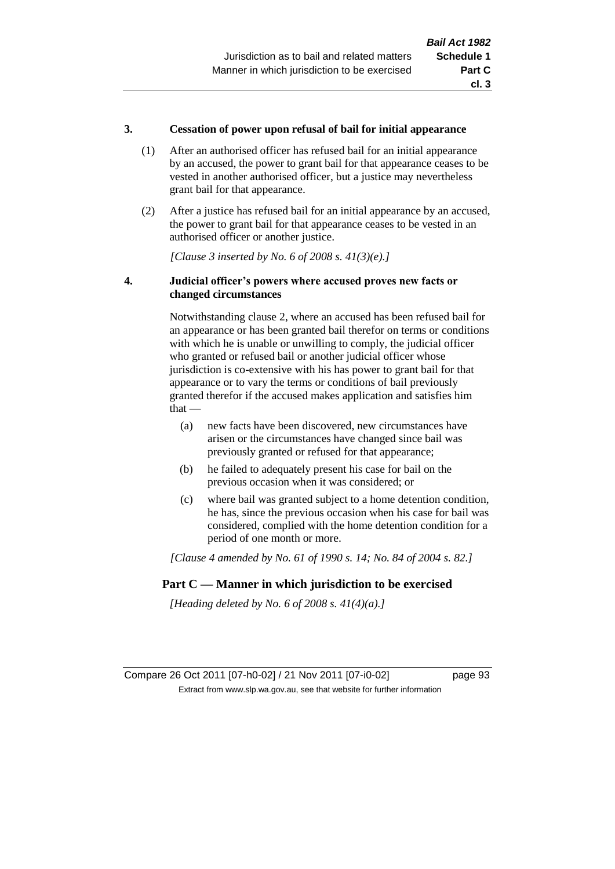### **3. Cessation of power upon refusal of bail for initial appearance**

- (1) After an authorised officer has refused bail for an initial appearance by an accused, the power to grant bail for that appearance ceases to be vested in another authorised officer, but a justice may nevertheless grant bail for that appearance.
- (2) After a justice has refused bail for an initial appearance by an accused, the power to grant bail for that appearance ceases to be vested in an authorised officer or another justice.

*[Clause 3 inserted by No. 6 of 2008 s. 41(3)(e).]*

### **4. Judicial officer's powers where accused proves new facts or changed circumstances**

Notwithstanding clause 2, where an accused has been refused bail for an appearance or has been granted bail therefor on terms or conditions with which he is unable or unwilling to comply, the judicial officer who granted or refused bail or another judicial officer whose jurisdiction is co-extensive with his has power to grant bail for that appearance or to vary the terms or conditions of bail previously granted therefor if the accused makes application and satisfies him  $that -$ 

- (a) new facts have been discovered, new circumstances have arisen or the circumstances have changed since bail was previously granted or refused for that appearance;
- (b) he failed to adequately present his case for bail on the previous occasion when it was considered; or
- (c) where bail was granted subject to a home detention condition, he has, since the previous occasion when his case for bail was considered, complied with the home detention condition for a period of one month or more.

*[Clause 4 amended by No. 61 of 1990 s. 14; No. 84 of 2004 s. 82.]*

# **Part C — Manner in which jurisdiction to be exercised**

*[Heading deleted by No. 6 of 2008 s. 41(4)(a).]*

Compare 26 Oct 2011 [07-h0-02] / 21 Nov 2011 [07-i0-02] page 93 Extract from www.slp.wa.gov.au, see that website for further information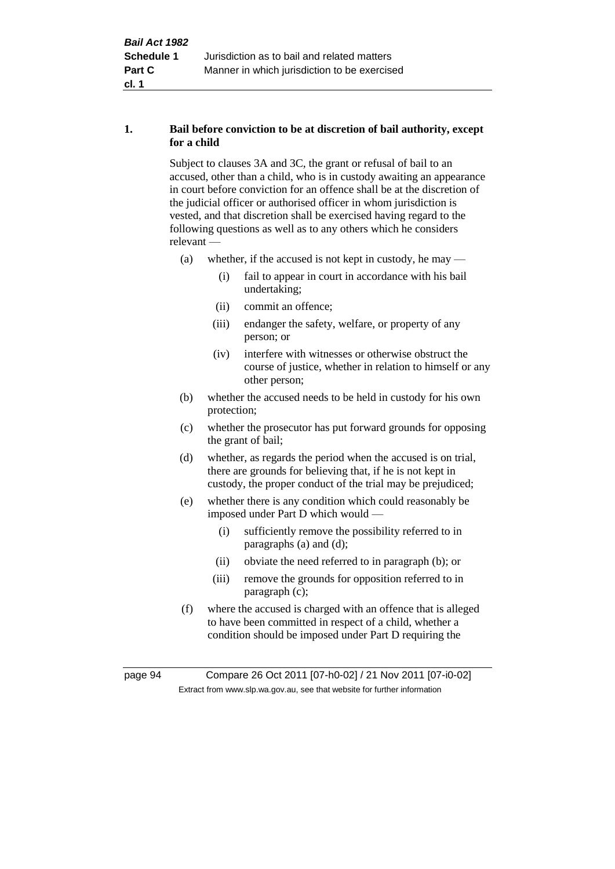# **1. Bail before conviction to be at discretion of bail authority, except for a child**

Subject to clauses 3A and 3C, the grant or refusal of bail to an accused, other than a child, who is in custody awaiting an appearance in court before conviction for an offence shall be at the discretion of the judicial officer or authorised officer in whom jurisdiction is vested, and that discretion shall be exercised having regard to the following questions as well as to any others which he considers relevant —

- (a) whether, if the accused is not kept in custody, he may
	- (i) fail to appear in court in accordance with his bail undertaking;
	- (ii) commit an offence;
	- (iii) endanger the safety, welfare, or property of any person; or
	- (iv) interfere with witnesses or otherwise obstruct the course of justice, whether in relation to himself or any other person;
- (b) whether the accused needs to be held in custody for his own protection;
- (c) whether the prosecutor has put forward grounds for opposing the grant of bail;
- (d) whether, as regards the period when the accused is on trial, there are grounds for believing that, if he is not kept in custody, the proper conduct of the trial may be prejudiced;
- (e) whether there is any condition which could reasonably be imposed under Part D which would —
	- (i) sufficiently remove the possibility referred to in paragraphs (a) and (d);
	- (ii) obviate the need referred to in paragraph (b); or
	- (iii) remove the grounds for opposition referred to in paragraph (c);
- (f) where the accused is charged with an offence that is alleged to have been committed in respect of a child, whether a condition should be imposed under Part D requiring the

page 94 Compare 26 Oct 2011 [07-h0-02] / 21 Nov 2011 [07-i0-02] Extract from www.slp.wa.gov.au, see that website for further information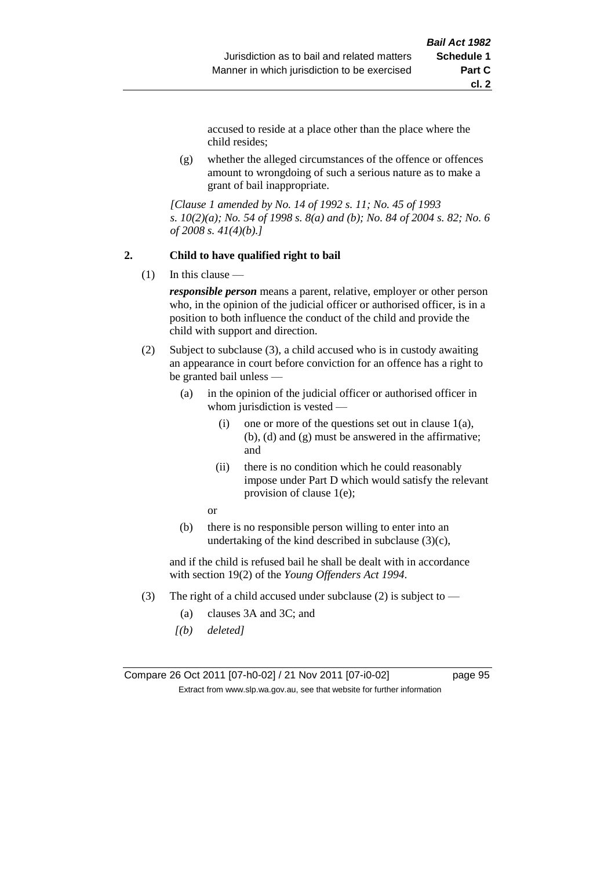accused to reside at a place other than the place where the child resides;

(g) whether the alleged circumstances of the offence or offences amount to wrongdoing of such a serious nature as to make a grant of bail inappropriate.

*[Clause 1 amended by No. 14 of 1992 s. 11; No. 45 of 1993 s. 10(2)(a); No. 54 of 1998 s. 8(a) and (b); No. 84 of 2004 s. 82; No. 6 of 2008 s. 41(4)(b).]*

#### **2. Child to have qualified right to bail**

 $(1)$  In this clause —

*responsible person* means a parent, relative, employer or other person who, in the opinion of the judicial officer or authorised officer, is in a position to both influence the conduct of the child and provide the child with support and direction.

- (2) Subject to subclause (3), a child accused who is in custody awaiting an appearance in court before conviction for an offence has a right to be granted bail unless —
	- (a) in the opinion of the judicial officer or authorised officer in whom jurisdiction is vested —
		- (i) one or more of the questions set out in clause  $1(a)$ , (b), (d) and (g) must be answered in the affirmative; and
		- (ii) there is no condition which he could reasonably impose under Part D which would satisfy the relevant provision of clause 1(e);
		- or
	- (b) there is no responsible person willing to enter into an undertaking of the kind described in subclause  $(3)(c)$ ,

and if the child is refused bail he shall be dealt with in accordance with section 19(2) of the *Young Offenders Act 1994*.

- (3) The right of a child accused under subclause (2) is subject to
	- (a) clauses 3A and 3C; and
	- *[(b) deleted]*

Compare 26 Oct 2011 [07-h0-02] / 21 Nov 2011 [07-i0-02] page 95 Extract from www.slp.wa.gov.au, see that website for further information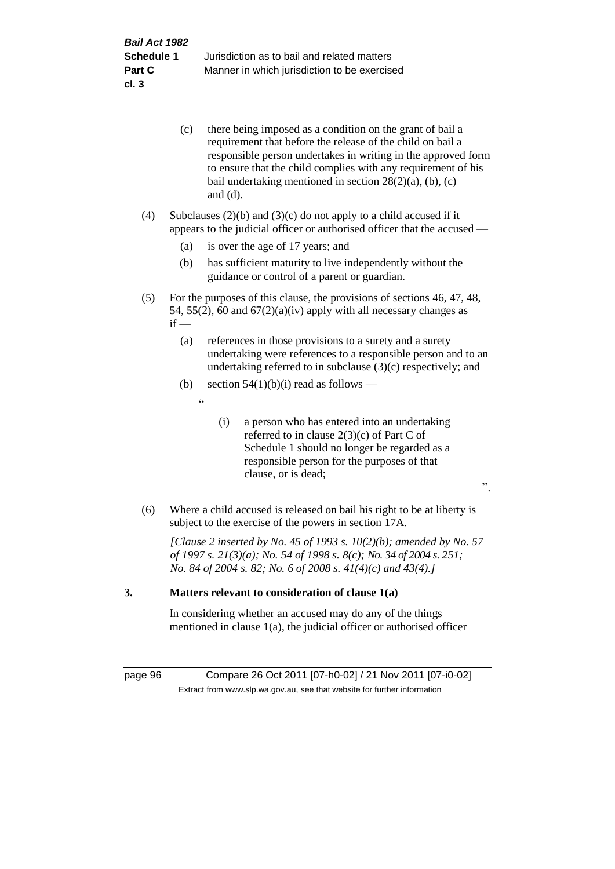|    |     | (c)    | there being imposed as a condition on the grant of bail a<br>requirement that before the release of the child on bail a<br>responsible person undertakes in writing in the approved form<br>to ensure that the child complies with any requirement of his<br>bail undertaking mentioned in section $28(2)(a)$ , (b), (c)<br>and $(d)$ . |
|----|-----|--------|-----------------------------------------------------------------------------------------------------------------------------------------------------------------------------------------------------------------------------------------------------------------------------------------------------------------------------------------|
|    | (4) |        | Subclauses $(2)(b)$ and $(3)(c)$ do not apply to a child accused if it<br>appears to the judicial officer or authorised officer that the accused —                                                                                                                                                                                      |
|    |     | (a)    | is over the age of 17 years; and                                                                                                                                                                                                                                                                                                        |
|    |     | (b)    | has sufficient maturity to live independently without the<br>guidance or control of a parent or guardian.                                                                                                                                                                                                                               |
|    | (5) | $if -$ | For the purposes of this clause, the provisions of sections 46, 47, 48,<br>54, 55(2), 60 and $67(2)(a)(iv)$ apply with all necessary changes as                                                                                                                                                                                         |
|    |     | (a)    | references in those provisions to a surety and a surety<br>undertaking were references to a responsible person and to an<br>undertaking referred to in subclause $(3)(c)$ respectively; and                                                                                                                                             |
|    |     | (b)    | section $54(1)(b)(i)$ read as follows —                                                                                                                                                                                                                                                                                                 |
|    |     |        | $\epsilon$                                                                                                                                                                                                                                                                                                                              |
|    |     |        | a person who has entered into an undertaking<br>(i)<br>referred to in clause $2(3)(c)$ of Part C of<br>Schedule 1 should no longer be regarded as a<br>responsible person for the purposes of that<br>clause, or is dead;<br>, 2, 3                                                                                                     |
|    | (6) |        | Where a child accused is released on bail his right to be at liberty is<br>subject to the exercise of the powers in section 17A.                                                                                                                                                                                                        |
|    |     |        | [Clause 2 inserted by No. 45 of 1993 s. $10(2)(b)$ ; amended by No. 57<br>of 1997 s. 21(3)(a); No. 54 of 1998 s. 8(c); No. 34 of 2004 s. 251;<br>No. 84 of 2004 s. 82; No. 6 of 2008 s. $41(4)(c)$ and $43(4).$                                                                                                                         |
| 3. |     |        | Matters relevant to consideration of clause 1(a)                                                                                                                                                                                                                                                                                        |

In considering whether an accused may do any of the things mentioned in clause 1(a), the judicial officer or authorised officer

page 96 Compare 26 Oct 2011 [07-h0-02] / 21 Nov 2011 [07-i0-02] Extract from www.slp.wa.gov.au, see that website for further information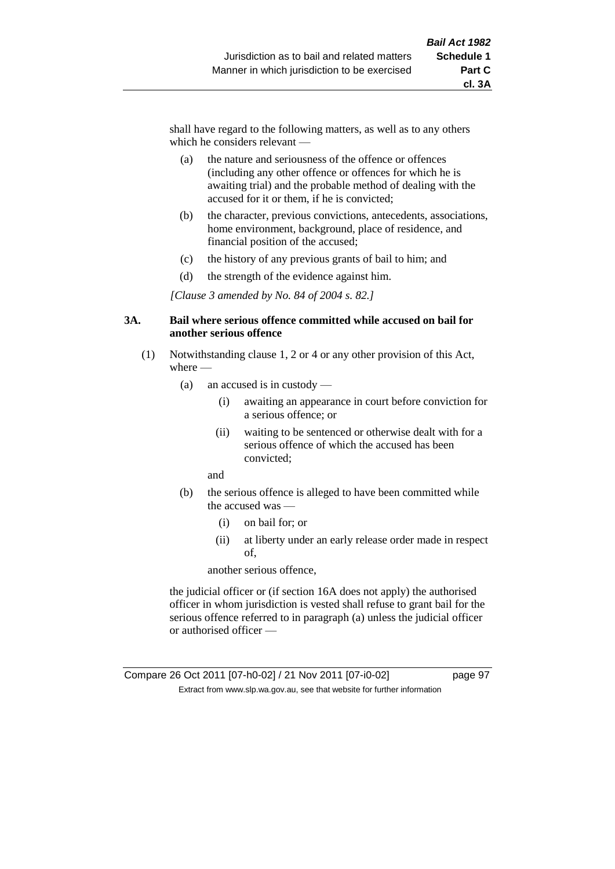shall have regard to the following matters, as well as to any others which he considers relevant —

- (a) the nature and seriousness of the offence or offences (including any other offence or offences for which he is awaiting trial) and the probable method of dealing with the accused for it or them, if he is convicted;
- (b) the character, previous convictions, antecedents, associations, home environment, background, place of residence, and financial position of the accused;
- (c) the history of any previous grants of bail to him; and
- (d) the strength of the evidence against him.

*[Clause 3 amended by No. 84 of 2004 s. 82.]*

#### **3A. Bail where serious offence committed while accused on bail for another serious offence**

- (1) Notwithstanding clause 1, 2 or 4 or any other provision of this Act, where —
	- (a) an accused is in custody
		- (i) awaiting an appearance in court before conviction for a serious offence; or
		- (ii) waiting to be sentenced or otherwise dealt with for a serious offence of which the accused has been convicted;

and

- (b) the serious offence is alleged to have been committed while the accused was —
	- (i) on bail for; or
	- (ii) at liberty under an early release order made in respect of,

another serious offence,

the judicial officer or (if section 16A does not apply) the authorised officer in whom jurisdiction is vested shall refuse to grant bail for the serious offence referred to in paragraph (a) unless the judicial officer or authorised officer —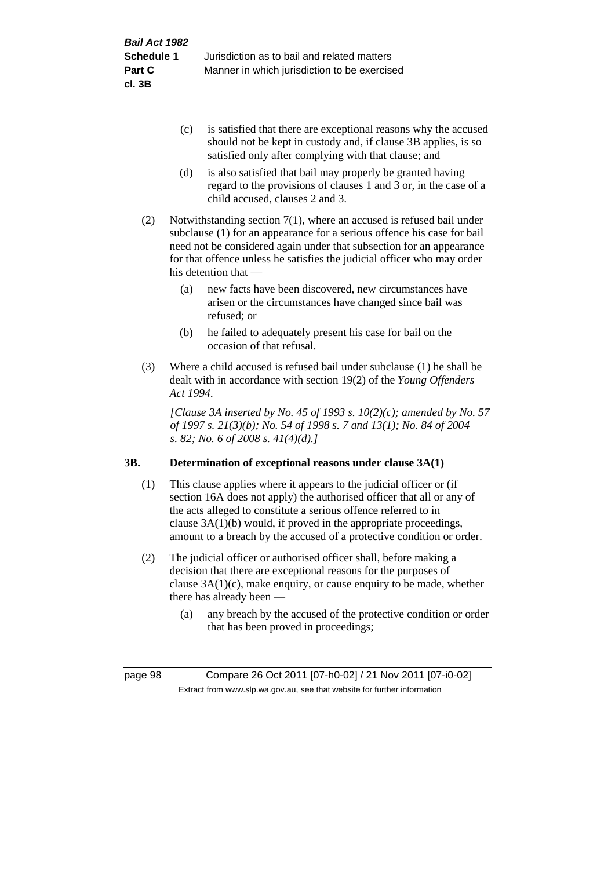- (c) is satisfied that there are exceptional reasons why the accused should not be kept in custody and, if clause 3B applies, is so satisfied only after complying with that clause; and
- (d) is also satisfied that bail may properly be granted having regard to the provisions of clauses 1 and 3 or, in the case of a child accused, clauses 2 and 3.
- (2) Notwithstanding section 7(1), where an accused is refused bail under subclause (1) for an appearance for a serious offence his case for bail need not be considered again under that subsection for an appearance for that offence unless he satisfies the judicial officer who may order his detention that —
	- (a) new facts have been discovered, new circumstances have arisen or the circumstances have changed since bail was refused; or
	- (b) he failed to adequately present his case for bail on the occasion of that refusal.
- (3) Where a child accused is refused bail under subclause (1) he shall be dealt with in accordance with section 19(2) of the *Young Offenders Act 1994*.

*[Clause 3A inserted by No. 45 of 1993 s. 10(2)(c); amended by No. 57 of 1997 s. 21(3)(b); No. 54 of 1998 s. 7 and 13(1); No. 84 of 2004 s. 82; No. 6 of 2008 s. 41(4)(d).]*

# **3B. Determination of exceptional reasons under clause 3A(1)**

- (1) This clause applies where it appears to the judicial officer or (if section 16A does not apply) the authorised officer that all or any of the acts alleged to constitute a serious offence referred to in clause 3A(1)(b) would, if proved in the appropriate proceedings, amount to a breach by the accused of a protective condition or order.
- (2) The judicial officer or authorised officer shall, before making a decision that there are exceptional reasons for the purposes of clause  $3A(1)(c)$ , make enquiry, or cause enquiry to be made, whether there has already been —
	- (a) any breach by the accused of the protective condition or order that has been proved in proceedings;

page 98 Compare 26 Oct 2011 [07-h0-02] / 21 Nov 2011 [07-i0-02] Extract from www.slp.wa.gov.au, see that website for further information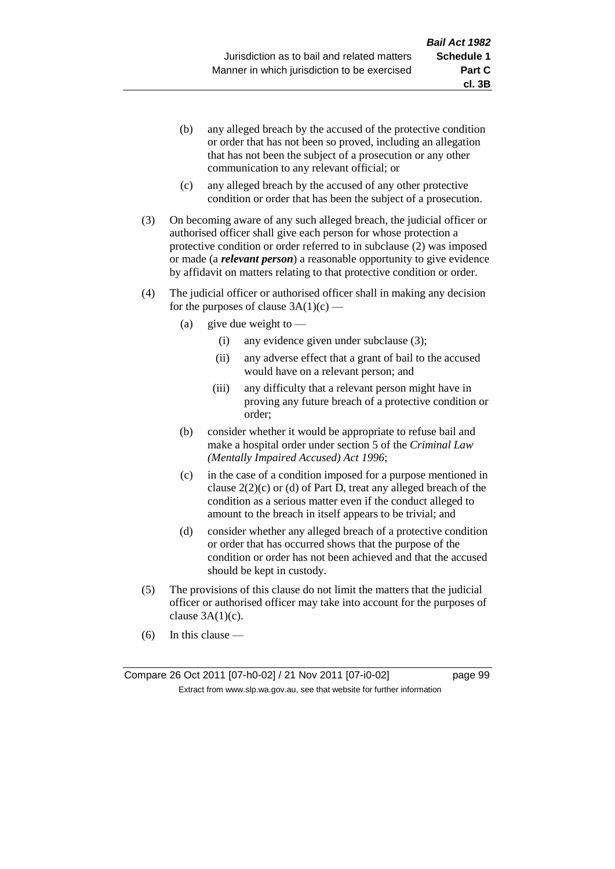- (b) any alleged breach by the accused of the protective condition or order that has not been so proved, including an allegation that has not been the subject of a prosecution or any other communication to any relevant official; or
- (c) any alleged breach by the accused of any other protective condition or order that has been the subject of a prosecution.
- (3) On becoming aware of any such alleged breach, the judicial officer or authorised officer shall give each person for whose protection a protective condition or order referred to in subclause (2) was imposed or made (a *relevant person*) a reasonable opportunity to give evidence by affidavit on matters relating to that protective condition or order.
- (4) The judicial officer or authorised officer shall in making any decision for the purposes of clause  $3A(1)(c)$  —
	- (a) give due weight to  $-$ 
		- (i) any evidence given under subclause (3);
		- (ii) any adverse effect that a grant of bail to the accused would have on a relevant person; and
		- (iii) any difficulty that a relevant person might have in proving any future breach of a protective condition or order;
	- (b) consider whether it would be appropriate to refuse bail and make a hospital order under section 5 of the *Criminal Law (Mentally Impaired Accused) Act 1996*;
	- (c) in the case of a condition imposed for a purpose mentioned in clause  $2(2)(c)$  or (d) of Part D, treat any alleged breach of the condition as a serious matter even if the conduct alleged to amount to the breach in itself appears to be trivial; and
	- (d) consider whether any alleged breach of a protective condition or order that has occurred shows that the purpose of the condition or order has not been achieved and that the accused should be kept in custody.
- (5) The provisions of this clause do not limit the matters that the judicial officer or authorised officer may take into account for the purposes of clause  $3A(1)(c)$ .
- (6) In this clause —

Compare 26 Oct 2011 [07-h0-02] / 21 Nov 2011 [07-i0-02] page 99 Extract from www.slp.wa.gov.au, see that website for further information

**cl. 3B**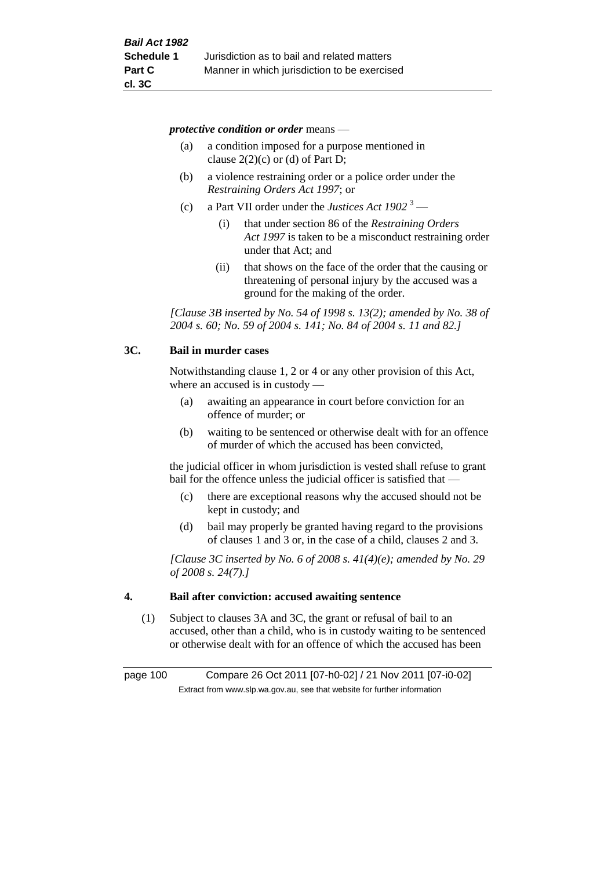*protective condition or order* means —

- (a) a condition imposed for a purpose mentioned in clause  $2(2)(c)$  or (d) of Part D;
- (b) a violence restraining order or a police order under the *Restraining Orders Act 1997*; or
- (c) a Part VII order under the *Justices Act 1902* <sup>3</sup>
	- (i) that under section 86 of the *Restraining Orders Act 1997* is taken to be a misconduct restraining order under that Act; and
	- (ii) that shows on the face of the order that the causing or threatening of personal injury by the accused was a ground for the making of the order.

*[Clause 3B inserted by No. 54 of 1998 s. 13(2); amended by No. 38 of 2004 s. 60; No. 59 of 2004 s. 141; No. 84 of 2004 s. 11 and 82.]*

### **3C. Bail in murder cases**

Notwithstanding clause 1, 2 or 4 or any other provision of this Act, where an accused is in custody —

- (a) awaiting an appearance in court before conviction for an offence of murder; or
- (b) waiting to be sentenced or otherwise dealt with for an offence of murder of which the accused has been convicted,

the judicial officer in whom jurisdiction is vested shall refuse to grant bail for the offence unless the judicial officer is satisfied that —

- (c) there are exceptional reasons why the accused should not be kept in custody; and
- (d) bail may properly be granted having regard to the provisions of clauses 1 and 3 or, in the case of a child, clauses 2 and 3.

*[Clause 3C inserted by No. 6 of 2008 s. 41(4)(e); amended by No. 29 of 2008 s. 24(7).]*

### **4. Bail after conviction: accused awaiting sentence**

(1) Subject to clauses 3A and 3C, the grant or refusal of bail to an accused, other than a child, who is in custody waiting to be sentenced or otherwise dealt with for an offence of which the accused has been

page 100 Compare 26 Oct 2011 [07-h0-02] / 21 Nov 2011 [07-i0-02] Extract from www.slp.wa.gov.au, see that website for further information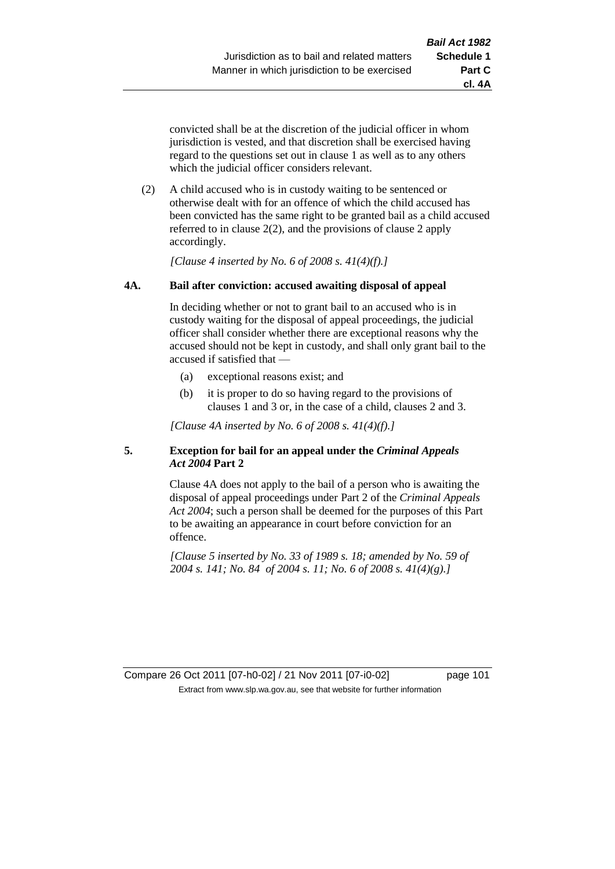**cl. 4A**

convicted shall be at the discretion of the judicial officer in whom jurisdiction is vested, and that discretion shall be exercised having regard to the questions set out in clause 1 as well as to any others which the judicial officer considers relevant.

(2) A child accused who is in custody waiting to be sentenced or otherwise dealt with for an offence of which the child accused has been convicted has the same right to be granted bail as a child accused referred to in clause 2(2), and the provisions of clause 2 apply accordingly.

*[Clause 4 inserted by No. 6 of 2008 s. 41(4)(f).]*

# **4A. Bail after conviction: accused awaiting disposal of appeal**

In deciding whether or not to grant bail to an accused who is in custody waiting for the disposal of appeal proceedings, the judicial officer shall consider whether there are exceptional reasons why the accused should not be kept in custody, and shall only grant bail to the accused if satisfied that —

- (a) exceptional reasons exist; and
- (b) it is proper to do so having regard to the provisions of clauses 1 and 3 or, in the case of a child, clauses 2 and 3.

*[Clause 4A inserted by No. 6 of 2008 s. 41(4)(f).]*

# **5. Exception for bail for an appeal under the** *Criminal Appeals Act 2004* **Part 2**

Clause 4A does not apply to the bail of a person who is awaiting the disposal of appeal proceedings under Part 2 of the *Criminal Appeals Act 2004*; such a person shall be deemed for the purposes of this Part to be awaiting an appearance in court before conviction for an offence.

*[Clause 5 inserted by No. 33 of 1989 s. 18; amended by No. 59 of 2004 s. 141; No. 84 of 2004 s. 11; No. 6 of 2008 s. 41(4)(g).]*

Compare 26 Oct 2011 [07-h0-02] / 21 Nov 2011 [07-i0-02] page 101 Extract from www.slp.wa.gov.au, see that website for further information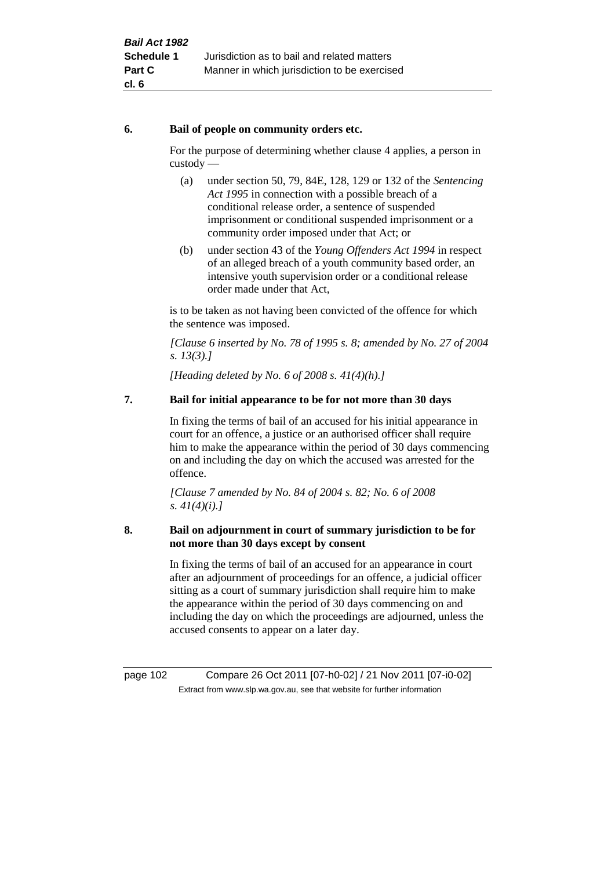# **6. Bail of people on community orders etc.**

For the purpose of determining whether clause 4 applies, a person in custody —

- (a) under section 50, 79, 84E, 128, 129 or 132 of the *Sentencing Act 1995* in connection with a possible breach of a conditional release order, a sentence of suspended imprisonment or conditional suspended imprisonment or a community order imposed under that Act; or
- (b) under section 43 of the *Young Offenders Act 1994* in respect of an alleged breach of a youth community based order, an intensive youth supervision order or a conditional release order made under that Act,

is to be taken as not having been convicted of the offence for which the sentence was imposed.

*[Clause 6 inserted by No. 78 of 1995 s. 8; amended by No. 27 of 2004 s. 13(3).]*

*[Heading deleted by No. 6 of 2008 s. 41(4)(h).]*

# **7. Bail for initial appearance to be for not more than 30 days**

In fixing the terms of bail of an accused for his initial appearance in court for an offence, a justice or an authorised officer shall require him to make the appearance within the period of 30 days commencing on and including the day on which the accused was arrested for the offence.

*[Clause 7 amended by No. 84 of 2004 s. 82; No. 6 of 2008 s. 41(4)(i).]*

# **8. Bail on adjournment in court of summary jurisdiction to be for not more than 30 days except by consent**

In fixing the terms of bail of an accused for an appearance in court after an adjournment of proceedings for an offence, a judicial officer sitting as a court of summary jurisdiction shall require him to make the appearance within the period of 30 days commencing on and including the day on which the proceedings are adjourned, unless the accused consents to appear on a later day.

page 102 Compare 26 Oct 2011 [07-h0-02] / 21 Nov 2011 [07-i0-02] Extract from www.slp.wa.gov.au, see that website for further information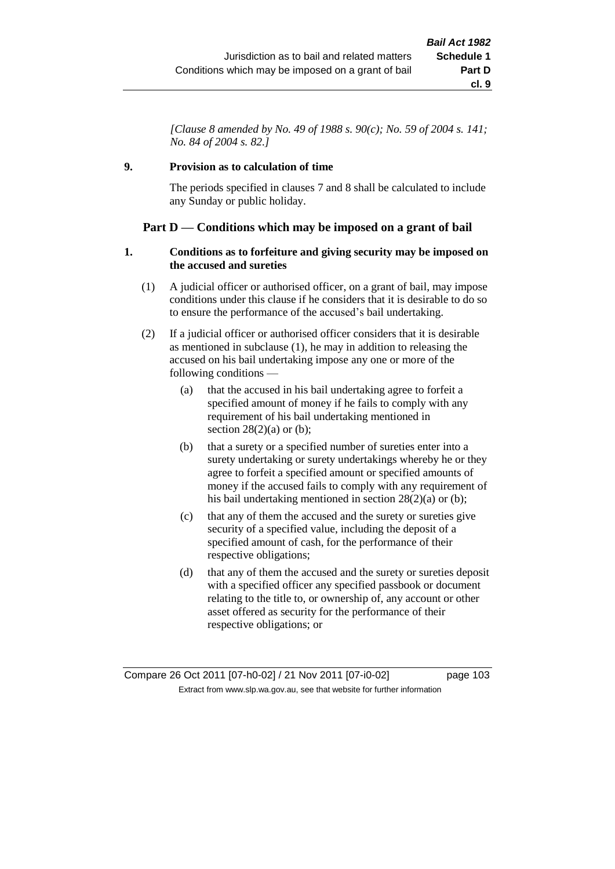*[Clause 8 amended by No. 49 of 1988 s. 90(c); No. 59 of 2004 s. 141; No. 84 of 2004 s. 82.]*

# **9. Provision as to calculation of time**

The periods specified in clauses 7 and 8 shall be calculated to include any Sunday or public holiday.

# **Part D — Conditions which may be imposed on a grant of bail**

### **1. Conditions as to forfeiture and giving security may be imposed on the accused and sureties**

- (1) A judicial officer or authorised officer, on a grant of bail, may impose conditions under this clause if he considers that it is desirable to do so to ensure the performance of the accused's bail undertaking.
- (2) If a judicial officer or authorised officer considers that it is desirable as mentioned in subclause (1), he may in addition to releasing the accused on his bail undertaking impose any one or more of the following conditions —
	- (a) that the accused in his bail undertaking agree to forfeit a specified amount of money if he fails to comply with any requirement of his bail undertaking mentioned in section  $28(2)(a)$  or (b);
	- (b) that a surety or a specified number of sureties enter into a surety undertaking or surety undertakings whereby he or they agree to forfeit a specified amount or specified amounts of money if the accused fails to comply with any requirement of his bail undertaking mentioned in section 28(2)(a) or (b);
	- (c) that any of them the accused and the surety or sureties give security of a specified value, including the deposit of a specified amount of cash, for the performance of their respective obligations;
	- (d) that any of them the accused and the surety or sureties deposit with a specified officer any specified passbook or document relating to the title to, or ownership of, any account or other asset offered as security for the performance of their respective obligations; or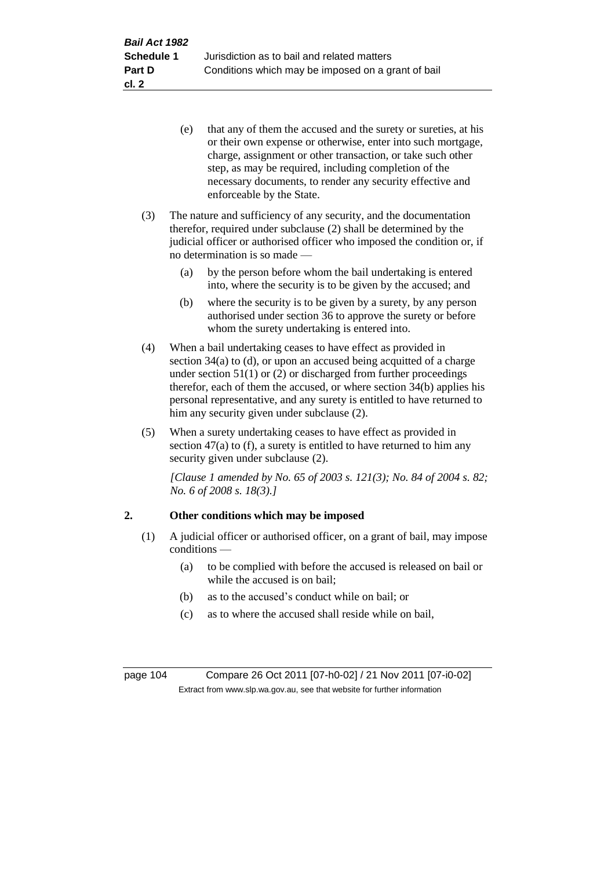- (e) that any of them the accused and the surety or sureties, at his or their own expense or otherwise, enter into such mortgage, charge, assignment or other transaction, or take such other step, as may be required, including completion of the necessary documents, to render any security effective and enforceable by the State.
- (3) The nature and sufficiency of any security, and the documentation therefor, required under subclause (2) shall be determined by the judicial officer or authorised officer who imposed the condition or, if no determination is so made —
	- (a) by the person before whom the bail undertaking is entered into, where the security is to be given by the accused; and
	- (b) where the security is to be given by a surety, by any person authorised under section 36 to approve the surety or before whom the surety undertaking is entered into.
- (4) When a bail undertaking ceases to have effect as provided in section 34(a) to (d), or upon an accused being acquitted of a charge under section  $51(1)$  or (2) or discharged from further proceedings therefor, each of them the accused, or where section 34(b) applies his personal representative, and any surety is entitled to have returned to him any security given under subclause (2).
- (5) When a surety undertaking ceases to have effect as provided in section  $47(a)$  to (f), a surety is entitled to have returned to him any security given under subclause (2).

*[Clause 1 amended by No. 65 of 2003 s. 121(3); No. 84 of 2004 s. 82; No. 6 of 2008 s. 18(3).]*

# **2. Other conditions which may be imposed**

- (1) A judicial officer or authorised officer, on a grant of bail, may impose conditions —
	- (a) to be complied with before the accused is released on bail or while the accused is on bail;
	- (b) as to the accused's conduct while on bail; or
	- (c) as to where the accused shall reside while on bail,

page 104 Compare 26 Oct 2011 [07-h0-02] / 21 Nov 2011 [07-i0-02] Extract from www.slp.wa.gov.au, see that website for further information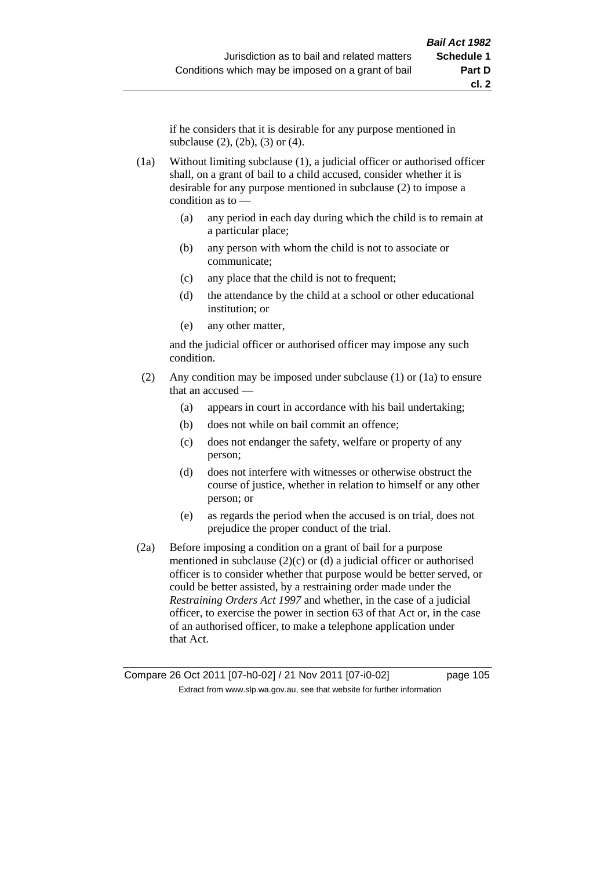if he considers that it is desirable for any purpose mentioned in subclause (2), (2b), (3) or (4).

- (1a) Without limiting subclause (1), a judicial officer or authorised officer shall, on a grant of bail to a child accused, consider whether it is desirable for any purpose mentioned in subclause (2) to impose a condition as to —
	- (a) any period in each day during which the child is to remain at a particular place;
	- (b) any person with whom the child is not to associate or communicate;
	- (c) any place that the child is not to frequent;
	- (d) the attendance by the child at a school or other educational institution; or
	- (e) any other matter,

and the judicial officer or authorised officer may impose any such condition.

- (2) Any condition may be imposed under subclause (1) or (1a) to ensure that an accused —
	- (a) appears in court in accordance with his bail undertaking;
	- (b) does not while on bail commit an offence;
	- (c) does not endanger the safety, welfare or property of any person;
	- (d) does not interfere with witnesses or otherwise obstruct the course of justice, whether in relation to himself or any other person; or
	- (e) as regards the period when the accused is on trial, does not prejudice the proper conduct of the trial.
- (2a) Before imposing a condition on a grant of bail for a purpose mentioned in subclause  $(2)(c)$  or  $(d)$  a judicial officer or authorised officer is to consider whether that purpose would be better served, or could be better assisted, by a restraining order made under the *Restraining Orders Act 1997* and whether, in the case of a judicial officer, to exercise the power in section 63 of that Act or, in the case of an authorised officer, to make a telephone application under that Act.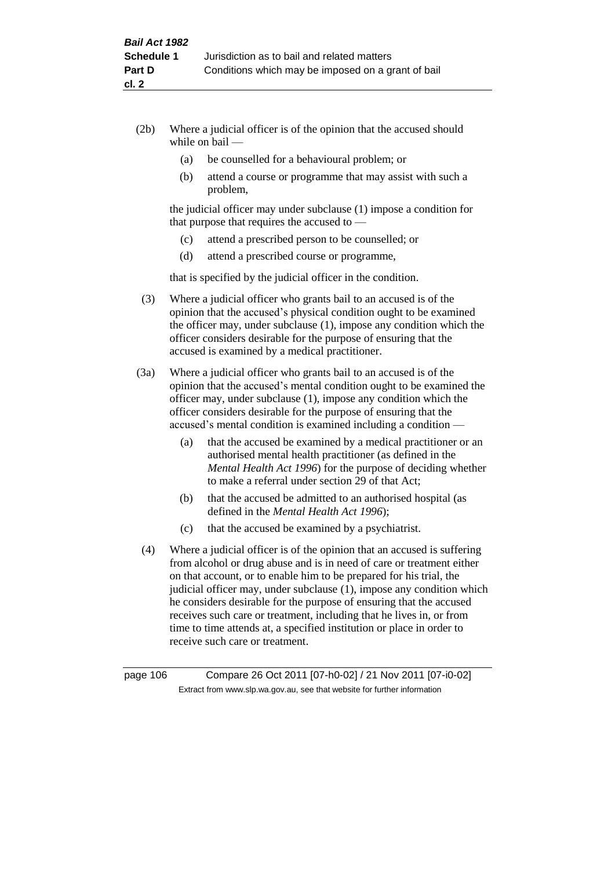- (2b) Where a judicial officer is of the opinion that the accused should while on bail —
	- (a) be counselled for a behavioural problem; or
	- (b) attend a course or programme that may assist with such a problem,

the judicial officer may under subclause (1) impose a condition for that purpose that requires the accused to —

- (c) attend a prescribed person to be counselled; or
- (d) attend a prescribed course or programme,

that is specified by the judicial officer in the condition.

- (3) Where a judicial officer who grants bail to an accused is of the opinion that the accused's physical condition ought to be examined the officer may, under subclause (1), impose any condition which the officer considers desirable for the purpose of ensuring that the accused is examined by a medical practitioner.
- (3a) Where a judicial officer who grants bail to an accused is of the opinion that the accused's mental condition ought to be examined the officer may, under subclause (1), impose any condition which the officer considers desirable for the purpose of ensuring that the accused's mental condition is examined including a condition —
	- (a) that the accused be examined by a medical practitioner or an authorised mental health practitioner (as defined in the *Mental Health Act 1996*) for the purpose of deciding whether to make a referral under section 29 of that Act;
	- (b) that the accused be admitted to an authorised hospital (as defined in the *Mental Health Act 1996*);
	- (c) that the accused be examined by a psychiatrist.
- (4) Where a judicial officer is of the opinion that an accused is suffering from alcohol or drug abuse and is in need of care or treatment either on that account, or to enable him to be prepared for his trial, the judicial officer may, under subclause (1), impose any condition which he considers desirable for the purpose of ensuring that the accused receives such care or treatment, including that he lives in, or from time to time attends at, a specified institution or place in order to receive such care or treatment.

page 106 Compare 26 Oct 2011 [07-h0-02] / 21 Nov 2011 [07-i0-02] Extract from www.slp.wa.gov.au, see that website for further information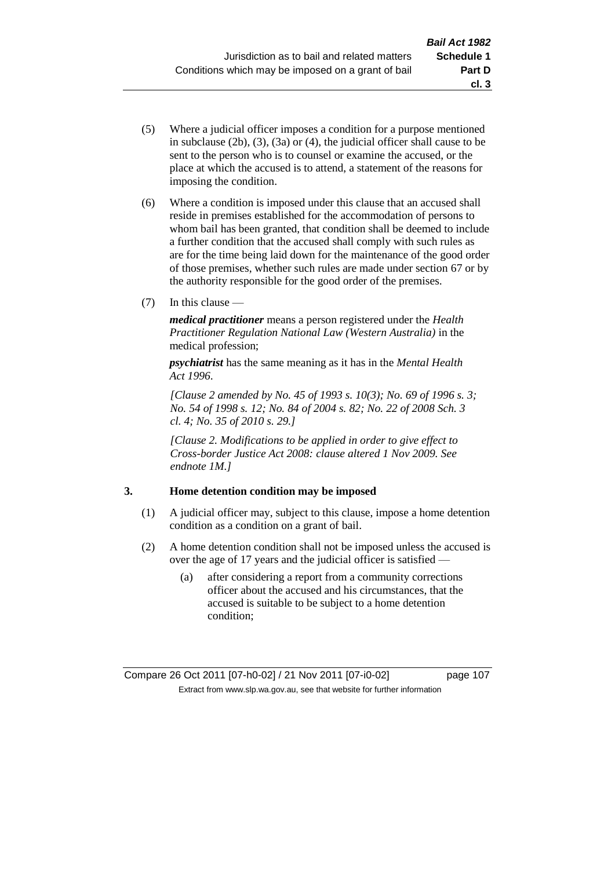- (5) Where a judicial officer imposes a condition for a purpose mentioned in subclause (2b), (3), (3a) or (4), the judicial officer shall cause to be sent to the person who is to counsel or examine the accused, or the place at which the accused is to attend, a statement of the reasons for imposing the condition.
- (6) Where a condition is imposed under this clause that an accused shall reside in premises established for the accommodation of persons to whom bail has been granted, that condition shall be deemed to include a further condition that the accused shall comply with such rules as are for the time being laid down for the maintenance of the good order of those premises, whether such rules are made under section 67 or by the authority responsible for the good order of the premises.
- (7) In this clause —

*medical practitioner* means a person registered under the *Health Practitioner Regulation National Law (Western Australia)* in the medical profession;

*psychiatrist* has the same meaning as it has in the *Mental Health Act 1996*.

*[Clause 2 amended by No. 45 of 1993 s. 10(3); No. 69 of 1996 s. 3; No. 54 of 1998 s. 12; No. 84 of 2004 s. 82; No. 22 of 2008 Sch. 3 cl. 4; No. 35 of 2010 s. 29.]*

*[Clause 2. Modifications to be applied in order to give effect to Cross-border Justice Act 2008: clause altered 1 Nov 2009. See endnote 1M.]*

# **3. Home detention condition may be imposed**

- (1) A judicial officer may, subject to this clause, impose a home detention condition as a condition on a grant of bail.
- (2) A home detention condition shall not be imposed unless the accused is over the age of 17 years and the judicial officer is satisfied —
	- (a) after considering a report from a community corrections officer about the accused and his circumstances, that the accused is suitable to be subject to a home detention condition;

**cl. 3**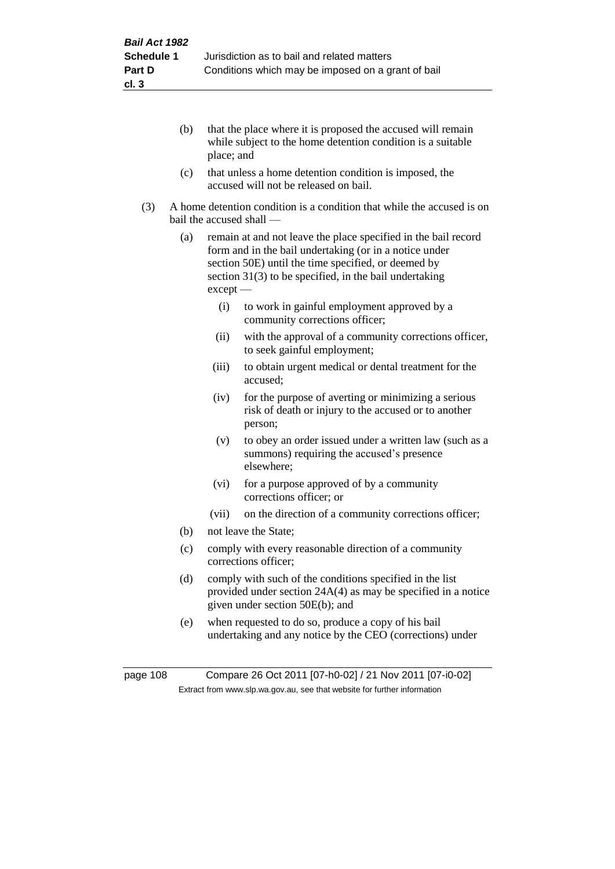- (b) that the place where it is proposed the accused will remain while subject to the home detention condition is a suitable place; and
- (c) that unless a home detention condition is imposed, the accused will not be released on bail.
- (3) A home detention condition is a condition that while the accused is on bail the accused shall —
	- (a) remain at and not leave the place specified in the bail record form and in the bail undertaking (or in a notice under section 50E) until the time specified, or deemed by section 31(3) to be specified, in the bail undertaking except —
		- (i) to work in gainful employment approved by a community corrections officer;
		- (ii) with the approval of a community corrections officer, to seek gainful employment;
		- (iii) to obtain urgent medical or dental treatment for the accused;
		- (iv) for the purpose of averting or minimizing a serious risk of death or injury to the accused or to another person;
		- (v) to obey an order issued under a written law (such as a summons) requiring the accused's presence elsewhere;
		- (vi) for a purpose approved of by a community corrections officer; or
		- (vii) on the direction of a community corrections officer;
	- (b) not leave the State;
	- (c) comply with every reasonable direction of a community corrections officer;
	- (d) comply with such of the conditions specified in the list provided under section 24A(4) as may be specified in a notice given under section 50E(b); and
	- (e) when requested to do so, produce a copy of his bail undertaking and any notice by the CEO (corrections) under

page 108 Compare 26 Oct 2011 [07-h0-02] / 21 Nov 2011 [07-i0-02] Extract from www.slp.wa.gov.au, see that website for further information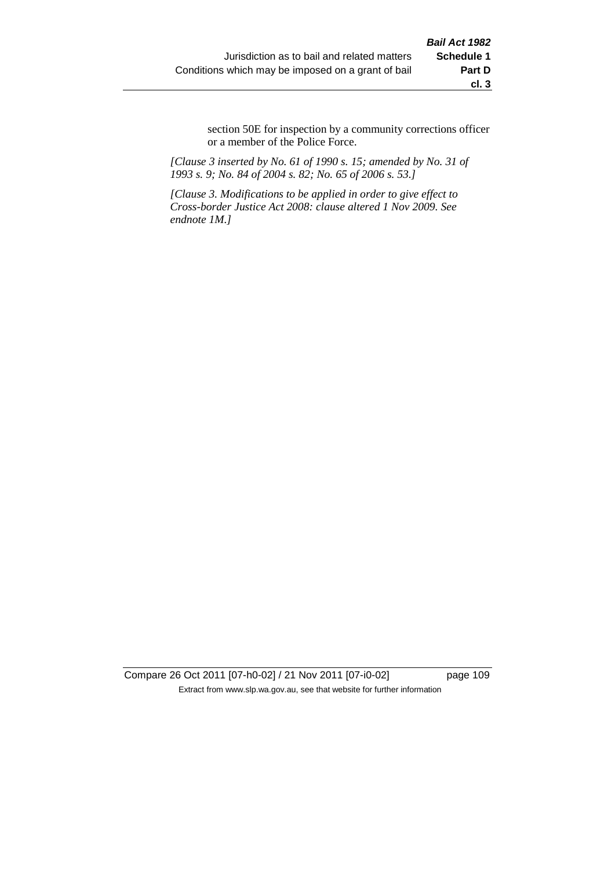section 50E for inspection by a community corrections officer or a member of the Police Force.

*[Clause 3 inserted by No. 61 of 1990 s. 15; amended by No. 31 of 1993 s. 9; No. 84 of 2004 s. 82; No. 65 of 2006 s. 53.]*

*[Clause 3. Modifications to be applied in order to give effect to Cross-border Justice Act 2008: clause altered 1 Nov 2009. See endnote 1M.]*

Compare 26 Oct 2011 [07-h0-02] / 21 Nov 2011 [07-i0-02] page 109 Extract from www.slp.wa.gov.au, see that website for further information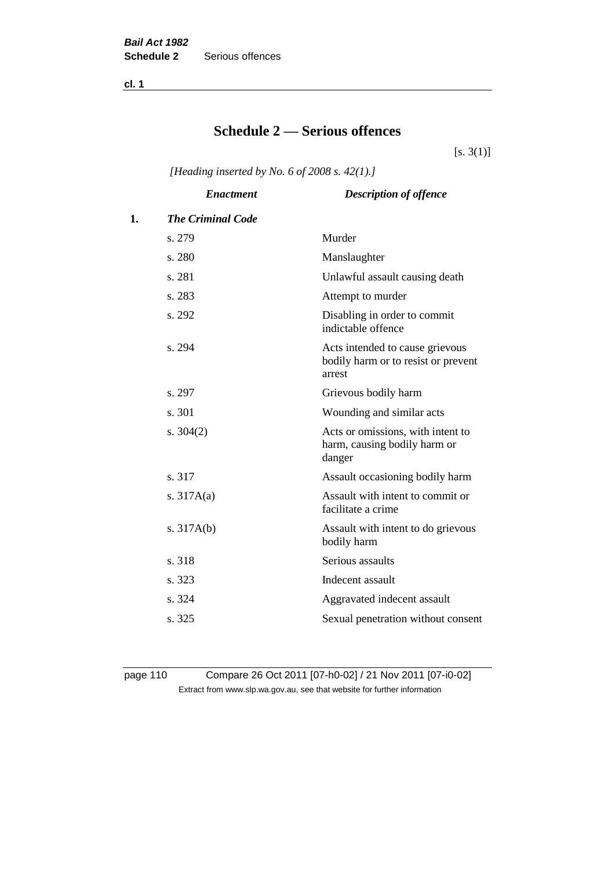**cl. 1**

# **Schedule 2 — Serious offences**

 $[s. 3(1)]$ 

*[Heading inserted by No. 6 of 2008 s. 42(1).]*

|    | <b>Enactment</b>         | <b>Description of offence</b>                                                    |
|----|--------------------------|----------------------------------------------------------------------------------|
| 1. | <b>The Criminal Code</b> |                                                                                  |
|    | s. 279                   | Murder                                                                           |
|    | s. 280                   | Manslaughter                                                                     |
|    | s. 281                   | Unlawful assault causing death                                                   |
|    | s. 283                   | Attempt to murder                                                                |
|    | s. 292                   | Disabling in order to commit<br>indictable offence                               |
|    | s. 294                   | Acts intended to cause grievous<br>bodily harm or to resist or prevent<br>arrest |
|    | s. 297                   | Grievous bodily harm                                                             |
|    | s. 301                   | Wounding and similar acts                                                        |
|    | s. $304(2)$              | Acts or omissions, with intent to<br>harm, causing bodily harm or<br>danger      |
|    | s. 317                   | Assault occasioning bodily harm                                                  |
|    | s. $317A(a)$             | Assault with intent to commit or<br>facilitate a crime                           |
|    | s. $317A(b)$             | Assault with intent to do grievous<br>bodily harm                                |
|    | s. 318                   | Serious assaults                                                                 |
|    | s. 323                   | Indecent assault                                                                 |
|    | s. 324                   | Aggravated indecent assault                                                      |
|    | s. 325                   | Sexual penetration without consent                                               |
|    |                          |                                                                                  |

page 110 Compare 26 Oct 2011 [07-h0-02] / 21 Nov 2011 [07-i0-02] Extract from www.slp.wa.gov.au, see that website for further information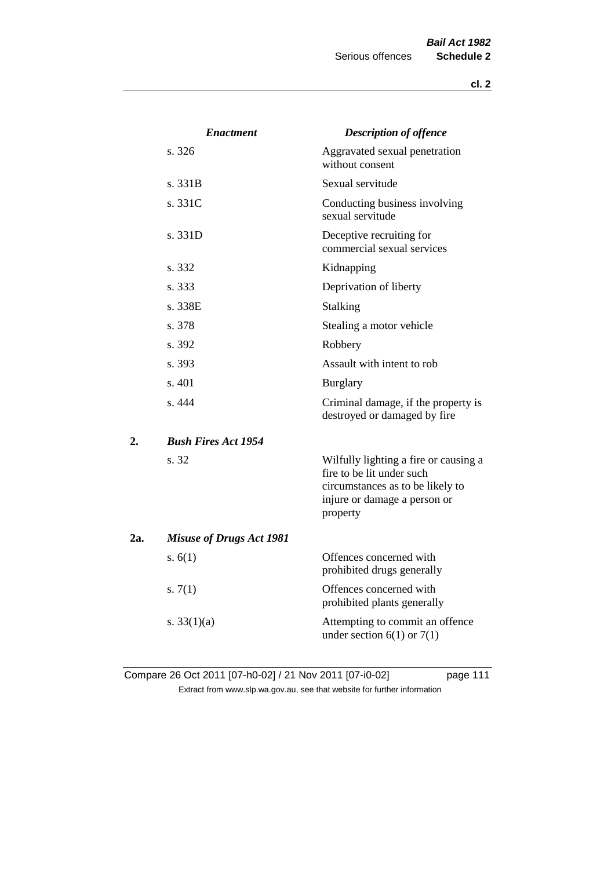|     | <b>Enactment</b>                | <b>Description of offence</b>                                                                                                                      |
|-----|---------------------------------|----------------------------------------------------------------------------------------------------------------------------------------------------|
|     | s. 326                          | Aggravated sexual penetration<br>without consent                                                                                                   |
|     | s. 331B                         | Sexual servitude                                                                                                                                   |
|     | s. 331C                         | Conducting business involving<br>sexual servitude                                                                                                  |
|     | s. 331D                         | Deceptive recruiting for<br>commercial sexual services                                                                                             |
|     | s. 332                          | Kidnapping                                                                                                                                         |
|     | s. 333                          | Deprivation of liberty                                                                                                                             |
|     | s. 338E                         | <b>Stalking</b>                                                                                                                                    |
|     | s. 378                          | Stealing a motor vehicle                                                                                                                           |
|     | s. 392                          | Robbery                                                                                                                                            |
|     | s. 393                          | Assault with intent to rob                                                                                                                         |
|     | s. 401                          | <b>Burglary</b>                                                                                                                                    |
|     | s. 444                          | Criminal damage, if the property is<br>destroyed or damaged by fire                                                                                |
| 2.  | <b>Bush Fires Act 1954</b>      |                                                                                                                                                    |
|     | s. 32                           | Wilfully lighting a fire or causing a<br>fire to be lit under such<br>circumstances as to be likely to<br>injure or damage a person or<br>property |
| 2a. | <b>Misuse of Drugs Act 1981</b> |                                                                                                                                                    |
|     | s. $6(1)$                       | Offences concerned with<br>prohibited drugs generally                                                                                              |
|     | s. $7(1)$                       | Offences concerned with<br>prohibited plants generally                                                                                             |
|     | s. $33(1)(a)$                   | Attempting to commit an offence<br>under section $6(1)$ or $7(1)$                                                                                  |

Compare 26 Oct 2011 [07-h0-02] / 21 Nov 2011 [07-i0-02] page 111 Extract from www.slp.wa.gov.au, see that website for further information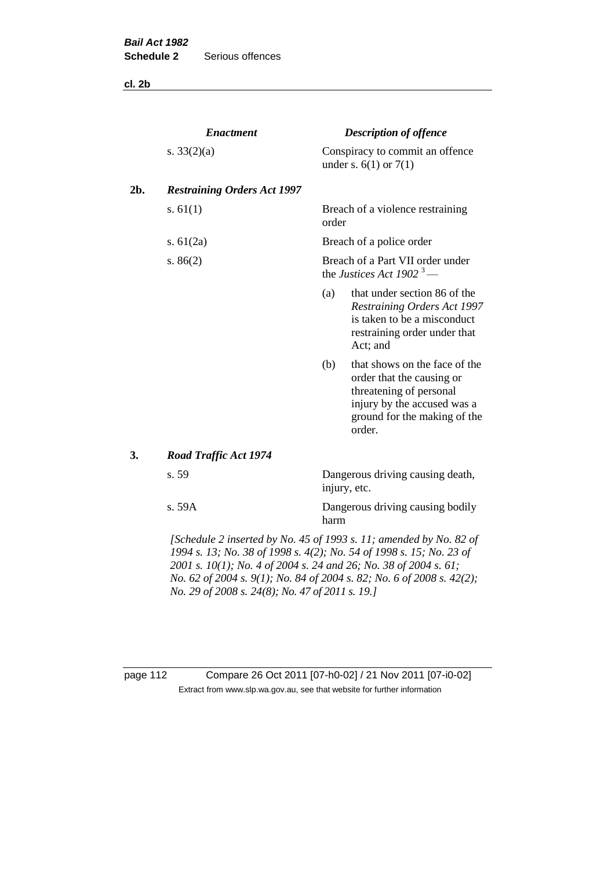**cl. 2b**

|     | <b>Enactment</b>                                                   |                                                  | <b>Description of offence</b>                                                                                                                                  |
|-----|--------------------------------------------------------------------|--------------------------------------------------|----------------------------------------------------------------------------------------------------------------------------------------------------------------|
|     | s. $33(2)(a)$                                                      |                                                  | Conspiracy to commit an offence<br>under s. $6(1)$ or $7(1)$                                                                                                   |
| 2b. | <b>Restraining Orders Act 1997</b>                                 |                                                  |                                                                                                                                                                |
|     | s. $61(1)$                                                         | order                                            | Breach of a violence restraining                                                                                                                               |
|     | s. $61(2a)$                                                        |                                                  | Breach of a police order                                                                                                                                       |
|     | s. $86(2)$                                                         |                                                  | Breach of a Part VII order under<br>the Justices Act 1902 <sup>3</sup> —                                                                                       |
|     |                                                                    | (a)                                              | that under section 86 of the<br>Restraining Orders Act 1997<br>is taken to be a misconduct<br>restraining order under that<br>Act; and                         |
|     |                                                                    | (b)                                              | that shows on the face of the<br>order that the causing or<br>threatening of personal<br>injury by the accused was a<br>ground for the making of the<br>order. |
| 3.  | <b>Road Traffic Act 1974</b>                                       |                                                  |                                                                                                                                                                |
|     | s. 59                                                              | Dangerous driving causing death,<br>injury, etc. |                                                                                                                                                                |
|     | s. 59A                                                             | harm                                             | Dangerous driving causing bodily                                                                                                                               |
|     | [Schedule 2 inserted by No. 45 of 1993 s. 11; amended by No. 82 of |                                                  |                                                                                                                                                                |

*1994 s. 13; No. 38 of 1998 s. 4(2); No. 54 of 1998 s. 15; No. 23 of 2001 s. 10(1); No. 4 of 2004 s. 24 and 26; No. 38 of 2004 s. 61; No. 62 of 2004 s. 9(1); No. 84 of 2004 s. 82; No. 6 of 2008 s. 42(2); No. 29 of 2008 s. 24(8); No. 47 of 2011 s. 19.]* 

page 112 Compare 26 Oct 2011 [07-h0-02] / 21 Nov 2011 [07-i0-02] Extract from www.slp.wa.gov.au, see that website for further information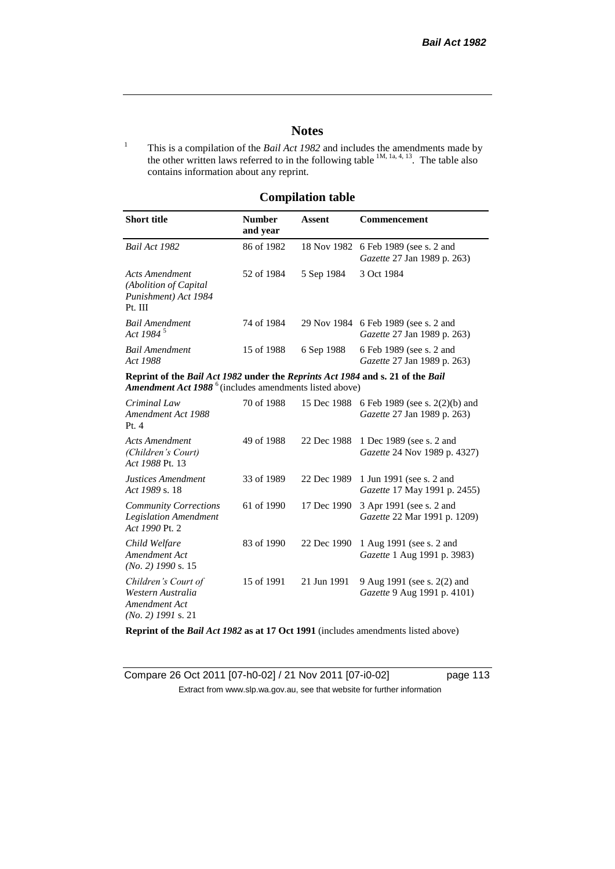# **Notes**

<sup>1</sup> This is a compilation of the *Bail Act 1982* and includes the amendments made by the other written laws referred to in the following table  $1M$ ,  $1a$ ,  $4$ ,  $13$ . The table also contains information about any reprint.

# **Compilation table**

| <b>Short title</b>                                                                                                                                          | <b>Number</b><br>and year | Assent      | Commencement                                                               |
|-------------------------------------------------------------------------------------------------------------------------------------------------------------|---------------------------|-------------|----------------------------------------------------------------------------|
| Bail Act 1982                                                                                                                                               | 86 of 1982                |             | 18 Nov 1982 6 Feb 1989 (see s. 2 and<br><i>Gazette</i> 27 Jan 1989 p. 263) |
| <b>Acts Amendment</b><br>(Abolition of Capital)<br>Punishment) Act 1984<br>Pt. III                                                                          | 52 of 1984                | 5 Sep 1984  | 3 Oct 1984                                                                 |
| <b>Bail Amendment</b><br>Act 1984 $^{\circ}$                                                                                                                | 74 of 1984                |             | 29 Nov 1984 6 Feb 1989 (see s. 2 and<br><i>Gazette</i> 27 Jan 1989 p. 263) |
| <b>Bail Amendment</b><br>Act 1988                                                                                                                           | 15 of 1988                | 6 Sep 1988  | 6 Feb 1989 (see s. 2 and<br><i>Gazette</i> 27 Jan 1989 p. 263)             |
| Reprint of the Bail Act 1982 under the Reprints Act 1984 and s. 21 of the Bail<br><b>Amendment Act 1988</b> <sup>6</sup> (includes amendments listed above) |                           |             |                                                                            |
| Criminal Law<br>Amendment Act 1988<br>Pt.4                                                                                                                  | 70 of 1988                | 15 Dec 1988 | 6 Feb 1989 (see s. $2(2)(b)$ ) and<br><i>Gazette</i> 27 Jan 1989 p. 263)   |
| Acts Amendment<br>$(Clol:Idtrans' \circ Clout)$                                                                                                             | 49 of 1988                |             | 22 Dec 1988 1 Dec 1989 (see s. 2 and<br>$Causta 24$ Nov 1080 n 4227)       |

| (Children's Court)<br>Act 1988 Pt. 13                                             |            |             | <i>Gazette</i> 24 Nov 1989 p. 4327)                                         |
|-----------------------------------------------------------------------------------|------------|-------------|-----------------------------------------------------------------------------|
| Justices Amendment<br>Act 1989 s. 18                                              | 33 of 1989 |             | 22 Dec 1989 1 Jun 1991 (see s. 2 and<br><i>Gazette</i> 17 May 1991 p. 2455) |
| <b>Community Corrections</b><br><b>Legislation Amendment</b><br>Act 1990 Pt. 2    | 61 of 1990 | 17 Dec 1990 | 3 Apr 1991 (see s. 2 and<br><i>Gazette</i> 22 Mar 1991 p. 1209)             |
| Child Welfare<br>Amendment Act<br>$(No. 2)$ 1990 s. 15                            | 83 of 1990 | 22 Dec 1990 | 1 Aug 1991 (see s. 2 and<br>Gazette 1 Aug 1991 p. 3983)                     |
| Children's Court of<br>Western Australia<br>Amendment Act<br>$(No. 2)$ 1991 s. 21 | 15 of 1991 | 21 Jun 1991 | 9 Aug 1991 (see s. 2(2) and<br><i>Gazette</i> 9 Aug 1991 p. 4101)           |

**Reprint of the** *Bail Act 1982* **as at 17 Oct 1991** (includes amendments listed above)

Compare 26 Oct 2011 [07-h0-02] / 21 Nov 2011 [07-i0-02] page 113 Extract from www.slp.wa.gov.au, see that website for further information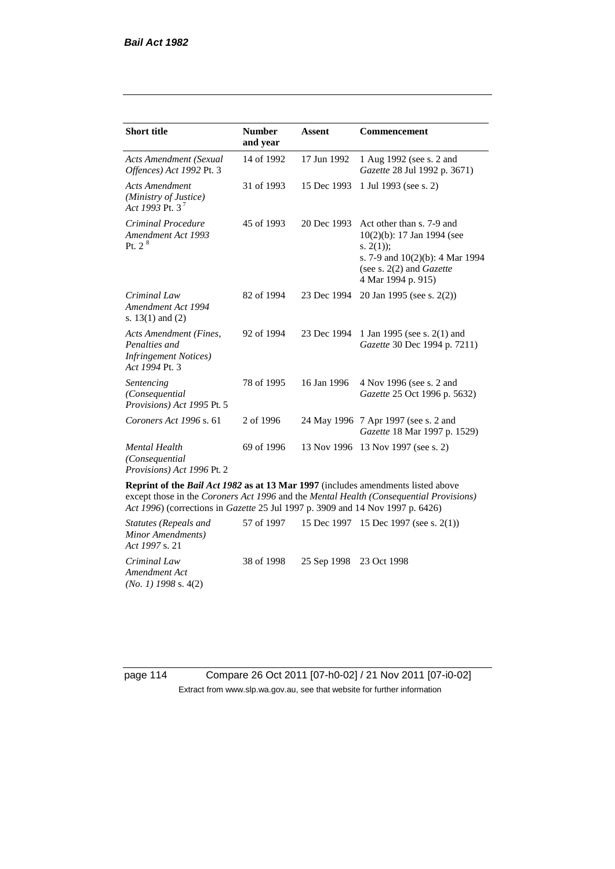| <b>Short title</b>                                                                         | <b>Number</b><br>and year | <b>Assent</b> | Commencement                                                                                                                                                               |
|--------------------------------------------------------------------------------------------|---------------------------|---------------|----------------------------------------------------------------------------------------------------------------------------------------------------------------------------|
| <b>Acts Amendment (Sexual</b><br>Offences) Act 1992 Pt. 3                                  | 14 of 1992                | 17 Jun 1992   | 1 Aug 1992 (see s. 2 and<br>Gazette 28 Jul 1992 p. 3671)                                                                                                                   |
| <b>Acts Amendment</b><br>(Ministry of Justice)<br>Act 1993 Pt. 3 <sup>7</sup>              | 31 of 1993                | 15 Dec 1993   | 1 Jul 1993 (see s. 2)                                                                                                                                                      |
| Criminal Procedure<br>Amendment Act 1993<br>P <sub>t. 2</sub> $8$                          | 45 of 1993                | 20 Dec 1993   | Act other than s. 7-9 and<br>$10(2)(b)$ : 17 Jan 1994 (see<br>s. $2(1)$ ;<br>s. 7-9 and $10(2)(b)$ : 4 Mar 1994<br>(see s. $2(2)$ and <i>Gazette</i><br>4 Mar 1994 p. 915) |
| Criminal Law<br>Amendment Act 1994<br>s. $13(1)$ and $(2)$                                 | 82 of 1994                | 23 Dec 1994   | 20 Jan 1995 (see s. 2(2))                                                                                                                                                  |
| Acts Amendment (Fines,<br>Penalties and<br><b>Infringement Notices</b> )<br>Act 1994 Pt. 3 | 92 of 1994                | 23 Dec 1994   | 1 Jan 1995 (see s. 2(1) and<br>Gazette 30 Dec 1994 p. 7211)                                                                                                                |
| Sentencing<br>(Consequential<br>Provisions) Act 1995 Pt. 5                                 | 78 of 1995                | 16 Jan 1996   | 4 Nov 1996 (see s. 2 and<br>Gazette 25 Oct 1996 p. 5632)                                                                                                                   |
| Coroners Act 1996 s. 61                                                                    | 2 of 1996                 |               | 24 May 1996 7 Apr 1997 (see s. 2 and<br>Gazette 18 Mar 1997 p. 1529)                                                                                                       |
| <b>Mental Health</b><br>(Consequential)<br>Provisions) Act 1996 Pt. 2                      | 69 of 1996                | 13 Nov 1996   | 13 Nov 1997 (see s. 2)                                                                                                                                                     |

**Reprint of the** *Bail Act 1982* **as at 13 Mar 1997** (includes amendments listed above except those in the *Coroners Act 1996* and the *Mental Health (Consequential Provisions) Act 1996*) (corrections in *Gazette* 25 Jul 1997 p. 3909 and 14 Nov 1997 p. 6426)

*Statutes (Repeals and Minor Amendments) Act 1997* s. 21 57 of 1997 15 Dec 1997 15 Dec 1997 (see s. 2(1)) *Criminal Law Amendment Act (No. 1) 1998* s. 4(2) 38 of 1998 25 Sep 1998 23 Oct 1998

page 114 Compare 26 Oct 2011 [07-h0-02] / 21 Nov 2011 [07-i0-02] Extract from www.slp.wa.gov.au, see that website for further information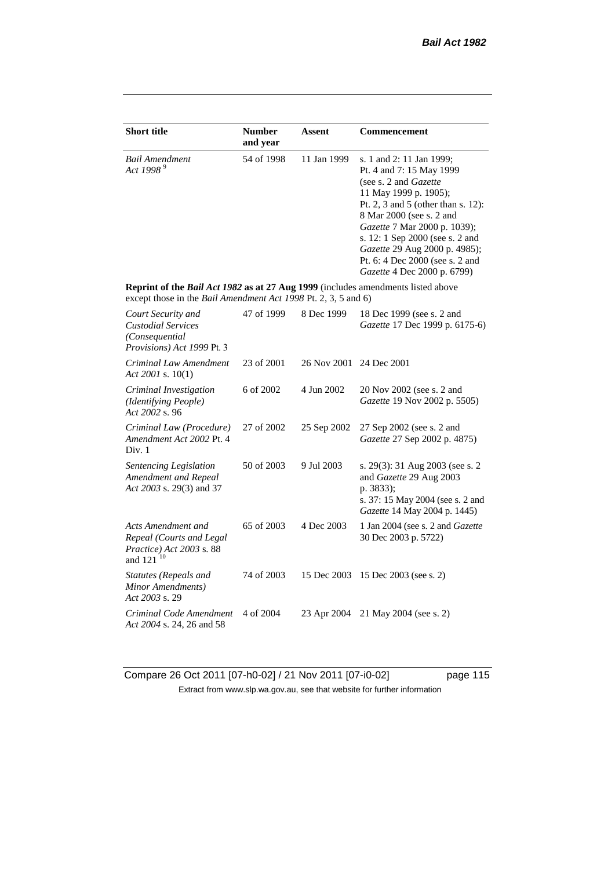| <b>Short title</b>                                                                                                                                 | <b>Number</b><br>and year | Assent      | <b>Commencement</b>                                                                                                                                                                                                                                                                                                                            |
|----------------------------------------------------------------------------------------------------------------------------------------------------|---------------------------|-------------|------------------------------------------------------------------------------------------------------------------------------------------------------------------------------------------------------------------------------------------------------------------------------------------------------------------------------------------------|
| <b>Bail Amendment</b><br>Act 1998 <sup>9</sup>                                                                                                     | 54 of 1998                | 11 Jan 1999 | s. 1 and 2: 11 Jan 1999;<br>Pt. 4 and 7: 15 May 1999<br>(see s. 2 and Gazette<br>11 May 1999 p. 1905);<br>Pt. 2, 3 and 5 (other than s. 12):<br>8 Mar 2000 (see s. 2 and<br>Gazette 7 Mar 2000 p. 1039);<br>s. 12: 1 Sep 2000 (see s. 2 and<br>Gazette 29 Aug 2000 p. 4985);<br>Pt. 6: 4 Dec 2000 (see s. 2 and<br>Gazette 4 Dec 2000 p. 6799) |
| Reprint of the Bail Act 1982 as at 27 Aug 1999 (includes amendments listed above<br>except those in the Bail Amendment Act 1998 Pt. 2, 3, 5 and 6) |                           |             |                                                                                                                                                                                                                                                                                                                                                |
| Court Security and<br><b>Custodial Services</b><br>(Consequential<br>Provisions) Act 1999 Pt. 3                                                    | 47 of 1999                | 8 Dec 1999  | 18 Dec 1999 (see s. 2 and<br>Gazette 17 Dec 1999 p. 6175-6)                                                                                                                                                                                                                                                                                    |
| Criminal Law Amendment<br>Act 2001 s. 10(1)                                                                                                        | 23 of 2001                | 26 Nov 2001 | 24 Dec 2001                                                                                                                                                                                                                                                                                                                                    |
| Criminal Investigation<br>(Identifying People)<br>Act 2002 s. 96                                                                                   | 6 of 2002                 | 4 Jun 2002  | 20 Nov 2002 (see s. 2 and<br>Gazette 19 Nov 2002 p. 5505)                                                                                                                                                                                                                                                                                      |
| Criminal Law (Procedure)<br>Amendment Act 2002 Pt. 4<br>Div. 1                                                                                     | 27 of 2002                | 25 Sep 2002 | 27 Sep 2002 (see s. 2 and<br>Gazette 27 Sep 2002 p. 4875)                                                                                                                                                                                                                                                                                      |
| Sentencing Legislation<br>Amendment and Repeal<br>Act 2003 s. 29(3) and 37                                                                         | 50 of 2003                | 9 Jul 2003  | s. 29(3): 31 Aug 2003 (see s. 2<br>and Gazette 29 Aug 2003<br>p. 3833);<br>s. 37: 15 May 2004 (see s. 2 and<br>Gazette 14 May 2004 p. 1445)                                                                                                                                                                                                    |
| Acts Amendment and<br>Repeal (Courts and Legal<br>Practice) Act 2003 s. 88<br>and 121 <sup>10</sup>                                                | 65 of 2003                | 4 Dec 2003  | 1 Jan 2004 (see s. 2 and <i>Gazette</i><br>30 Dec 2003 p. 5722)                                                                                                                                                                                                                                                                                |
| Statutes (Repeals and<br>Minor Amendments)<br>Act 2003 s. 29                                                                                       | 74 of 2003                | 15 Dec 2003 | 15 Dec 2003 (see s. 2)                                                                                                                                                                                                                                                                                                                         |
| Criminal Code Amendment<br>Act 2004 s. 24, 26 and 58                                                                                               | 4 of 2004                 | 23 Apr 2004 | 21 May 2004 (see s. 2)                                                                                                                                                                                                                                                                                                                         |

Compare 26 Oct 2011 [07-h0-02] / 21 Nov 2011 [07-i0-02] page 115 Extract from www.slp.wa.gov.au, see that website for further information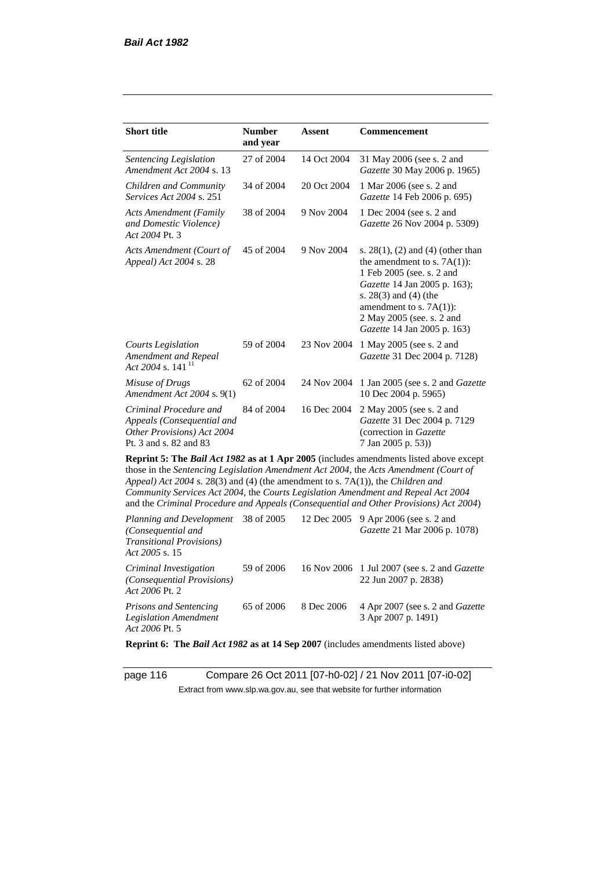| <b>Short title</b>                                                                                                                                                   | <b>Number</b><br>and year | Assent      | <b>Commencement</b>                                                                                                                                                                                                                                                     |
|----------------------------------------------------------------------------------------------------------------------------------------------------------------------|---------------------------|-------------|-------------------------------------------------------------------------------------------------------------------------------------------------------------------------------------------------------------------------------------------------------------------------|
| Sentencing Legislation<br>Amendment Act 2004 s. 13                                                                                                                   | 27 of 2004                | 14 Oct 2004 | 31 May 2006 (see s. 2 and<br>Gazette 30 May 2006 p. 1965)                                                                                                                                                                                                               |
| Children and Community<br><i>Services Act 2004 s. 251</i>                                                                                                            | 34 of 2004                | 20 Oct 2004 | 1 Mar 2006 (see s. 2 and<br>Gazette 14 Feb 2006 p. 695)                                                                                                                                                                                                                 |
| <b>Acts Amendment (Family</b><br>and Domestic Violence)<br>Act 2004 Pt. 3                                                                                            | 38 of 2004                | 9 Nov 2004  | 1 Dec 2004 (see s. 2 and<br>Gazette 26 Nov 2004 p. 5309)                                                                                                                                                                                                                |
| Acts Amendment (Court of<br>Appeal) Act 2004 s. 28                                                                                                                   | 45 of 2004                | 9 Nov 2004  | s. $28(1)$ , (2) and (4) (other than<br>the amendment to s. $7A(1)$ :<br>1 Feb 2005 (see. s. 2 and<br>Gazette 14 Jan 2005 p. 163);<br>s. 28(3) and (4) (the<br>amendment to s. $7A(1)$ :<br>2 May 2005 (see. s. 2 and<br>Gazette 14 Jan 2005 p. 163)                    |
| <b>Courts Legislation</b><br>Amendment and Repeal<br>Act 2004 s. 141 <sup>11</sup>                                                                                   | 59 of 2004                | 23 Nov 2004 | 1 May 2005 (see s. 2 and<br>Gazette 31 Dec 2004 p. 7128)                                                                                                                                                                                                                |
| Misuse of Drugs<br>Amendment Act 2004 s. 9(1)                                                                                                                        | 62 of 2004                | 24 Nov 2004 | 1 Jan 2005 (see s. 2 and Gazette<br>10 Dec 2004 p. 5965)                                                                                                                                                                                                                |
| Criminal Procedure and<br>Appeals (Consequential and<br>Other Provisions) Act 2004<br>Pt. 3 and s. 82 and 83                                                         | 84 of 2004                | 16 Dec 2004 | 2 May 2005 (see s. 2 and<br>Gazette 31 Dec 2004 p. 7129<br>(correction in Gazette<br>7 Jan 2005 p. 53))                                                                                                                                                                 |
| Appeal) Act 2004 s. 28(3) and (4) (the amendment to s. 7A(1)), the Children and<br>Community Services Act 2004, the Courts Legislation Amendment and Repeal Act 2004 |                           |             | Reprint 5: The Bail Act 1982 as at 1 Apr 2005 (includes amendments listed above except<br>those in the Sentencing Legislation Amendment Act 2004, the Acts Amendment (Court of<br>and the Criminal Procedure and Appeals (Consequential and Other Provisions) Act 2004) |
| Planning and Development<br>(Consequential and<br><b>Transitional Provisions)</b><br>Act 2005 s. 15                                                                  | 38 of 2005                | 12 Dec 2005 | 9 Apr 2006 (see s. 2 and<br>Gazette 21 Mar 2006 p. 1078)                                                                                                                                                                                                                |
| Criminal Investigation<br>(Consequential Provisions)                                                                                                                 | 59 of 2006                | 16 Nov 2006 | 1 Jul 2007 (see s. 2 and Gazette<br>22 Jun 2007 p. 2838)                                                                                                                                                                                                                |

*Act 2006* Pt. 2 *Prisons and Sentencing Legislation Amendment Act 2006* Pt. 5 65 of 2006 8 Dec 2006 4 Apr 2007 (see s. 2 and *Gazette* 3 Apr 2007 p. 1491)

**Reprint 6: The** *Bail Act 1982* **as at 14 Sep 2007** (includes amendments listed above)

page 116 Compare 26 Oct 2011 [07-h0-02] / 21 Nov 2011 [07-i0-02] Extract from www.slp.wa.gov.au, see that website for further information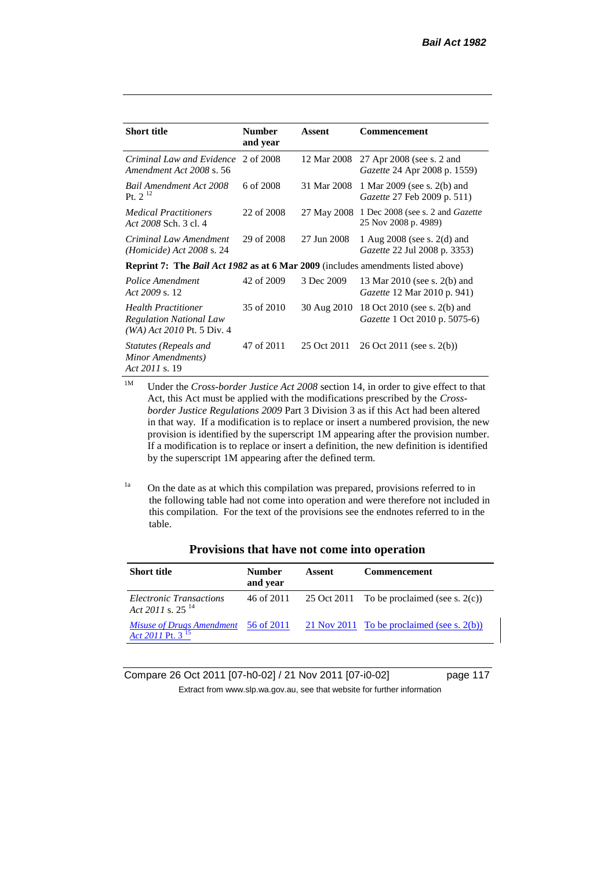| <b>Short title</b>                                                                             | <b>Number</b><br>and year | Assent      | Commencement                                                           |
|------------------------------------------------------------------------------------------------|---------------------------|-------------|------------------------------------------------------------------------|
| Criminal Law and Evidence<br>Amendment Act 2008 s. 56                                          | 2 of 2008                 | 12 Mar 2008 | 27 Apr 2008 (see s. 2 and<br><i>Gazette</i> 24 Apr 2008 p. 1559)       |
| <b>Bail Amendment Act 2008</b><br>Pt. $2^{12}$                                                 | 6 of 2008                 | 31 Mar 2008 | 1 Mar 2009 (see s. 2(b) and<br>Gazette 27 Feb 2009 p. 511)             |
| <b>Medical Practitioners</b><br>Act 2008 Sch. 3 cl. 4                                          | 22 of 2008                |             | 27 May 2008 1 Dec 2008 (see s. 2 and Gazette<br>25 Nov 2008 p. 4989)   |
| Criminal Law Amendment<br><i>(Homicide)</i> Act 2008 s. 24                                     | 29 of 2008                | 27 Jun 2008 | 1 Aug $2008$ (see s. $2(d)$ and<br><i>Gazette</i> 22 Jul 2008 p. 3353) |
| <b>Reprint 7:</b> The <i>Bail Act 1982</i> as at 6 Mar 2009 (includes amendments listed above) |                           |             |                                                                        |
| Police Amendment<br>Act 2009 s. 12                                                             | 42 of 2009                | 3 Dec 2009  | 13 Mar 2010 (see s. 2(b) and<br><i>Gazette</i> 12 Mar 2010 p. 941)     |
| <b>Health Practitioner</b><br><b>Regulation National Law</b><br>$(WA)$ Act 2010 Pt. 5 Div. 4   | 35 of 2010                | 30 Aug 2010 | 18 Oct 2010 (see s. 2(b) and<br><i>Gazette</i> 1 Oct 2010 p. 5075-6)   |
| Statutes (Repeals and<br>Minor Amendments)<br>Act 2011 s. 19                                   | 47 of 2011                | 25 Oct 2011 | $26$ Oct $2011$ (see s. $2(b)$ )                                       |

<sup>1M</sup> Under the *Cross-border Justice Act 2008* section 14, in order to give effect to that Act, this Act must be applied with the modifications prescribed by the *Crossborder Justice Regulations 2009* Part 3 Division 3 as if this Act had been altered in that way. If a modification is to replace or insert a numbered provision, the new provision is identified by the superscript 1M appearing after the provision number. If a modification is to replace or insert a definition, the new definition is identified by the superscript 1M appearing after the defined term.

<sup>1a</sup> On the date as at which this compilation was prepared, provisions referred to in the following table had not come into operation and were therefore not included in this compilation. For the text of the provisions see the endnotes referred to in the table.

| <b>Short title</b>                                               | <b>Number</b><br>and year | Assent | <b>Commencement</b>                                     |
|------------------------------------------------------------------|---------------------------|--------|---------------------------------------------------------|
| Electronic Transactions<br>Act 2011 s. $25^{14}$                 |                           |        | 46 of 2011 $25$ Oct 2011 To be proclaimed (see s. 2(c)) |
| <i>Misuse of Drugs Amendment</i><br>Act 2011 Pt. 3 <sup>15</sup> | 56 of 2011                |        | 21 Nov 2011 To be proclaimed (see s. $2(b)$ )           |

# **Provisions that have not come into operation**

Compare 26 Oct 2011 [07-h0-02] / 21 Nov 2011 [07-i0-02] page 117 Extract from www.slp.wa.gov.au, see that website for further information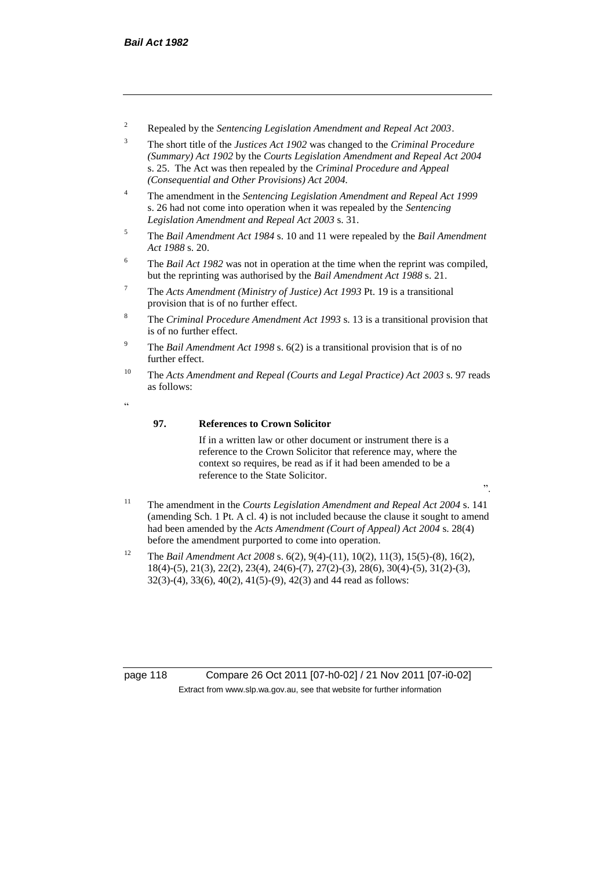- <sup>2</sup> Repealed by the *Sentencing Legislation Amendment and Repeal Act 2003*.
- <sup>3</sup> The short title of the *Justices Act 1902* was changed to the *Criminal Procedure (Summary) Act 1902* by the *Courts Legislation Amendment and Repeal Act 2004*  s. 25. The Act was then repealed by the *Criminal Procedure and Appeal (Consequential and Other Provisions) Act 2004.*
- <sup>4</sup> The amendment in the *Sentencing Legislation Amendment and Repeal Act 1999* s. 26 had not come into operation when it was repealed by the *Sentencing Legislation Amendment and Repeal Act 2003* s. 31.
- <sup>5</sup> The *Bail Amendment Act 1984* s. 10 and 11 were repealed by the *Bail Amendment Act 1988* s. 20.
- <sup>6</sup> The *Bail Act 1982* was not in operation at the time when the reprint was compiled, but the reprinting was authorised by the *Bail Amendment Act 1988* s. 21.
- <sup>7</sup> The *Acts Amendment (Ministry of Justice) Act 1993* Pt. 19 is a transitional provision that is of no further effect.
- <sup>8</sup> The *Criminal Procedure Amendment Act 1993* s. 13 is a transitional provision that is of no further effect.
- <sup>9</sup> The *Bail Amendment Act 1998* s. 6(2) is a transitional provision that is of no further effect.
- <sup>10</sup> The *Acts Amendment and Repeal (Courts and Legal Practice) Act 2003* s. 97 reads as follows:
- <u>،</u>

# **97. References to Crown Solicitor**

If in a written law or other document or instrument there is a reference to the Crown Solicitor that reference may, where the context so requires, be read as if it had been amended to be a reference to the State Solicitor.

- ".
- <sup>11</sup> The amendment in the *Courts Legislation Amendment and Repeal Act 2004* s. 141 (amending Sch. 1 Pt. A cl. 4) is not included because the clause it sought to amend had been amended by the *Acts Amendment (Court of Appeal) Act 2004* s. 28(4) before the amendment purported to come into operation.
- <sup>12</sup> The *Bail Amendment Act 2008* s. 6(2), 9(4)-(11), 10(2), 11(3), 15(5)-(8), 16(2), 18(4)-(5), 21(3), 22(2), 23(4), 24(6)-(7), 27(2)-(3), 28(6), 30(4)-(5), 31(2)-(3), 32(3)-(4), 33(6), 40(2), 41(5)-(9), 42(3) and 44 read as follows:

page 118 Compare 26 Oct 2011 [07-h0-02] / 21 Nov 2011 [07-i0-02] Extract from www.slp.wa.gov.au, see that website for further information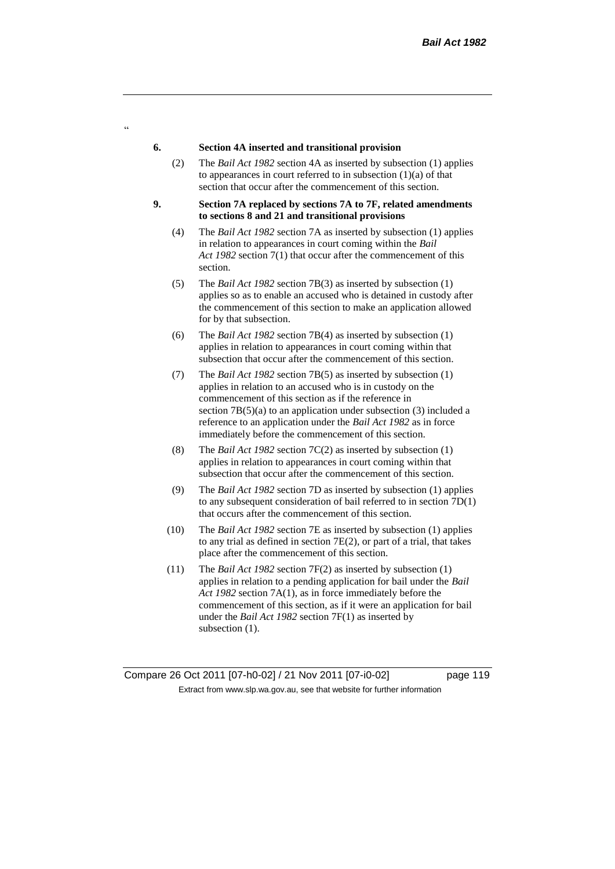#### **6. Section 4A inserted and transitional provision**

 $\alpha$ 

- (2) The *Bail Act 1982* section 4A as inserted by subsection (1) applies to appearances in court referred to in subsection  $(1)(a)$  of that section that occur after the commencement of this section.
- **9. Section 7A replaced by sections 7A to 7F, related amendments to sections 8 and 21 and transitional provisions**
	- (4) The *Bail Act 1982* section 7A as inserted by subsection (1) applies in relation to appearances in court coming within the *Bail Act 1982* section 7(1) that occur after the commencement of this section.
	- (5) The *Bail Act 1982* section 7B(3) as inserted by subsection (1) applies so as to enable an accused who is detained in custody after the commencement of this section to make an application allowed for by that subsection.
	- (6) The *Bail Act 1982* section 7B(4) as inserted by subsection (1) applies in relation to appearances in court coming within that subsection that occur after the commencement of this section.
	- (7) The *Bail Act 1982* section 7B(5) as inserted by subsection (1) applies in relation to an accused who is in custody on the commencement of this section as if the reference in section 7B(5)(a) to an application under subsection (3) included a reference to an application under the *Bail Act 1982* as in force immediately before the commencement of this section.
	- (8) The *Bail Act 1982* section 7C(2) as inserted by subsection (1) applies in relation to appearances in court coming within that subsection that occur after the commencement of this section.
	- (9) The *Bail Act 1982* section 7D as inserted by subsection (1) applies to any subsequent consideration of bail referred to in section 7D(1) that occurs after the commencement of this section.
	- (10) The *Bail Act 1982* section 7E as inserted by subsection (1) applies to any trial as defined in section 7E(2), or part of a trial, that takes place after the commencement of this section.
	- (11) The *Bail Act 1982* section 7F(2) as inserted by subsection (1) applies in relation to a pending application for bail under the *Bail Act 1982* section 7A(1), as in force immediately before the commencement of this section, as if it were an application for bail under the *Bail Act 1982* section 7F(1) as inserted by subsection  $(1)$ .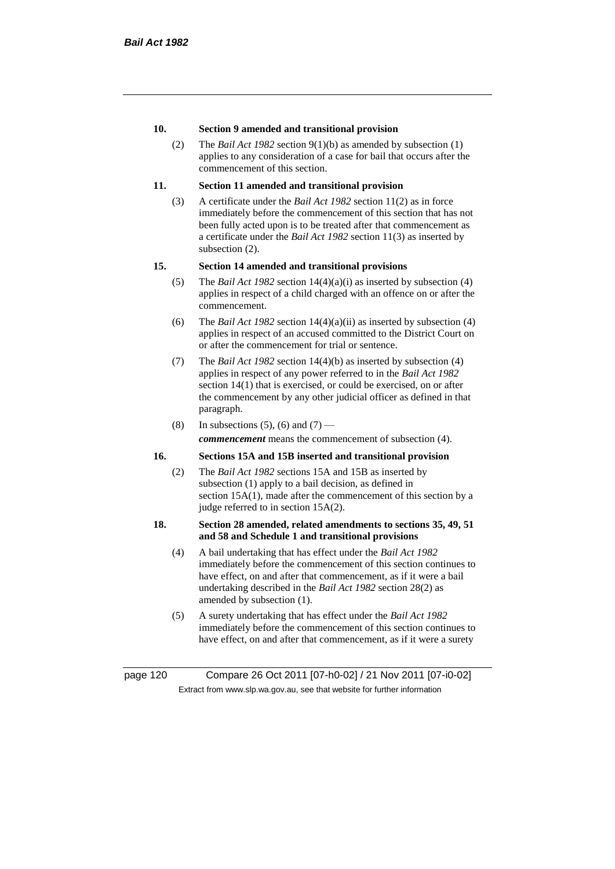# **10. Section 9 amended and transitional provision**

(2) The *Bail Act 1982* section 9(1)(b) as amended by subsection (1) applies to any consideration of a case for bail that occurs after the commencement of this section.

# **11. Section 11 amended and transitional provision**

(3) A certificate under the *Bail Act 1982* section 11(2) as in force immediately before the commencement of this section that has not been fully acted upon is to be treated after that commencement as a certificate under the *Bail Act 1982* section 11(3) as inserted by subsection (2).

# **15. Section 14 amended and transitional provisions**

- (5) The *Bail Act 1982* section 14(4)(a)(i) as inserted by subsection (4) applies in respect of a child charged with an offence on or after the commencement.
- (6) The *Bail Act 1982* section 14(4)(a)(ii) as inserted by subsection (4) applies in respect of an accused committed to the District Court on or after the commencement for trial or sentence.
- (7) The *Bail Act 1982* section 14(4)(b) as inserted by subsection (4) applies in respect of any power referred to in the *Bail Act 1982* section 14(1) that is exercised, or could be exercised, on or after the commencement by any other judicial officer as defined in that paragraph.
- (8) In subsections (5), (6) and (7) *commencement* means the commencement of subsection (4).

# **16. Sections 15A and 15B inserted and transitional provision**

(2) The *Bail Act 1982* sections 15A and 15B as inserted by subsection (1) apply to a bail decision, as defined in section 15A(1), made after the commencement of this section by a judge referred to in section 15A(2).

## **18. Section 28 amended, related amendments to sections 35, 49, 51 and 58 and Schedule 1 and transitional provisions**

- (4) A bail undertaking that has effect under the *Bail Act 1982* immediately before the commencement of this section continues to have effect, on and after that commencement, as if it were a bail undertaking described in the *Bail Act 1982* section 28(2) as amended by subsection (1).
- (5) A surety undertaking that has effect under the *Bail Act 1982* immediately before the commencement of this section continues to have effect, on and after that commencement, as if it were a surety

page 120 Compare 26 Oct 2011 [07-h0-02] / 21 Nov 2011 [07-i0-02] Extract from www.slp.wa.gov.au, see that website for further information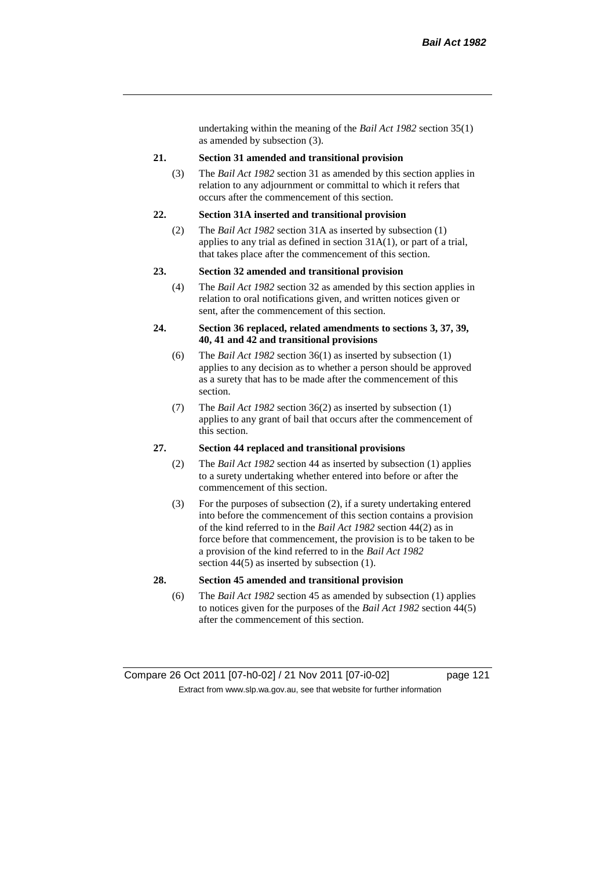undertaking within the meaning of the *Bail Act 1982* section 35(1) as amended by subsection (3).

#### **21. Section 31 amended and transitional provision**

(3) The *Bail Act 1982* section 31 as amended by this section applies in relation to any adjournment or committal to which it refers that occurs after the commencement of this section.

#### **22. Section 31A inserted and transitional provision**

(2) The *Bail Act 1982* section 31A as inserted by subsection (1) applies to any trial as defined in section 31A(1), or part of a trial, that takes place after the commencement of this section.

#### **23. Section 32 amended and transitional provision**

(4) The *Bail Act 1982* section 32 as amended by this section applies in relation to oral notifications given, and written notices given or sent, after the commencement of this section.

#### **24. Section 36 replaced, related amendments to sections 3, 37, 39, 40, 41 and 42 and transitional provisions**

- (6) The *Bail Act 1982* section 36(1) as inserted by subsection (1) applies to any decision as to whether a person should be approved as a surety that has to be made after the commencement of this section.
- (7) The *Bail Act 1982* section 36(2) as inserted by subsection (1) applies to any grant of bail that occurs after the commencement of this section.

#### **27. Section 44 replaced and transitional provisions**

- (2) The *Bail Act 1982* section 44 as inserted by subsection (1) applies to a surety undertaking whether entered into before or after the commencement of this section.
- (3) For the purposes of subsection (2), if a surety undertaking entered into before the commencement of this section contains a provision of the kind referred to in the *Bail Act 1982* section 44(2) as in force before that commencement, the provision is to be taken to be a provision of the kind referred to in the *Bail Act 1982*  section 44(5) as inserted by subsection (1).

# **28. Section 45 amended and transitional provision**

(6) The *Bail Act 1982* section 45 as amended by subsection (1) applies to notices given for the purposes of the *Bail Act 1982* section 44(5) after the commencement of this section.

Compare 26 Oct 2011 [07-h0-02] / 21 Nov 2011 [07-i0-02] page 121 Extract from www.slp.wa.gov.au, see that website for further information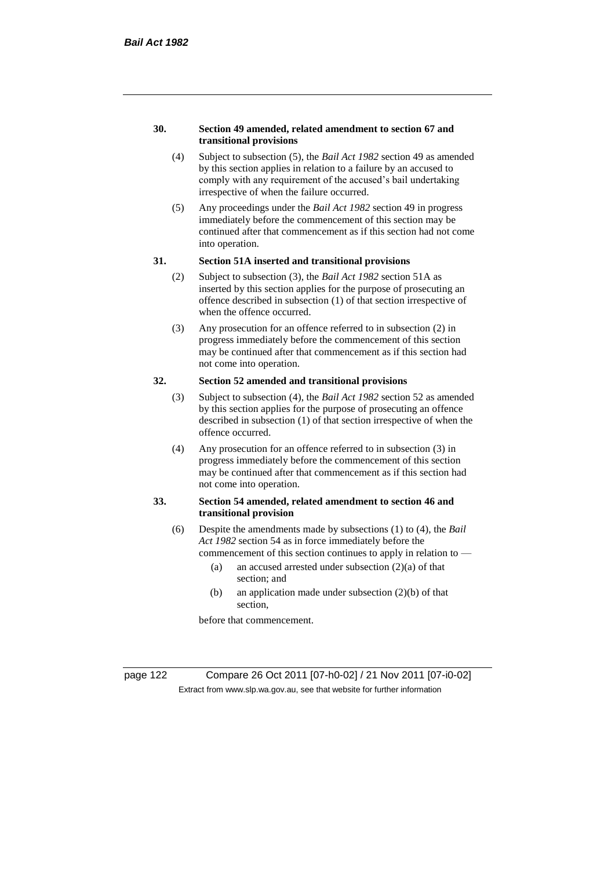#### **30. Section 49 amended, related amendment to section 67 and transitional provisions**

- (4) Subject to subsection (5), the *Bail Act 1982* section 49 as amended by this section applies in relation to a failure by an accused to comply with any requirement of the accused's bail undertaking irrespective of when the failure occurred.
- (5) Any proceedings under the *Bail Act 1982* section 49 in progress immediately before the commencement of this section may be continued after that commencement as if this section had not come into operation.

#### **31. Section 51A inserted and transitional provisions**

- (2) Subject to subsection (3), the *Bail Act 1982* section 51A as inserted by this section applies for the purpose of prosecuting an offence described in subsection (1) of that section irrespective of when the offence occurred.
- (3) Any prosecution for an offence referred to in subsection (2) in progress immediately before the commencement of this section may be continued after that commencement as if this section had not come into operation.

# **32. Section 52 amended and transitional provisions**

- (3) Subject to subsection (4), the *Bail Act 1982* section 52 as amended by this section applies for the purpose of prosecuting an offence described in subsection (1) of that section irrespective of when the offence occurred.
- (4) Any prosecution for an offence referred to in subsection (3) in progress immediately before the commencement of this section may be continued after that commencement as if this section had not come into operation.

# **33. Section 54 amended, related amendment to section 46 and transitional provision**

- (6) Despite the amendments made by subsections (1) to (4), the *Bail Act 1982* section 54 as in force immediately before the
	- commencement of this section continues to apply in relation to
		- (a) an accused arrested under subsection (2)(a) of that section; and
		- (b) an application made under subsection (2)(b) of that section,

before that commencement.

page 122 Compare 26 Oct 2011 [07-h0-02] / 21 Nov 2011 [07-i0-02] Extract from www.slp.wa.gov.au, see that website for further information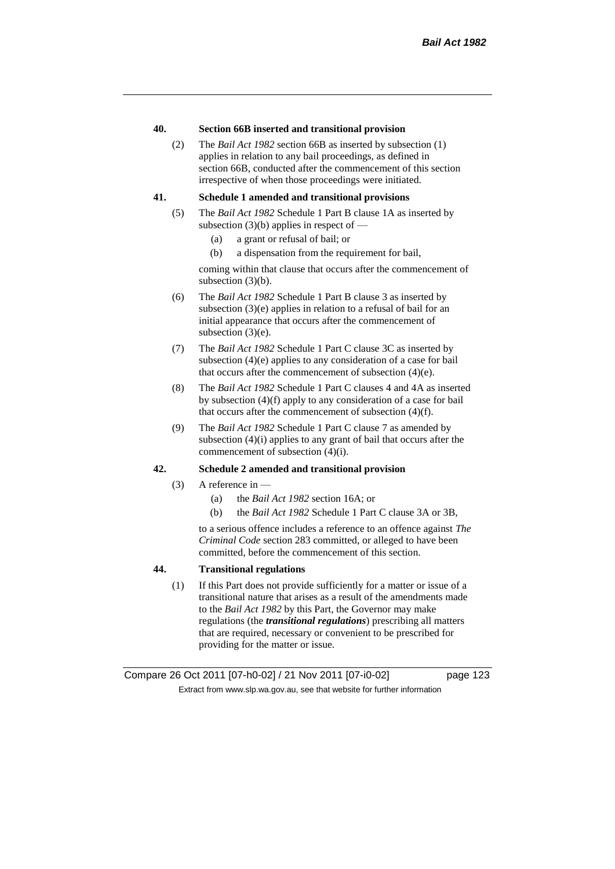# **40. Section 66B inserted and transitional provision**

(2) The *Bail Act 1982* section 66B as inserted by subsection (1) applies in relation to any bail proceedings, as defined in section 66B, conducted after the commencement of this section irrespective of when those proceedings were initiated.

# **41. Schedule 1 amended and transitional provisions**

- (5) The *Bail Act 1982* Schedule 1 Part B clause 1A as inserted by subsection  $(3)(b)$  applies in respect of —
	- (a) a grant or refusal of bail; or
	- (b) a dispensation from the requirement for bail,

coming within that clause that occurs after the commencement of subsection (3)(b).

- (6) The *Bail Act 1982* Schedule 1 Part B clause 3 as inserted by subsection (3)(e) applies in relation to a refusal of bail for an initial appearance that occurs after the commencement of subsection (3)(e).
- (7) The *Bail Act 1982* Schedule 1 Part C clause 3C as inserted by subsection (4)(e) applies to any consideration of a case for bail that occurs after the commencement of subsection (4)(e).
- (8) The *Bail Act 1982* Schedule 1 Part C clauses 4 and 4A as inserted by subsection (4)(f) apply to any consideration of a case for bail that occurs after the commencement of subsection (4)(f).
- (9) The *Bail Act 1982* Schedule 1 Part C clause 7 as amended by subsection (4)(i) applies to any grant of bail that occurs after the commencement of subsection (4)(i).

# **42. Schedule 2 amended and transitional provision**

- (3) A reference in  $-$ 
	- (a) the *Bail Act 1982* section 16A; or
	- (b) the *Bail Act 1982* Schedule 1 Part C clause 3A or 3B,

to a serious offence includes a reference to an offence against *The Criminal Code* section 283 committed, or alleged to have been committed, before the commencement of this section.

# **44. Transitional regulations**

(1) If this Part does not provide sufficiently for a matter or issue of a transitional nature that arises as a result of the amendments made to the *Bail Act 1982* by this Part, the Governor may make regulations (the *transitional regulations*) prescribing all matters that are required, necessary or convenient to be prescribed for providing for the matter or issue.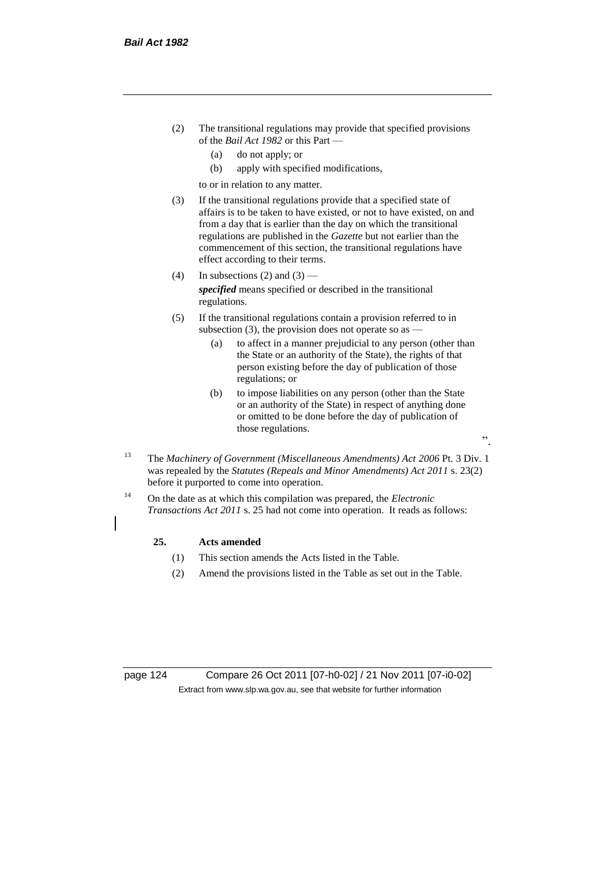- (2) The transitional regulations may provide that specified provisions of the *Bail Act 1982* or this Part —
	- (a) do not apply; or
	- (b) apply with specified modifications,

to or in relation to any matter.

- (3) If the transitional regulations provide that a specified state of affairs is to be taken to have existed, or not to have existed, on and from a day that is earlier than the day on which the transitional regulations are published in the *Gazette* but not earlier than the commencement of this section, the transitional regulations have effect according to their terms.
- (4) In subsections (2) and  $(3)$  *specified* means specified or described in the transitional regulations.
- (5) If the transitional regulations contain a provision referred to in subsection (3), the provision does not operate so as  $-$ 
	- (a) to affect in a manner prejudicial to any person (other than the State or an authority of the State), the rights of that person existing before the day of publication of those regulations; or
	- (b) to impose liabilities on any person (other than the State or an authority of the State) in respect of anything done or omitted to be done before the day of publication of those regulations.

".

- <sup>13</sup> The *Machinery of Government (Miscellaneous Amendments) Act 2006* Pt. 3 Div. 1 was repealed by the *Statutes (Repeals and Minor Amendments) Act 2011* s. 23(2) before it purported to come into operation.
- <sup>14</sup> On the date as at which this compilation was prepared, the *Electronic Transactions Act 2011* s. 25 had not come into operation. It reads as follows:

# **25. Acts amended**

- (1) This section amends the Acts listed in the Table.
- (2) Amend the provisions listed in the Table as set out in the Table.

page 124 Compare 26 Oct 2011 [07-h0-02] / 21 Nov 2011 [07-i0-02] Extract from www.slp.wa.gov.au, see that website for further information